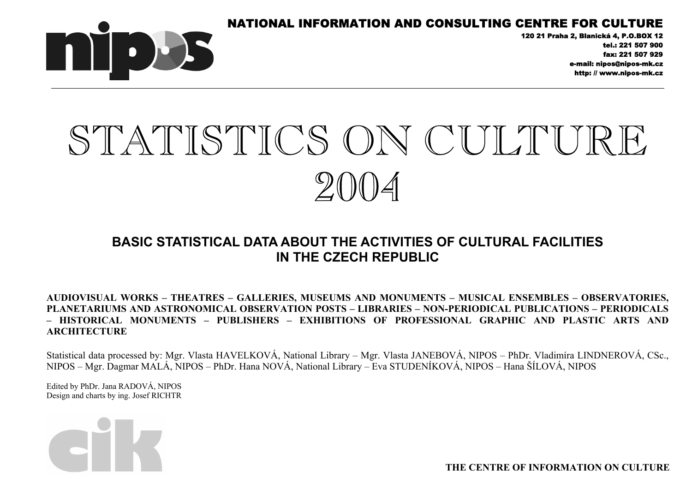



120 21 Praha 2, Blanická 4, P.O.BOX 12 tel.: 221 507 900 fax: 221 507 929 e-mail: nipos@nipos-mk.cz http: // www.nipos-mk.cz

# STATISTICS ON CULTURE  $20011$

# **BASIC STATISTICAL DATA ABOUT THE ACTIVITIES OF CULTURAL FACILITIES IN THE CZECH REPUBLIC**

**AUDIOVISUAL WORKS – THEATRES – GALLERIES, MUSEUMS AND MONUMENTS – MUSICAL ENSEMBLES – OBSERVATORIES, PLANETARIUMS AND ASTRONOMICAL OBSERVATION POSTS – LIBRARIES – NON-PERIODICAL PUBLICATIONS – PERIODICALS – HISTORICAL MONUMENTS – PUBLISHERS – EXHIBITIONS OF PROFESSIONAL GRAPHIC AND PLASTIC ARTS AND ARCHITECTURE** 

Statistical data processed by: Mgr. Vlasta HAVELKOVÁ, National Library – Mgr. Vlasta JANEBOVÁ, NIPOS – PhDr. Vladimíra LINDNEROVÁ, CSc., NIPOS – Mgr. Dagmar MALÁ, NIPOS – PhDr. Hana NOVÁ, National Library – Eva STUDENÍKOVÁ, NIPOS – Hana ŠÍLOVÁ, NIPOS

Edited by PhDr. Jana RADOVÁ, NIPOS Design and charts by ing. Josef RICHTR



**THE CENTRE OF INFORMATION ON CULTURE**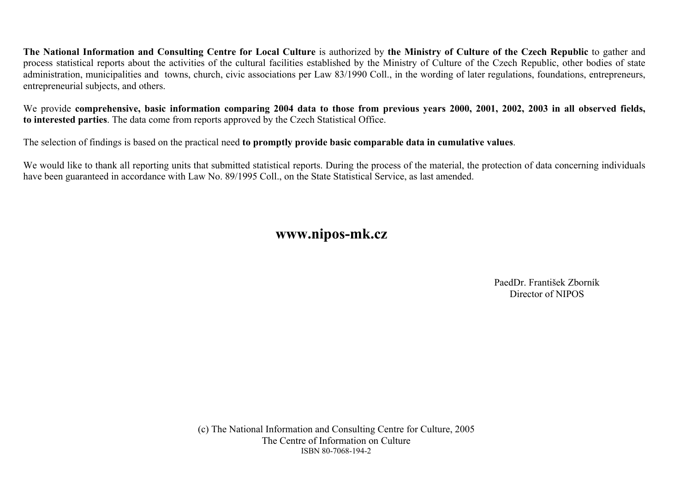**The National Information and Consulting Centre for Local Culture** is authorized by **the Ministry of Culture of the Czech Republic** to gather and process statistical reports about the activities of the cultural facilities established by the Ministry of Culture of the Czech Republic, other bodies of state administration, municipalities and towns, church, civic associations per Law 83/1990 Coll., in the wording of later regulations, foundations, entrepreneurs, entrepreneurial subjects, and others.

We provide **comprehensive**, basic information comparing 2004 data to those from previous years 2000, 2001, 2002, 2003 in all observed fields, **to interested parties**. The data come from reports approved by the Czech Statistical Office.

The selection of findings is based on the practical need **to promptly provide basic comparable data in cumulative values**.

We would like to thank all reporting units that submitted statistical reports. During the process of the material, the protection of data concerning individuals have been guaranteed in accordance with Law No. 89/1995 Coll., on the State Statistical Service, as last amended.

**www.nipos-mk.cz** 

PaedDr. František Zborník Director of NIPOS

(c) The National Information and Consulting Centre for Culture, 2005 The Centre of Information on Culture ISBN 80-7068-194-2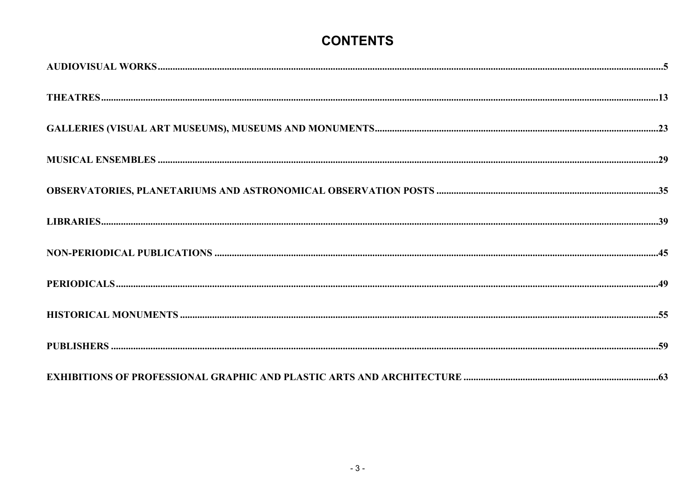# **CONTENTS**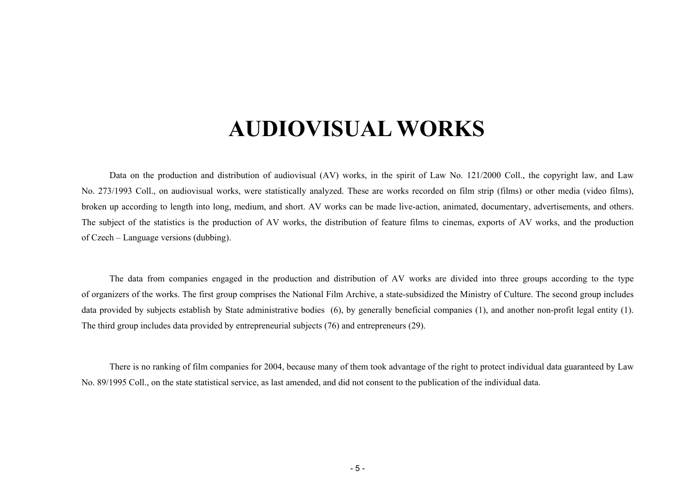# **AUDIOVISUAL WORKS**

<span id="page-4-0"></span>Data on the production and distribution of audiovisual (AV) works, in the spirit of Law No. 121/2000 Coll., the copyright law, and Law No. 273/1993 Coll., on audiovisual works, were statistically analyzed. These are works recorded on film strip (films) or other media (video films), broken up according to length into long, medium, and short. AV works can be made live-action, animated, documentary, advertisements, and others. The subject of the statistics is the production of AV works, the distribution of feature films to cinemas, exports of AV works, and the production of Czech – Language versions (dubbing).

The data from companies engaged in the production and distribution of AV works are divided into three groups according to the type of organizers of the works. The first group comprises the National Film Archive, a state-subsidized the Ministry of Culture. The second group includes data provided by subjects establish by State administrative bodies (6), by generally beneficial companies (1), and another non-profit legal entity (1). The third group includes data provided by entrepreneurial subjects (76) and entrepreneurs (29).

There is no ranking of film companies for 2004, because many of them took advantage of the right to protect individual data guaranteed by Law No. 89/1995 Coll., on the state statistical service, as last amended, and did not consent to the publication of the individual data.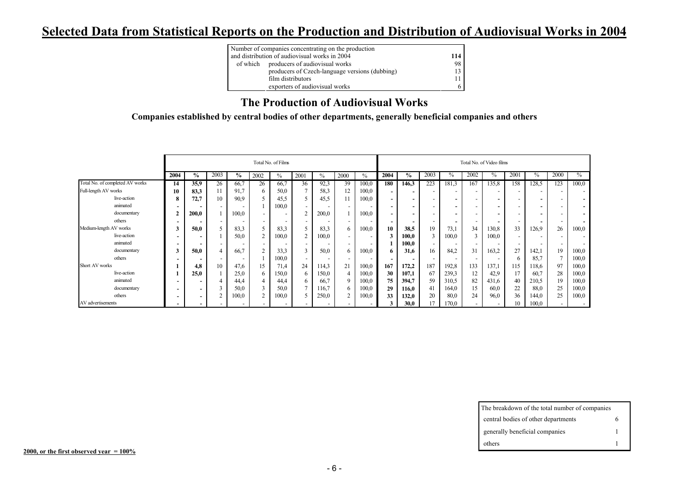# **Selected Data from Statistical Reports on the Production and Distribution of Audiovisual Works in 2004**

| Number of companies concentrating on the production |     |
|-----------------------------------------------------|-----|
| and distribution of audiovisual works in 2004       | 114 |
| of which producers of audiovisual works             | 98  |
| producers of Czech-language versions (dubbing)      | 13. |
| film distributors                                   |     |
| exporters of audiovisual works                      | 6   |

#### **The Production of Audiovisual Works**

**Companies established by central bodies of other departments, generally beneficial companies and others** 

|                                 |                          |                          |      |       |      | Total No. of Films       |                          |       |                |       |                          |               |                          |                          |                          | Total No. of Video films |                          |       |                          |                          |
|---------------------------------|--------------------------|--------------------------|------|-------|------|--------------------------|--------------------------|-------|----------------|-------|--------------------------|---------------|--------------------------|--------------------------|--------------------------|--------------------------|--------------------------|-------|--------------------------|--------------------------|
|                                 | 2004                     | $\%$                     | 2003 | $\%$  | 2002 | $\frac{0}{0}$            | 2001                     | $\%$  | 2000           | $\%$  | 2004                     | $\frac{6}{9}$ | 2003                     | $\%$                     | 2002                     | $\%$                     | 2001                     | $\%$  | 2000                     | $\%$                     |
| Total No. of completed AV works | 14                       | 35.9                     | 26   | 66,7  | 26   | 66,7                     | 36                       | 92,3  | 39             | 100,0 | 180                      | 146,3         | 223                      | 181,3                    | 167                      | 135,8                    | 158                      | 128,5 | 123                      | 100,0                    |
| Full-length AV works            | 10                       | 83,3                     |      | 91,7  | 6    | 50,0                     | $\overline{a}$           | 58,3  | 12             | 100,0 | $\overline{\phantom{0}}$ |               |                          |                          |                          | $\overline{\phantom{0}}$ | $\overline{\phantom{a}}$ |       |                          | $\sim$                   |
| live-action                     | 8                        | 72,7                     | 10   | 90,9  |      | 45,5                     |                          | 45,5  | 11             | 100,0 | $\sim$                   |               | $\overline{\phantom{a}}$ | $\overline{\phantom{0}}$ | $\overline{\phantom{0}}$ | ۰                        | $\overline{\phantom{a}}$ |       | . .                      | -                        |
| animated                        |                          |                          |      |       |      | 100,0                    |                          |       |                |       | $\sim$                   |               | $\overline{\phantom{a}}$ |                          |                          | $\overline{\phantom{0}}$ | $\overline{\phantom{a}}$ |       |                          | $\overline{\phantom{0}}$ |
| documentary                     | $\mathbf{2}$             | 200,0                    |      | 100,0 |      | $\overline{\phantom{a}}$ | $\overline{2}$           | 200,0 |                | 100,0 | $\sim$                   |               | $\overline{\phantom{a}}$ |                          | $\overline{\phantom{0}}$ | $\overline{\phantom{0}}$ | $\overline{\phantom{a}}$ |       |                          | $\overline{\phantom{0}}$ |
| others                          | $\overline{\phantom{a}}$ |                          |      |       |      | -                        |                          |       |                |       | $\overline{\phantom{0}}$ |               |                          |                          |                          | $\overline{\phantom{0}}$ | $\overline{\phantom{0}}$ |       | $\overline{\phantom{a}}$ |                          |
| Medium-length AV works          | 3                        | 50.0                     |      | 83,3  |      | 83,3                     |                          | 83,3  | 6              | 100,0 | 10                       | 38.5          | 19                       | 73,1                     | 34                       | 130,8                    | 33                       | 126.9 | 26                       | 100,0                    |
| live-action                     | $\overline{\phantom{a}}$ |                          |      | 50.0  | 2    | 100,0                    | $\overline{2}$           | 100,0 |                |       |                          | 100,0         |                          | 100,0                    | 3                        | 100,0                    | $\overline{\phantom{a}}$ |       |                          | $\overline{\phantom{a}}$ |
| animated                        | $\overline{\phantom{0}}$ |                          |      |       |      |                          |                          |       |                |       |                          | 100,0         |                          |                          |                          | $\overline{\phantom{a}}$ | $\overline{\phantom{0}}$ |       |                          |                          |
| documentary                     | 3                        | 50.0                     |      | 66,7  |      | 33,3                     |                          | 50,0  | 6              | 100,0 | 6.                       | 31,6          | 16                       | 84,2                     | 31                       | 163,2                    | 27                       | 142.1 | 19                       | 100,0                    |
| others                          |                          |                          |      | -     |      | 100,0                    | $\overline{\phantom{a}}$ |       |                |       | $\overline{\phantom{0}}$ |               |                          |                          |                          | $\overline{\phantom{a}}$ | 6                        | 85,7  | 7                        | 100,0                    |
| Short AV works                  |                          | 4.8                      | 10   | 47,6  | 15   | 71,4                     | 24                       | 114,3 | 21             | 100,0 | 167                      | 172,2         | 187                      | 192,8                    | 133                      | 137,1                    | 15                       | 18,6  | 97                       | 100,0                    |
| live-action                     |                          | 25.0                     |      | 25,0  | 6    | 150,0                    | 6                        | 150,0 | $\overline{4}$ | 100,0 | 30                       | 107,1         | 67                       | 239,3                    | 12                       | 42,9                     | 17                       | 60,7  | 28                       | 100,0                    |
| animated                        | $\overline{\phantom{a}}$ |                          |      | 44,4  |      | 44,4                     | 6                        | 66,7  | $\mathbf Q$    | 100,0 | 75                       | 394,7         | 59                       | 310,5                    | 82                       | 431,6                    | 40                       | 210,5 | 19                       | 100,0                    |
| documentary                     | $\overline{\phantom{a}}$ |                          |      | 50.0  |      | 50,0                     |                          | 16.7  | 6              | 100,0 | 29                       | 116,0         | 41                       | 164,0                    | 15                       | 60,0                     | 22                       | 88.0  | 25                       | 100,0                    |
| others                          | $\overline{\phantom{a}}$ | $\overline{\phantom{0}}$ |      | 100,0 |      | 100,0                    |                          | 250,0 | ↑              | 100,0 | 33                       | 132,0         | 20                       | 80,0                     | 24                       | 96,0                     | 36                       | 144,0 | 25                       | 100,0                    |
| AV advertisements               | $\overline{\phantom{a}}$ |                          |      |       |      | $\overline{\phantom{0}}$ |                          |       |                |       |                          | 30.0          |                          | 170,0                    | $\overline{\phantom{0}}$ |                          | 10                       | 100,0 |                          |                          |

| The breakdown of the total number of companies |  |
|------------------------------------------------|--|
| central bodies of other departments            |  |
| generally beneficial companies                 |  |
| others                                         |  |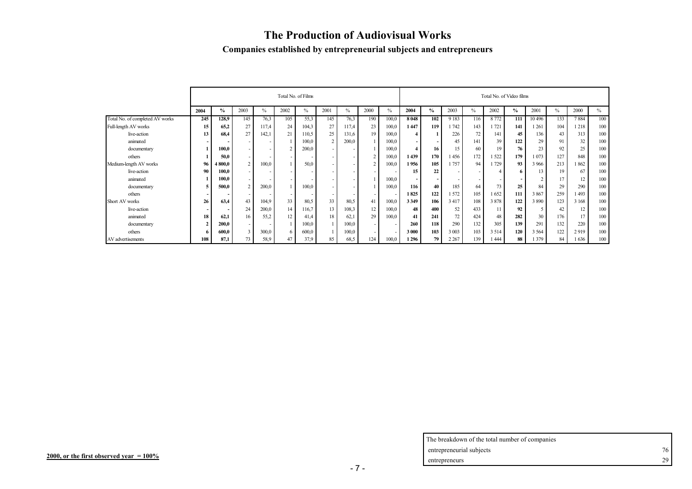# **The Production of Audiovisual Works**

#### **Companies established by entrepreneurial subjects and entrepreneurs**

|                                 |      |               |      |               | Total No. of Films       |               |                |       |                          |       |         |               |         |               | Total No. of Video films |               |         |      |         |      |
|---------------------------------|------|---------------|------|---------------|--------------------------|---------------|----------------|-------|--------------------------|-------|---------|---------------|---------|---------------|--------------------------|---------------|---------|------|---------|------|
|                                 | 2004 | $\frac{0}{0}$ | 2003 | $\frac{0}{0}$ | 2002                     | $\frac{0}{0}$ | 2001           | $\%$  | 2000                     | $\%$  | 2004    | $\frac{0}{0}$ | 2003    | $\frac{0}{0}$ | 2002                     | $\frac{6}{6}$ | 2001    | $\%$ | 2000    | $\%$ |
| Total No. of completed AV works | 245  | 128,9         | 145  | 76,3          | 105                      | 55,3          | 145            | 76,3  | 190                      | 100.0 | 8048    | 102           | 9 1 8 3 | 116           | 8 7 7 2                  | 111           | 10496   | 133  | 7884    | 100  |
| Full-length AV works            | 15   | 65,2          | 27   | 117,4         | 24                       | 104,3         | 27             | 117,4 | 23                       | 100,0 | 1447    | 119           | 1742    | 143           | 1721                     | 141           | 261     | 104  | 218     | 100  |
| live-action                     | 13   | 68,4          | 27   | 142,          | 21                       | 110,5         | 25             | 131,6 | 19                       | 100,0 |         |               | 226     | 72            | 141                      | 45            | 136     | 43   | 313     | 100  |
| animated                        |      |               |      |               |                          | 100,0         | $\overline{2}$ | 200,0 |                          | 100,0 |         |               | 45      | 141           | 39                       | 122           | 29      | 91   | 32      | 100  |
| documentary                     |      | 100.0         |      |               |                          | 200,0         |                |       |                          | 100,0 | 4       | 16            | 15      | 60            | 19                       | 76            | 23      | 92   | 25      | 100  |
| others                          |      | 50.0          |      |               | $\overline{\phantom{0}}$ |               |                |       |                          | 100,0 | 1439    | 170           | 1456    | 172           | 522                      | 179           | 073     | 127  | 848     | 100  |
| Medium-length AV works          | 96   | 4 800,0       |      | 100,0         |                          | 50,0          |                |       |                          | 100,0 | 1956    | 105           | 1757    | 94            | 729                      | 93            | 3 9 6 6 | 213  | 862     | 100  |
| live-action                     | 90   | 100,0         |      |               |                          |               |                |       |                          |       | 15      | 22            |         |               |                          | 6.            | 13      | 19   | 67      | 100  |
| animated                        |      | 100,0         |      |               | $\sim$                   |               |                |       |                          | 100,0 |         |               |         |               |                          |               |         | 17   | 12      | 100  |
| documentary                     |      | 500,0         |      | 200,0         |                          | 100,0         |                |       |                          | 100,0 | 116     | 40            | 185     | 64            | 73                       | 25            | 84      | 29   | 290     | 100  |
| others                          |      |               |      |               |                          |               |                |       |                          |       | 1825    | 122           | 1572    | 105           | 1652                     | 111           | 3867    | 259  | 493     | 100  |
| Short AV works                  | 26   | 63.4          | 43   | 104,9         | 33                       | 80,5          | 33             | 80,5  | 41                       | 100,0 | 3 3 4 9 | 106           | 3 4 1 7 | 108           | 3878                     | 122           | 3890    | 123  | 3 1 6 8 | 100  |
| live-action                     |      |               | 24   | 200,0         | 14                       | 116,7         | 13             | 108,3 | 12                       | 100,0 | 48      | 400           | 52      | 433           | 11                       | 92            |         | 42   | 12      | 100  |
| animated                        | 18   | 62,1          | 16   | 55,2          | 12                       | 41,4          | 18             | 62,1  | 29                       | 100,0 | 41      | 241           | 72      | 424           | 48                       | 282           | 30      | 176  | 17      | 100  |
| documentary                     |      | 200,0         |      |               |                          | 100,0         |                | 100,0 |                          |       | 260     | 118           | 290     | 132           | 305                      | 139           | 291     | 132  | 220     | 100  |
| others                          |      | 600,0         |      | 300,0         | 6                        | 600,0         |                | 100,0 | $\overline{\phantom{a}}$ |       | 3 000   | 103           | 3 0 0 3 | 103           | 3 5 1 4                  | 120           | 3 5 6 4 | 122  | 2919    | 100  |
| AV advertisements               | 108  | 87.1          | 73   | 58,9          | 47                       | 37.9          | 85             | 68,5  | 124                      | 100,0 | 1296    | 79            | 2 2 6 7 | 139           | 1444                     | 88            | 379     | 84   | 636     | 100  |

| The breakdown of the total number of companies |    |
|------------------------------------------------|----|
| entrepreneurial subjects                       | 76 |
| entrepreneurs                                  | 29 |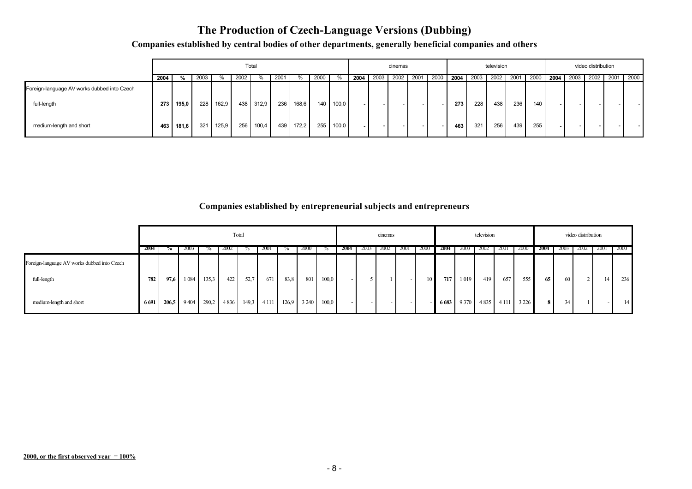#### **The Production of Czech-Language Versions (Dubbing)**

**Companies established by central bodies of other departments, generally beneficial companies and others** 

|                                                            |      |       |      |       |      | Total     |      |           |                  |       |      |        | cinemas |      |        |      |     | television     |     |      |                          |      | video distribution |           |
|------------------------------------------------------------|------|-------|------|-------|------|-----------|------|-----------|------------------|-------|------|--------|---------|------|--------|------|-----|----------------|-----|------|--------------------------|------|--------------------|-----------|
|                                                            | 2004 | %     | 2003 |       | 2002 | $\%$      | 2001 | %         | 2000             |       | 2004 | 2003   | 2002    | 2001 | 2000   | 2004 |     | 2003 2002 2001 |     | 2000 | 2004                     | 2003 | 2002               | 2001 2000 |
| Foreign-language AV works dubbed into Czech<br>full-length | 273  | 195,0 | 228  | 162,9 |      | 438 312,9 | 236  | 168,6     | 140 <sup>1</sup> | 100,0 |      |        |         |      |        | 273  | 228 | 438            | 236 | 140  | $\overline{\phantom{a}}$ |      |                    |           |
| medium-length and short                                    | 463  | 181,6 | 321  | 125,9 |      | 256 100,4 |      | 439 172.2 | 255              | 100,0 |      | $\sim$ |         |      | $\sim$ | 463  | 321 | 256            | 439 | 255  | $\sim$                   |      |                    |           |

**Companies established by entrepreneurial subjects and entrepreneurs**

|                                             |         |       |         |       |      | Total |             |       |             |       |          |      | cinemas |             |      |             |      | television          |             |         |                |                 | video distribution |                 |        |
|---------------------------------------------|---------|-------|---------|-------|------|-------|-------------|-------|-------------|-------|----------|------|---------|-------------|------|-------------|------|---------------------|-------------|---------|----------------|-----------------|--------------------|-----------------|--------|
|                                             | 2004    | 70    | 2003    |       | 2002 | 70    | <b>2001</b> |       | <b>2000</b> |       | 2004     | 2003 | 2002    | <b>2001</b> | 2000 | <b>2004</b> | 2003 | -2002               | <b>2001</b> | 2000    | 2004           | 2003            | 2002               | <b>2001</b>     | - 2000 |
| Foreign-language AV works dubbed into Czech |         |       |         |       |      |       |             |       |             |       |          |      |         |             |      |             |      |                     |             |         |                |                 |                    |                 |        |
| full-length                                 | 782     | 97,6  | 1 0 8 4 | 135,3 | 422  | 52,7  | 671         | 83.8  | 801         | 100,0 |          |      |         | $\sim$ 1    |      | 717 I       | 1019 | 419                 | 657         | 555     | 65             | 60 l            |                    | 14 <sup>1</sup> | 236    |
| medium-length and short                     | 6 6 9 1 | 206,5 | 9404    | 290,2 | 4836 |       | 149,3 4 111 | 126.9 | 3 2 4 0     | 100,0 | $\sim$ 1 | $-$  |         | $\sim$      |      |             |      | 6683 9370 4835 4111 |             | 3 2 2 6 | 8 <sup>1</sup> | 34 <sub>1</sub> |                    |                 | 14     |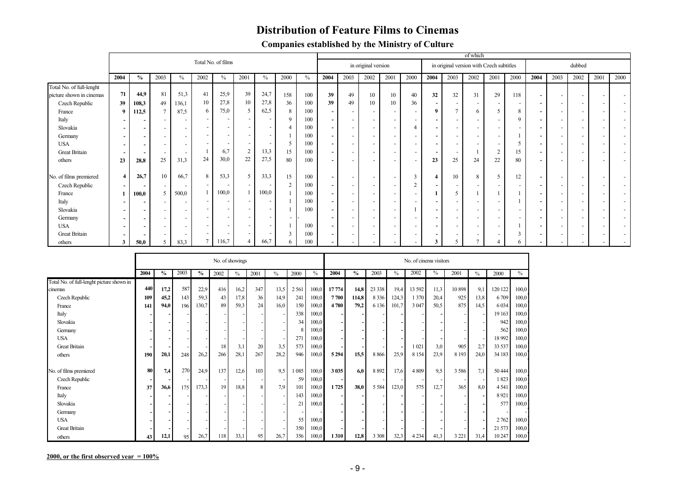#### **Distribution of Feature Films to Cinemas**

| <b>Companies established by the Ministry of Culture</b> |  |
|---------------------------------------------------------|--|
|---------------------------------------------------------|--|

|                          |                          |                          |      |       |                          |                    |            |                          |          |      |                          |      |                     |                          |               |                          |                          | of which |                                          |                          |      |                          |                          |     |      |
|--------------------------|--------------------------|--------------------------|------|-------|--------------------------|--------------------|------------|--------------------------|----------|------|--------------------------|------|---------------------|--------------------------|---------------|--------------------------|--------------------------|----------|------------------------------------------|--------------------------|------|--------------------------|--------------------------|-----|------|
|                          |                          |                          |      |       |                          | Total No. of films |            |                          |          |      |                          |      | in original version |                          |               |                          |                          |          | in original version with Czech subtitles |                          |      |                          | dubbed                   |     |      |
|                          | 2004                     | $\%$                     | 2003 | $\%$  | 2002                     | $\frac{0}{0}$      | 2001       | $\%$                     | 2000     | $\%$ | 2004                     | 2003 | 2002                | 2001                     | 2000          | 2004                     | 2003                     | 2002     | 2001                                     | 2000                     | 2004 | 2003                     | 2002                     | 200 | 2000 |
| Total No. of full-lenght | 71                       |                          | 81   |       |                          | 25,9               | 39         | 24,7                     |          |      |                          |      |                     |                          |               |                          |                          |          |                                          |                          |      |                          |                          |     |      |
| picture shown in cinemas |                          | 44,9                     |      | 51,3  | 41                       |                    |            |                          | 158      | 100  | 39                       | 49   | 10                  | 10                       | 40            | 32                       | 32                       | 31       | 29                                       | 118                      |      |                          | $\overline{\phantom{a}}$ |     |      |
| Czech Republic           | 39                       | 108,3                    | 49   | 136,1 | 10                       | 27,8               | 10         | 27,8                     | 36       | 100  | 39                       | 49   | 10                  | 10                       | 36            | $\overline{\phantom{a}}$ | $\sim$                   |          |                                          | $\sim$                   |      | $\overline{\phantom{0}}$ | $\overline{\phantom{a}}$ |     |      |
| France                   | 9                        | 112,5                    |      | 87,5  | 6                        | 75,0               | 5          | 62,5                     |          | 100  | $\blacksquare$           |      |                     | $\overline{\phantom{a}}$ |               | 9                        | $\mathcal{L}$            | 6        | 5                                        | 8                        |      | $\overline{\phantom{0}}$ | $\overline{\phantom{a}}$ |     |      |
| Italy                    |                          | $\overline{\phantom{0}}$ |      |       | $\overline{\phantom{0}}$ |                    |            |                          |          | 100  | $\blacksquare$           |      |                     | $\overline{\phantom{a}}$ |               |                          | $\overline{\phantom{a}}$ |          |                                          | $\Omega$                 |      |                          |                          |     |      |
| Slovakia                 |                          | $\overline{\phantom{a}}$ |      |       | $\overline{\phantom{a}}$ |                    |            | $\overline{\phantom{0}}$ |          | 100  | $\sim$                   |      |                     | $\overline{\phantom{a}}$ |               |                          | $\sim$                   |          |                                          |                          |      |                          | $\overline{\phantom{a}}$ |     |      |
| Germany                  |                          | $\overline{\phantom{0}}$ |      |       | $\overline{\phantom{a}}$ |                    |            |                          |          | 100  | $\sim$                   |      |                     | $\overline{\phantom{a}}$ |               |                          | $\sim$                   |          |                                          |                          |      | $\overline{\phantom{0}}$ | $\overline{\phantom{a}}$ |     |      |
| <b>USA</b>               |                          |                          |      |       | $\overline{\phantom{a}}$ |                    |            |                          |          | 100  | $\sim$                   |      |                     | $\overline{\phantom{a}}$ |               |                          | $\sim$                   |          |                                          | 5                        |      | $\overline{\phantom{0}}$ | $\overline{\phantom{a}}$ |     |      |
| <b>Great Britain</b>     |                          |                          |      |       |                          | 6,7                | $\bigcirc$ | 13,3                     | 15       | 100  | $\overline{\phantom{a}}$ |      |                     | $\overline{\phantom{a}}$ |               |                          | $\sim$                   |          | $\bigcap$<br>∠                           | 15                       |      |                          |                          |     |      |
| others                   | 23                       | 28,8                     | 25   | 31,3  | 24                       | 30,0               | 22         | 27,5                     | 80       | 100  | $\blacksquare$           |      |                     | $\overline{\phantom{a}}$ |               | 23                       | 25                       | 24       | 22                                       | 80                       |      |                          |                          |     |      |
| No. of films premiered   | $\overline{4}$           | 26,7                     | 10   | 66,7  | 8                        | 53,3               |            | 33,3                     | 15       | 100  | $\sim$                   |      |                     | $\overline{\phantom{a}}$ |               |                          | 10                       | 8        | $\overline{\phantom{0}}$                 | 12                       |      | $\overline{\phantom{0}}$ | $\overline{\phantom{a}}$ |     |      |
| Czech Republic           |                          |                          |      |       |                          |                    |            |                          | $\gamma$ | 100  | $\sim$                   |      |                     | $\overline{\phantom{0}}$ | $\mathcal{L}$ |                          | $\overline{a}$           |          |                                          |                          |      |                          |                          |     |      |
| France                   |                          | 100,0                    |      | 500,0 |                          | 100,0              |            | 100,0                    |          | 100  | $\overline{\phantom{a}}$ |      |                     | $\overline{\phantom{a}}$ |               |                          | 5                        |          |                                          |                          |      |                          | $\overline{\phantom{a}}$ |     |      |
| Italy                    |                          |                          |      |       |                          |                    |            |                          |          | 100  | $\blacksquare$           |      |                     | $\overline{\phantom{a}}$ |               |                          | $\overline{\phantom{a}}$ |          |                                          |                          |      |                          | $\overline{\phantom{a}}$ |     |      |
| Slovakia                 |                          | $\overline{\phantom{a}}$ |      |       | $\overline{\phantom{a}}$ |                    |            | $\overline{a}$           |          | 100  | $\overline{\phantom{a}}$ |      |                     | $\overline{\phantom{a}}$ |               |                          | $\overline{\phantom{a}}$ |          |                                          | -                        |      |                          |                          |     |      |
|                          |                          | $\overline{\phantom{a}}$ |      |       |                          |                    |            |                          |          |      |                          |      |                     |                          |               |                          |                          |          |                                          |                          |      |                          |                          |     |      |
| Germany                  | $\overline{\phantom{0}}$ | $\sim$                   |      |       | $\overline{\phantom{a}}$ |                    |            |                          |          |      | $\sim$                   |      |                     | $\overline{\phantom{a}}$ |               |                          | $\overline{\phantom{a}}$ |          |                                          | $\overline{\phantom{a}}$ |      |                          | $\overline{\phantom{a}}$ |     |      |
| <b>USA</b>               |                          | $\overline{\phantom{a}}$ |      |       |                          |                    |            |                          |          | 100  | $\sim$                   |      |                     | $\overline{\phantom{a}}$ |               |                          | $\sim$                   |          |                                          |                          |      | $\overline{\phantom{0}}$ |                          |     |      |
| <b>Great Britain</b>     |                          |                          |      |       | $\overline{\phantom{a}}$ |                    |            |                          |          | 100  | $\blacksquare$           |      |                     | $\overline{\phantom{a}}$ |               |                          | $\overline{\phantom{a}}$ |          |                                          |                          |      |                          |                          |     |      |
| others                   | 3                        | 50,0                     | 5    | 83,3  | $\overline{ }$           | 116,7              |            | 66,7                     |          | 100  | $\,$                     |      |                     |                          |               | л                        | 5                        |          |                                          | o                        |      |                          |                          |     |      |

|                                           |      |               |      |               |      | No. of showings |                |               |         |       |         |               |         |       | No. of cinema visitors |      |         |      |         |                |
|-------------------------------------------|------|---------------|------|---------------|------|-----------------|----------------|---------------|---------|-------|---------|---------------|---------|-------|------------------------|------|---------|------|---------|----------------|
|                                           | 2004 | $\frac{6}{9}$ | 2003 | $\frac{6}{6}$ | 2002 | $\%$            | 2001           | $\frac{0}{0}$ | 2000    | $\%$  | 2004    | $\frac{0}{0}$ | 2003    | $\%$  | 2002                   | $\%$ | 2001    | $\%$ | 2000    | $\%$           |
| Total No. of full-lenght picture shown in |      |               |      |               |      |                 |                |               |         |       |         |               |         |       |                        |      |         |      |         |                |
| cinemas                                   | 440  | 17,2          | 587  | 22,9          | 416  | 16,2            | 347            | 13,5          | 2 5 6 1 | 100,0 | 17774   | 14,8          | 23 3 38 | 19,4  | 13 592                 | 11,3 | 10 898  | 9,1  | 120 122 | 100,0          |
| Czech Republic                            | 109  | 45,2          | 143  | 59,3          | 43   | 17,8            | 36             | 14,9          | 241     | 100,0 | 7700    | 114,8         | 8 3 3 6 | 124,3 | 1 370                  | 20,4 | 925     | 13,8 | 6709    | 100,0          |
| France                                    | 141  | 94,0          | 196  | 130,7         | 89   | 59,3            | 24             | 16,0          | 150     | 100,0 | 4780    | 79,2          | 6 1 3 6 | 101,7 | 3 0 47                 | 50,5 | 875     | 14,5 | 6 0 34  | 100,0          |
| Italy                                     |      |               |      |               |      |                 |                |               | 338     | 100,0 |         |               |         |       |                        |      |         |      | 19 163  | 100,0          |
| Slovakia                                  |      |               |      |               |      |                 |                |               | 34      | 100,0 |         |               |         |       |                        |      |         |      | 942     | 100,0          |
| Germany                                   |      |               |      |               |      |                 |                |               | 8       | 100,0 |         |               |         |       |                        |      |         |      | 562     | 100,0          |
| <b>USA</b>                                |      |               |      |               |      |                 |                |               | 271     | 100,0 |         |               |         |       |                        |      |         |      | 18 992  | 100,0          |
| <b>Great Britain</b>                      |      |               |      |               | 18   | 3,1             | 20             | 3,5           | 573     | 100,0 |         |               |         |       | 1021                   | 3,0  | 905     | 2,7  | 33 537  | 100,0          |
| others                                    | 190  | 20,1          | 248  | 26,2          | 266  | 28,1            | 267            | 28,2          | 946     | 100,0 | 5 2 9 4 | 15,5          | 8866    | 25,9  | 8 1 5 4                | 23,9 | 8 1 9 3 | 24,0 | 34 183  | 100,0          |
| No. of films premiered                    | 80   | 7,4           | 270  | 24,9          | 137  | 12,6            | 103            | 9.5           | 085     | 100,0 | 3 0 3 5 | 6.0           | 8 8 9 2 | 17,6  | 4 8 0 9                | 9,5  | 3 5 8 6 | 7.1  | 50 444  | 100,0          |
|                                           |      |               |      |               |      |                 |                |               | 59      | 100,0 |         |               |         |       |                        |      |         |      | 1823    | 100,0          |
| Czech Republic<br>France                  | 37   | 36,6          | 175  | 173,3         | 19   | 18,8            | 8 <sup>1</sup> | 7,9           | 101     | 100,0 | 1725    | 38,0          | 5 5 8 4 | 123,0 | 575                    | 12,7 | 365     | 8,0  | 4 5 4 1 | 100,0          |
|                                           |      |               |      |               |      |                 |                |               | 143     | 100,0 |         |               |         |       |                        |      |         |      | 8921    |                |
| Italy                                     |      |               |      |               |      |                 |                |               | 21      | 100,0 |         |               |         |       |                        |      |         |      | 577     | 100,0<br>100,0 |
| Slovakia                                  |      |               |      |               |      |                 |                |               |         |       |         |               |         |       |                        |      |         |      |         |                |
| Germany                                   |      |               |      |               |      |                 |                |               |         |       |         |               |         |       |                        |      |         |      |         |                |
| <b>USA</b>                                |      |               |      |               |      |                 |                |               | 55      | 100,0 |         |               |         |       |                        |      |         |      | 2 7 6 2 | 100,0          |
| <b>Great Britain</b>                      |      |               |      |               |      |                 |                |               | 350     | 100,0 |         |               |         |       |                        |      |         |      | 21 573  | 100,0          |
| others                                    | 43   | 12,1          | 95   | 26,7          | 118  | 33,1            | 95             | 26,7          | 356     | 100,0 | 1310    | 12,8          | 3 3 0 8 | 32,3  | 4 2 3 4                | 41,3 | 3 2 2 1 | 31,4 | 10 247  | 100,0          |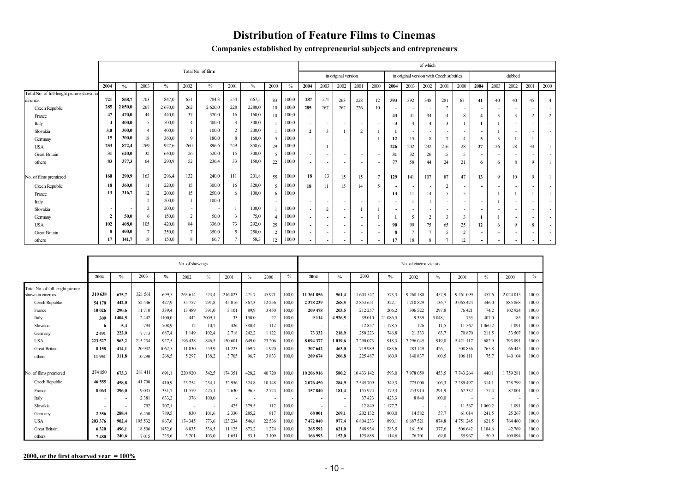#### **Distribution of Feature Films to Cinemas**

|  | Companies established by entrepreneurial subjects and entrepreneurs |  |
|--|---------------------------------------------------------------------|--|
|  |                                                                     |  |

|                                           |                |               |               |        |                |                    |                |        |                          |       |                          |                          |                          |                          |                          |                          |                          | of which                                 |                          |                 |                          |             |                          |                          |                          |
|-------------------------------------------|----------------|---------------|---------------|--------|----------------|--------------------|----------------|--------|--------------------------|-------|--------------------------|--------------------------|--------------------------|--------------------------|--------------------------|--------------------------|--------------------------|------------------------------------------|--------------------------|-----------------|--------------------------|-------------|--------------------------|--------------------------|--------------------------|
|                                           |                |               |               |        |                | Total No. of films |                |        |                          |       |                          |                          | in original version      |                          |                          |                          |                          | in original version with Czech subtitles |                          |                 |                          |             | dubbed                   |                          |                          |
|                                           | 2004           | $\frac{0}{2}$ | 2003          | $\%$   | 2002           | $\%$               | 2001           | $\%$   | 2000                     | $\%$  | 2004                     | 2003                     | 2002                     | 2001                     | 2000                     | 2004                     | 2003                     | 2002                                     | 2001                     | 2000            | 2004                     | 2003        | 2002                     | 2001                     | 2000                     |
| Total No. of full-lenght picture shown in |                |               |               |        |                |                    |                |        |                          |       |                          |                          |                          |                          |                          |                          |                          |                                          |                          |                 |                          |             |                          |                          |                          |
| cinemas                                   | 721            | 868.7         | 703           | 847.0  | 651            | 784.3              | 554            | 667,5  | 83                       | 100.0 | 287                      | 271                      | 263                      | 228                      | 12                       | 393                      | 392                      | 348                                      | 281                      | 67              | 41                       | 40          | 40                       | 45                       | $\overline{4}$           |
| Czech Republic                            | 285            | 2850,0        | 267           | 2670,0 | 262            | 2 620,0            | 228            | 2280,0 | 10                       | 100,0 | 285                      | 267                      | 262                      | 226                      | 10                       |                          | $\sim$                   |                                          | 2                        |                 |                          |             |                          |                          | $\overline{\phantom{a}}$ |
| France                                    | 47             | 470,0         | 44            | 440,0  | 37             | 370,0              | 16             | 160,0  | 10                       | 100,0 | $\overline{\phantom{a}}$ | $\overline{\phantom{a}}$ | $\overline{\phantom{a}}$ |                          |                          | 43                       | 41                       | 34                                       | 14                       | 8               |                          |             | $\mathbf{3}$             | $\overline{2}$           | 2                        |
| Italy                                     |                | 400,0         | 5             | 500,0  | $\overline{4}$ | 400,0              | $\overline{3}$ | 300,0  |                          | 100,0 | $\overline{\phantom{a}}$ | $\sim$                   | $\sim$                   | $\overline{\phantom{a}}$ |                          | $\mathbf{3}$             |                          |                                          | $\mathbf{3}$             |                 |                          |             |                          | $\overline{\phantom{a}}$ | $\overline{\phantom{a}}$ |
| Slovakia                                  | 3,0            | 300.0         |               | 400,0  |                | 100,0              | 2              | 200.0  |                          | 100.0 | $\mathbf{2}$             | $\overline{\mathbf{3}}$  |                          | $\overline{2}$           |                          |                          | $\sim$                   | $\sim$                                   | $\overline{\phantom{a}}$ |                 | $\overline{\phantom{a}}$ |             | $\overline{\phantom{a}}$ | $\overline{\phantom{0}}$ | $\overline{\phantom{a}}$ |
| Germany                                   | 15             | 300.0         | 18            | 360,0  | $\overline{9}$ | 180,0              | 8              | 160.0  | $\tilde{\mathcal{L}}$    | 100,0 | $\overline{\phantom{a}}$ | $\overline{\phantom{a}}$ | $\overline{\phantom{a}}$ |                          |                          | 12                       | 15                       | 8                                        |                          |                 | 3                        |             |                          |                          | $\overline{\phantom{a}}$ |
| <b>USA</b>                                | 253            | 872,4         | 269           | 927,6  | 260            | 896,6              | 249            | 858.6  | 29                       | 100,0 | $\overline{\phantom{a}}$ |                          | $\sim$                   | $\overline{\phantom{0}}$ |                          | 226                      | 242                      | 232                                      | 216                      | 28              | 27                       | 26          | 28                       | 33                       |                          |
| <b>Great Britain</b>                      | 31             | 620,0         | 32            | 640,0  | 26             | 520,0              | 15             | 300,0  | $\tilde{\mathcal{L}}$    | 100,0 | $\overline{\phantom{a}}$ | $\overline{\phantom{a}}$ | $\sim$                   |                          |                          | 31                       | 32                       | 26                                       | 15                       | 5               | $\overline{\phantom{a}}$ |             |                          |                          | $\overline{\phantom{a}}$ |
| others                                    | 83             | 377,3         | 64            | 290,9  | 52             | 236,4              | 33             | 150,0  | 22                       | 100,0 |                          | $\overline{\phantom{a}}$ | $\overline{\phantom{a}}$ |                          | $\overline{\phantom{a}}$ | 77                       | 58                       | 44                                       | 24                       | 21              | 6                        | 6           | 8                        | 9                        |                          |
|                                           |                |               |               |        |                |                    |                |        |                          |       |                          |                          |                          |                          |                          |                          |                          |                                          |                          |                 |                          |             |                          |                          |                          |
| No. of films premiered                    | 160            | 290,9         | 163           | 296,4  | 132            | 240,0              | 111            | 201,8  | 55                       | 100,0 | 18                       | 13                       | 15                       | 15                       | $\overline{7}$           | 129                      | 141                      | 107                                      | 87                       | 47              | 13                       | $\mathbf Q$ | 10                       | 9                        |                          |
| Czech Republic                            | 18             | 360.0         | 11            | 220,0  | 15             | 300,0              | 16             | 320,0  | $\overline{\phantom{0}}$ | 100,0 | 18                       | 11                       | 15                       | 14                       | 5                        | $\overline{\phantom{a}}$ | $\sim$                   | $\sim$                                   | $\overline{2}$           |                 | $\overline{\phantom{a}}$ |             | $\overline{\phantom{a}}$ |                          | $\overline{\phantom{a}}$ |
| France                                    | 13             | 216.7         | 12            | 200.0  | 15             | 250,0              | 6              | 100.0  | 6                        | 100,0 | $\overline{\phantom{a}}$ | $\overline{\phantom{a}}$ | $\sim$                   | -                        | $\overline{\phantom{a}}$ | 13                       | 11                       | 14                                       | .5                       | 5               | $\overline{\phantom{a}}$ |             |                          |                          |                          |
| Italy                                     |                |               |               | 200,0  |                | 100,0              |                |        |                          |       | $\overline{\phantom{a}}$ | $\overline{\phantom{a}}$ | $\overline{\phantom{a}}$ |                          |                          | $\overline{\phantom{a}}$ |                          |                                          |                          |                 | $\overline{\phantom{a}}$ |             | . .                      |                          | $\overline{\phantom{a}}$ |
| Slovakia                                  |                |               | 2             | 200,0  | $\sim$         |                    |                | 100,0  |                          | 100,0 | $\overline{\phantom{a}}$ | 2                        | $\sim$                   |                          |                          | $\overline{\phantom{a}}$ | $\overline{\phantom{a}}$ |                                          |                          |                 |                          |             |                          |                          | $\overline{\phantom{a}}$ |
| Germany                                   | $\overline{2}$ | 50,0          | 6             | 150,0  | 2              | 50,0               | $\overline{3}$ | 75,0   |                          | 100,0 | $\overline{\phantom{0}}$ | $\overline{\phantom{a}}$ | $\overline{\phantom{a}}$ |                          |                          |                          | 5                        | $\gamma$                                 | 3                        | 3               |                          |             | $\overline{\phantom{a}}$ | $\overline{\phantom{a}}$ | $\overline{\phantom{a}}$ |
| <b>USA</b>                                | 102            | 408.0         | 105           | 420,0  | 84             | 336,0              | 73             | 292,0  | 25                       | 100,0 | $\overline{\phantom{a}}$ | $\overline{\phantom{a}}$ | $\sim$                   | $\overline{\phantom{0}}$ |                          | 90                       | 99                       | 75                                       | 65                       | 25              | 12                       | 6           | 9                        | 8                        | $\sim$                   |
| <b>Great Britain</b>                      | 8              | 400,0         | $\mathcal{I}$ | 350,0  | $\overline{7}$ | 350,0              | $\sim$         | 250,0  | $\mathcal{L}$            | 100,0 | $\overline{\phantom{0}}$ | $\overline{\phantom{a}}$ | $\overline{\phantom{a}}$ | -                        |                          | 8                        |                          |                                          | 5                        | $\overline{2}$  | $\overline{\phantom{a}}$ |             | $\overline{\phantom{a}}$ | $\overline{\phantom{a}}$ | $\overline{\phantom{a}}$ |
| others                                    | 17             | 141,7         | 18            | 150,0  | 8              | 66,7               |                | 58,3   | 12                       | 100,0 |                          |                          |                          |                          |                          | 17                       | 18                       | 8                                        |                          | $\overline{12}$ |                          |             |                          |                          |                          |

|                                                      |                          |                          |         |               | No. of showings |        |         |                          |          |       |                          |                          |               |               | No. of cinema visitors |         |               |               |             |       |
|------------------------------------------------------|--------------------------|--------------------------|---------|---------------|-----------------|--------|---------|--------------------------|----------|-------|--------------------------|--------------------------|---------------|---------------|------------------------|---------|---------------|---------------|-------------|-------|
|                                                      | 2004                     | $\frac{0}{0}$            | 2003    | $\frac{0}{0}$ | 2002            | $\%$   | 2001    | $\frac{0}{0}$            | 2000     | $\%$  | 2004                     | $\frac{0}{0}$            | 2003          | $\frac{0}{2}$ | 2002                   | $\%$    | 2001          | $\frac{0}{0}$ | 2000        | $\%$  |
| Total No. of full-lenght picture<br>shown in cinemas | 310 638                  | 675.7                    | 321 561 | 699.5         | 263 614         | 573.4  | 216823  | 471.7                    | 45 97    | 100,0 | 11 361 856               | 561.4                    | 11 603 547    | 573.3         | 9 268 180              | 457.9   | 9 261 099     | 457.6         | 2 0 24 0 15 | 100.0 |
| Czech Republic                                       | 54 170                   | 442.0                    | 52 446  | 427.9         | 35 75 7         | 291.8  | 45 016  | 367,3                    | 12 2 5 6 | 100,0 | 2 378 239                | 268.5                    | 2853651       | 322,1         | 1 210 829              | 136,7   | 3 065 424     | 346.0         | 885 868     | 100,0 |
| France                                               | 10 026                   | 290.6                    | 11710   | 339.4         | 13 4 89         | 391.0  | 3 10 1  | 899                      | 3 4 5 0  | 100,0 | 209 478                  | 203.5                    | 212 257       | 206.2         | 306 522                | 297.8   | 76 421        | 74.2          | 102 924     | 100,0 |
| Italy                                                | 309                      | 1404.5                   | 2 4 4 2 | 11100.0       | 442             | 2009.1 | 33      | 150.0                    | 22       | 100,0 | 9 1 1 4                  | 4926.5                   | 39 010        | 21 086.5      | 9339                   | 5 048.1 | 753           | 407.0         | 185         | 100,0 |
| Slovakia                                             | 6                        | 5,4                      | 794     | 708.9         | 12              | 10.7   | 426     | 380.4                    | 112      | 100,0 |                          | $\overline{\phantom{a}}$ | 12857         | 1 178.5       | 126                    | 11,5    | 11 567        | 060.2         | 1 0 9 1     | 100,0 |
| Germany                                              | 2491                     | 222.0                    | 7713    | 687.4         | 1 1 4 9         | 102.4  | 2 7 1 8 | 242.2                    | 1 1 2 2  | 100.0 | 73 332                   | 218.9                    | 250 223       | 746.8         | 21 3 3 3               | 63,7    | 70 870        | 211.5         | 33 507      | 100,0 |
| <b>USA</b>                                           | 223 527                  | 963.2                    | 215 234 | 927.5         | 196 438         | 846.5  | 150 601 | 649.0                    | 23 206   | 100,0 | 8 094 377                | 1 019.6                  | 7 290 073     | 918.3         | 296 045                | 919.0   | 5 421 117     | 682.9         | 793 891     | 100,0 |
| <b>Great Britain</b>                                 | 8 1 5 8                  | 414.1                    | 20 9 32 | 1062,5        | 11 030          | 559.9  | 11 223  | 569,7                    | 1970     | 100,0 | 307 642                  | 463.0                    | 719 989       | 1 083.6       | 283 149                | 426,1   | 508 836       | 765.8         | 66 445      | 100,0 |
| others                                               | 11951                    | 311.8                    | 10 290  | 268.5         | 5 2 9 7         | 138.2  | 3 7 0 5 | 96.7                     | 3833     | 100.0 | 289 674                  | 206.8                    | 225 487       | 160.9         | 140 837                | 100.5   | 106 111       | 75.7          | 140 104     | 100,0 |
| No. of films premiered                               | 274 150                  | 673.3                    | 281 411 | 691.1         | 220 920         | 542.5  | 174 351 | 428.2                    | 40 720   | 100.0 | 10 206 916               | 580.2                    | 10 433 142    | 593.0         | 7978059                | 453.5   | 7 743 264     | 440.1         | 1759281     | 100,0 |
| Czech Republic                                       | 46 555                   | 458.8                    | 41 700  | 410.9         | 23 7 54         | 234.1  | 32 956  | 324,8                    | 10 148   | 100,0 | 2 076 450                | 284.9                    | 2 5 4 5 7 0 9 | 349.3         | 775 000                | 106.3   | 2 2 8 9 4 9 7 | 314.1         | 728 799     | 100,0 |
| France                                               | 8 0 6 3                  | 296.0                    | 9 0 3 5 | 331.7         | 11 579          | 425.1  | 2630    | 96.5                     | 2 7 2 4  | 100.0 | 157840                   | 181.4                    | 155 974       | 179.3         | 253 914                | 291.9   | 67332         | 77.4          | 87 001      | 100,0 |
| Italy                                                | $\overline{\phantom{a}}$ | $\overline{\phantom{a}}$ | 2 3 8 1 | 633.2         | 376             | 100,0  | $\sim$  | $\overline{\phantom{a}}$ |          |       | $\overline{\phantom{a}}$ | $\sim$                   | 37 423        | 423.3         | 8840                   | 100,0   |               |               |             |       |
| Slovakia                                             |                          |                          | 792     | 707.1         |                 |        | 425     | 379.5                    | 112      | 100,0 |                          | $\sim$                   | 12 849        | 1 177.7       |                        |         | 11 567        | 1 060 2       | 1 0 9 1     | 100,0 |
| Germany                                              | 2 3 5 6                  | 288.4                    | 6450    | 789.5         | 830             | 101.6  | 2 3 3 0 | 285.2                    | 817      | 100,0 | 68 001                   | 269.1                    | 202 132       | 800.0         | 14582                  | 57,7    | 61 014        | 241.5         | 25 267      | 100,0 |
| <b>USA</b>                                           | 203 376                  | 902.4                    | 195 532 | 867.6         | 174 345         | 773.6  | 123 234 | 546.8                    | 22 5 3 6 | 100.0 | 7472040                  | 977.4                    | 6 804 233     | 890.1         | 6 687 521              | 874.8   | 4 751 245     | 621.5         | 764 460     | 100,0 |
| <b>Great Britain</b>                                 | 6320                     | 496.1                    | 18 50 6 | 1452,6        | 6835            | 536.5  | 11 125  | 873.2                    | 1 2 7 4  | 100,0 | 265 592                  | 621,0                    | 548 934       | 1283.5        | 161 501                | 377,6   | 506 642       | 1846          | 42 769      | 100,0 |
| others                                               | 7480                     | 240.6                    | 7015    | 225.6         | 3 2 0 1         | 103.0  | 1651    | 53.1                     | 3 1 0 9  | 100.0 | 166 993                  | 152.0                    | 125 888       | 114.6         | 76 701                 | 69.8    | 55 967        | 50.9          | 109 894     | 100,0 |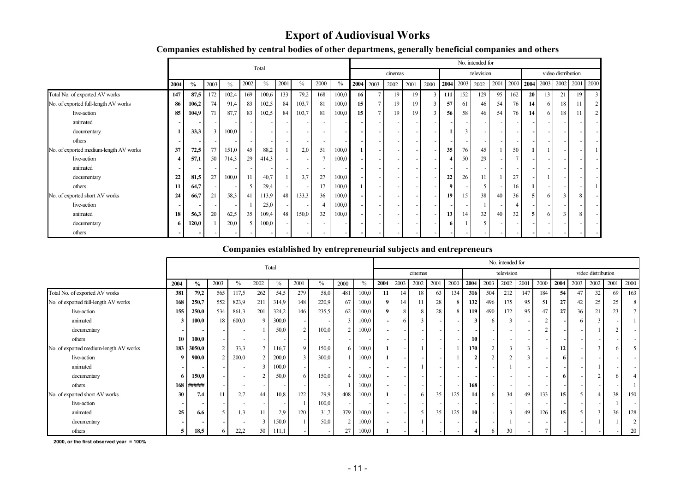#### **Export of Audiovisual Works**

|                                        |      |                          |              |       |                          | Total |      |       |                          |       |                 |                |                          |      |                |       |                          | No. intended for |      |      |                 |           |                    |      |      |
|----------------------------------------|------|--------------------------|--------------|-------|--------------------------|-------|------|-------|--------------------------|-------|-----------------|----------------|--------------------------|------|----------------|-------|--------------------------|------------------|------|------|-----------------|-----------|--------------------|------|------|
|                                        |      |                          |              |       |                          |       |      |       |                          |       |                 |                | cinemas                  |      |                |       |                          | television       |      |      |                 |           | video distribution |      |      |
|                                        | 2004 | $\%$                     | 2003         | $\%$  | 2002                     | $\%$  | 2001 | $\%$  | 2000                     | $\%$  | 2004            | 2003           | 2002                     | 2001 | 2000           |       | 2004 2003                | 2002             | 2001 | 2000 |                 | 2004 2003 | 2002               | 2001 | 2000 |
| Total No. of exported AV works         | 147  | 87,5                     | 172          | 102,4 | 169                      | 100,6 | 133  | 79,2  | 168                      | 100,0 | 16 <sup>1</sup> |                | 19                       | 19   | $\overline{3}$ | 111 l | 152                      | 129              | 95   | 162  | 20 <sup>1</sup> | 13        | 21                 | 19   |      |
| No. of exported full-length AV works   | 86   | 106,2                    | 74           | 91,4  | 83                       | 102,5 | 84   | 103,7 | 81                       | 100,0 | 15              | 7 <sup>1</sup> | 19                       | 19   | 3              | 57    | 61                       | 46               | 54   | 76   | 14              | 6         | 18                 | 11   |      |
| live-action                            | 85   | 104,9                    | 71           | 87,7  | 83                       | 102,5 | 84   | 103,7 | 81                       | 100,0 | 15              | $\tau$         | 19                       | 19   | $\mathcal{L}$  | 56    | 58                       | 46               | 54   | 76   | 14              | 6         | 18                 |      |      |
| animated                               |      |                          |              |       |                          |       |      |       |                          |       |                 |                |                          |      |                |       |                          |                  |      |      |                 |           |                    |      |      |
| documentary                            |      | 33,3                     | $\mathbf{R}$ | 100,0 |                          |       |      |       |                          |       |                 |                |                          |      |                |       | $\mathbf{3}$             |                  |      |      |                 |           |                    |      |      |
| others                                 |      |                          |              |       |                          |       |      |       | $\overline{\phantom{a}}$ |       |                 |                |                          |      |                |       |                          |                  |      |      |                 |           |                    |      |      |
| No. of exported medium-length AV works | 37   | 72,5                     | 77           | 151,0 | 45                       | 88,2  |      | 2,0   | 51                       | 100,0 |                 |                | $\overline{\phantom{a}}$ |      |                | 35    | 76                       | 45               |      | 50   |                 |           |                    |      |      |
| live-action                            |      | 57,1                     | 50           | 714,3 | 29                       | 414,3 |      |       |                          | 100,0 |                 |                |                          |      |                |       | 50                       | 29               |      |      |                 |           |                    |      |      |
| animated                               |      | $\overline{\phantom{a}}$ |              |       | $\overline{\phantom{a}}$ |       |      |       | $\overline{\phantom{0}}$ |       |                 |                |                          |      |                |       | $\overline{\phantom{a}}$ |                  |      |      |                 |           |                    |      |      |
| documentary                            | 22   | 81,5                     | 27           | 100,0 | 11                       | 40,7  |      | 3,7   | 27                       | 100,0 |                 |                |                          |      |                | 22    | 26                       | 11               |      | 27   |                 |           |                    |      |      |
| others                                 | 11   | 64,7                     |              |       | 5                        | 29,4  |      |       | 17                       | 100,0 |                 |                |                          |      |                | 9     |                          | 5                |      | 16   |                 |           |                    |      |      |
| No. of exported short AV works         | 24   | 66,7                     | 21           | 58,3  | 41                       | 113,9 | 48   | 133,3 | 36                       | 100,0 |                 |                |                          |      |                | 19    | 15                       | 38               | 40   | 36   |                 | 6         |                    | 8    |      |
| live-action                            |      |                          |              |       |                          | 25,0  |      |       | 4                        | 100,0 |                 |                |                          |      |                |       |                          |                  |      |      |                 |           |                    |      |      |
| animated                               | 18   | 56,3                     | 20           | 62,5  | 35                       | 109,4 | 48   | 150,0 | 32                       | 100,0 |                 |                |                          |      |                | 13    | 14                       | 32               | 40   | 32   |                 | 6         | 3                  | 8    |      |
| documentary                            | 6.   | 120,0                    |              | 20,0  | 5                        | 100,0 |      |       |                          |       |                 |                |                          |      |                | 6     |                          |                  |      |      |                 |           |                    |      |      |
| others                                 |      |                          |              |       |                          |       |      |       | $\overline{\phantom{0}}$ |       |                 |                |                          |      |                |       |                          |                  |      |      |                 |           |                    |      |      |

#### **Companies established by central bodies of other departmens, generally beneficial companies and others**

#### **Companies established by entrepreneurial subjects and entrepreneurs**

|                                        |      |        |      |       |                          | Total |                          |       |                |       |                |      |         |                          |      |      |          | No. intended for |      |      |      |      |                    |      |      |
|----------------------------------------|------|--------|------|-------|--------------------------|-------|--------------------------|-------|----------------|-------|----------------|------|---------|--------------------------|------|------|----------|------------------|------|------|------|------|--------------------|------|------|
|                                        |      |        |      |       |                          |       |                          |       |                |       |                |      | cinemas |                          |      |      |          | television       |      |      |      |      | video distribution |      |      |
|                                        | 2004 | $\%$   | 2003 | $\%$  | 2002                     | $\%$  | 2001                     | $\%$  | 2000           | $\%$  | 2004           | 2003 | 2002    | 2001                     | 2000 | 2004 | 2003     | 2002             | 2001 | 2000 | 2004 | 2003 | 2002               | 2001 | 2000 |
| Total No. of exported AV works         | 381  | 79,2   | 565  | 117,5 | 262                      | 54,5  | 279                      | 58,0  | 481            | 100,0 | 11             | 14   | 18      | 63                       | 134  | 316  | 504      | 212              | 147  | 184  | 54   | 47   | 32                 | 69   | 163  |
| No. of exported full-length AV works   | 168  | 250,7  | 552  | 823,9 | 211                      | 314,9 | 148                      | 220,9 | 67             | 100,0 | 9 <sub>l</sub> | 14   | 11      | 28                       | 8    | 132  | 496      | 175              | 95   | 51   | 27   | 42   | 25                 | 25   |      |
| live-action                            | 155  | 250,0  | 534  | 861,3 | 201                      | 324,2 | 146                      | 235,5 | 62             | 100,0 | $\mathbf{Q}$   | 8    | 8       | 28                       | 8    | 119  | 490      | 172              | 95   | 47   | 27   | 36   | 21                 | 23   |      |
| animated                               | 3    | 100,0  | 18   | 600,0 | 9                        | 300,0 | $\overline{\phantom{a}}$ |       | $\mathbf{3}$   | 100,0 |                | 6    | 3       | $\overline{\phantom{a}}$ |      | 3    | -6       |                  |      |      |      |      |                    |      |      |
| documentary                            |      |        |      |       |                          | 50,0  | 2                        | 100,0 | 2              | 100,0 |                |      |         | $\overline{\phantom{a}}$ |      |      |          |                  |      |      |      |      |                    |      |      |
| others                                 |      | 100,0  |      |       | $\overline{\phantom{0}}$ |       | $\overline{\phantom{0}}$ |       |                |       |                |      |         | $\overline{\phantom{a}}$ |      | 10   |          |                  |      |      |      |      |                    |      |      |
| No. of exported medium-length AV works | 183  | 3050,0 | 2    | 33,3  | $\tau$                   | 116,7 | 9                        | 150,0 | 6              | 100,0 |                |      |         | $\overline{\phantom{a}}$ |      | 170  | $\gamma$ | 3 <sub>1</sub>   | 3    |      | 12   |      | 3                  |      |      |
| live-action                            |      | 900,0  |      | 200,0 | 2                        | 200,0 | 3                        | 300,0 |                | 100,0 |                |      |         |                          |      | n    |          |                  |      |      | 6    |      |                    |      |      |
| animated                               |      |        |      |       | 3                        | 100,0 |                          |       |                |       |                |      |         | $\overline{\phantom{a}}$ |      |      |          |                  |      |      |      |      |                    |      |      |
| documentary                            | 6    | 150,0  |      |       | 2                        | 50,0  | 6                        | 150,0 | $\overline{4}$ | 100,0 |                |      |         |                          |      |      |          |                  |      |      | 6    |      | o                  |      |      |
| others                                 | 168  | ###### |      |       |                          |       |                          |       |                | 100,0 |                |      |         | $\overline{\phantom{a}}$ |      | 168  |          |                  |      |      |      |      |                    |      |      |
| No. of exported short AV works         | 30   | 7,4    | 11   | 2,7   | 44                       | 10,8  | 122                      | 29.9  | 408            | 100,0 |                |      | 6.      | 35                       | 125  | 14   | 6        | 34               | 49   | 133  | 15   |      |                    | 38   | 150  |
| live-action                            |      |        |      |       |                          |       |                          | 100,0 |                |       |                |      |         |                          |      |      |          |                  |      |      |      |      |                    |      |      |
| animated                               | 25   | 6,6    |      | 1,3   | 11                       | 2,9   | 120                      | 31,7  | 379            | 100,0 |                |      |         | 35                       | 125  | 10   |          |                  | 49   | 126  | 15   |      |                    | 36   | 128  |
| documentary                            |      |        |      |       | 3                        | 150,0 |                          | 50,0  | $\overline{2}$ | 100,0 |                |      |         |                          |      |      |          |                  |      |      |      |      |                    |      |      |
| others                                 | 5    | 18,5   |      | 22,2  | 30                       | 111,1 |                          |       |                | 100,0 |                |      |         |                          |      |      | 6        | 30               |      |      |      |      |                    |      | 20   |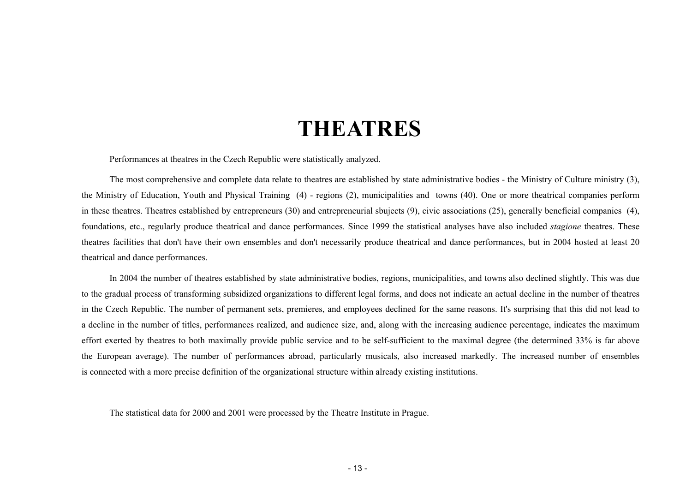# **THEATRES**

<span id="page-12-0"></span>Performances at theatres in the Czech Republic were statistically analyzed.

The most comprehensive and complete data relate to theatres are established by state administrative bodies - the Ministry of Culture ministry (3), the Ministry of Education, Youth and Physical Training (4) - regions (2), municipalities and towns (40). One or more theatrical companies perform in these theatres. Theatres established by entrepreneurs (30) and entrepreneurial sbujects (9), civic associations (25), generally beneficial companies (4), foundations, etc., regularly produce theatrical and dance performances. Since 1999 the statistical analyses have also included *stagione* theatres. These theatres facilities that don't have their own ensembles and don't necessarily produce theatrical and dance performances, but in 2004 hosted at least 20 theatrical and dance performances.

In 2004 the number of theatres established by state administrative bodies, regions, municipalities, and towns also declined slightly. This was due to the gradual process of transforming subsidized organizations to different legal forms, and does not indicate an actual decline in the number of theatres in the Czech Republic. The number of permanent sets, premieres, and employees declined for the same reasons. It's surprising that this did not lead to a decline in the number of titles, performances realized, and audience size, and, along with the increasing audience percentage, indicates the maximum effort exerted by theatres to both maximally provide public service and to be self-sufficient to the maximal degree (the determined 33% is far above the European average). The number of performances abroad, particularly musicals, also increased markedly. The increased number of ensembles is connected with a more precise definition of the organizational structure within already existing institutions.

The statistical data for 2000 and 2001 were processed by the Theatre Institute in Prague.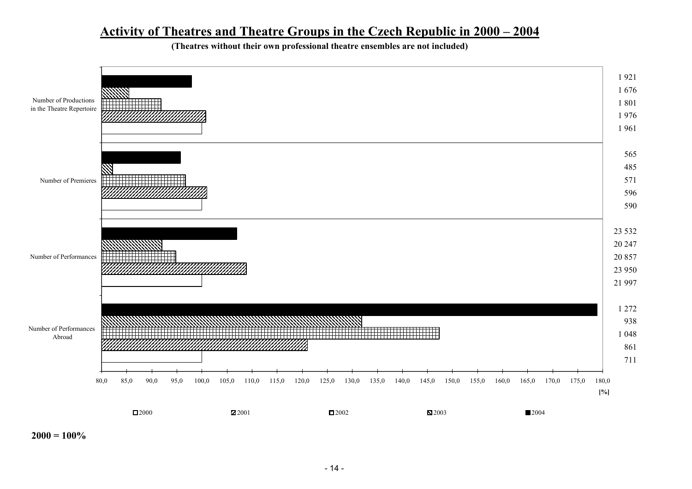### **Activity of Theatres and Theatre Groups in the Czech Republic in 2000 – 2004**

**(Theatres without their own professional theatre ensembles are not included)** 



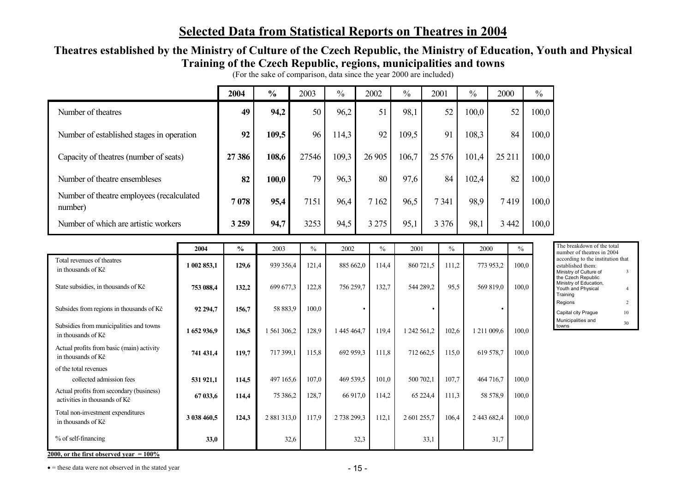# **Selected Data from Statistical Reports on Theatres in 2004**

#### **Theatres established by the Ministry of Culture of the Czech Republic, the Ministry of Education, Youth and Physical Training of the Czech Republic, regions, municipalities and towns**

|                                                                           |             | 2004          | $\frac{0}{0}$ | 2003          | $\frac{0}{0}$ | 2002          | $\frac{0}{0}$ | 2001      |         | $\frac{0}{0}$ | 2000      |       | $\frac{0}{0}$ |                                                                                                             |
|---------------------------------------------------------------------------|-------------|---------------|---------------|---------------|---------------|---------------|---------------|-----------|---------|---------------|-----------|-------|---------------|-------------------------------------------------------------------------------------------------------------|
| Number of theatres                                                        |             | 49            | 94,2          | 50            | 96,2          | 51            | 98,1          |           | 52      | 100,0         |           | 52    | 100,0         |                                                                                                             |
| Number of established stages in operation                                 |             | 92            | 109,5         | 96            | 114,3         | 92            | 109,5         |           | 91      | 108,3         |           | 84    | 100,0         |                                                                                                             |
| Capacity of theatres (number of seats)                                    |             | 27 38 6       | 108,6         | 27546         | 109,3         | 26 905        | 106,7         | 25 5 7 6  |         | 101,4         | 25 211    |       | 100,0         |                                                                                                             |
| Number of theatre ensembleses                                             |             | 82            | 100,0         | 79            | 96,3          | 80            | 97,6          |           | 84      | 102,4         |           | 82    | 100,0         |                                                                                                             |
| Number of theatre employees (recalculated<br>number)                      |             | 7078          | 95,4          | 7151          | 96,4          | 7 1 6 2       | 96,5          |           | 7341    | 98,9          | 7419      |       | 100,0         |                                                                                                             |
| Number of which are artistic workers                                      |             | 3 2 5 9       | 94,7          | 3253          | 94,5          | 3 2 7 5       | 95,1          |           | 3 3 7 6 | 98,1          | 3 4 4 2   |       | 100,0         |                                                                                                             |
|                                                                           | 2004        | $\frac{6}{6}$ | 2003          | $\frac{0}{0}$ | 2002          | $\frac{0}{0}$ | 2001          |           | $\%$    | 2000          |           | $\%$  |               | The breakdown of the total<br>number of theatres in 2004                                                    |
| Total revenues of theatres<br>in thousands of Kč                          | 1 002 853,1 | 129,6         | 939 356,4     | 121,4         | 885 662,0     | 114,4         |               | 860 721,5 | 111,2   |               | 773 953,2 | 100,0 |               | according to the institution that<br>established them:<br>Ministry of Culture of<br>$\overline{\mathbf{3}}$ |
| State subsidies, in thousands of Kč                                       | 753 088,4   | 132,2         | 699 677,3     | 122,8         | 756 259,7     | 132,7         |               | 544 289,2 | 95,5    |               | 569 819,0 | 100.0 |               | the Czech Republic<br>Ministry of Education,<br>Youth and Physical<br>$\overline{4}$<br>Training            |
| Subsides from regions in thousands of Kč                                  | 92 294,7    | 156,7         | 58 883,9      | 100,0         |               |               |               | $\bullet$ |         |               |           |       |               | Regions<br>$\overline{2}$<br>Capital city Prague<br>$10\,$                                                  |
| Subsidies from municipalities and towns<br>in thousands of Kč             | 1 652 936,9 | 136,5         | 1 561 306,2   | 128,9         | 1 445 464,7   | 119,4         | 1 242 561,2   |           | 102,6   | 1 211 009,6   |           | 100,0 |               | Municipalities and<br>30<br>towns                                                                           |
| Actual profits from basic (main) activity<br>in thousands of Kč           | 741 431.4   | 119,7         | 717 399,1     | 115,8         | 692 959,3     | 111,8         |               | 712 662,5 | 115,0   |               | 619 578,7 | 100,0 |               |                                                                                                             |
| of the total revenues<br>collected admission fees                         | 531 921,1   | 114,5         | 497 165,6     | 107,0         | 469 539,5     | 101,0         | 500 702,1     |           | 107,7   |               | 464 716,7 | 100,0 |               |                                                                                                             |
| Actual profits from secondary (business)<br>activities in thousands of Kč | 67 033,6    | 114,4         | 75 386,2      | 128,7         | 66 917,0      | 114,2         |               | 65 224,4  | 111,3   |               | 58 578,9  | 100,0 |               |                                                                                                             |
| Total non-investment expenditures<br>in thousands of Kč                   | 3 038 460.5 | 124,3         | 2 881 313,0   | 117,9         | 2 738 299,3   | 112,1         | 2 601 255,7   |           | 106,4   | 2 443 682,4   |           | 100,0 |               |                                                                                                             |
| % of self-financing                                                       | 33,0        |               | 32,6          |               |               | 32,3          |               | 33,1      |         |               | 31,7      |       |               |                                                                                                             |

(For the sake of comparison, data since the year 2000 are included)

**2000, or the first observed year = 100%**

•  $=$  these data were not observed in the stated year  $-15 -$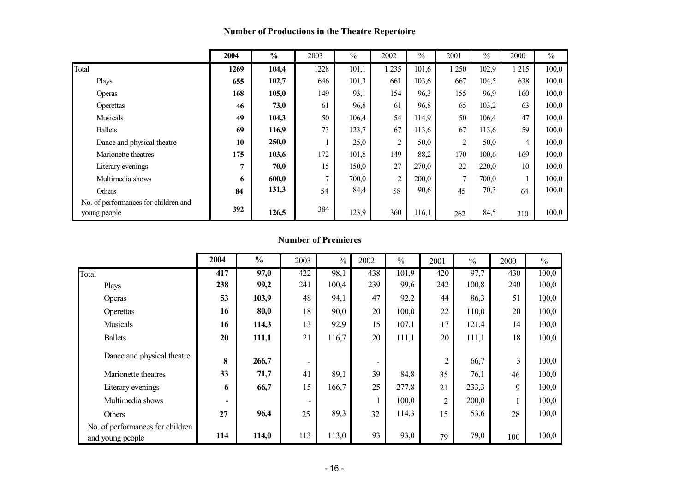#### **Number of Productions in the Theatre Repertoire**

|                                                      | 2004         | $\frac{0}{0}$ | 2003          | $\%$  | 2002           | $\frac{0}{0}$ | 2001           | $\%$  | 2000 | $\frac{0}{0}$ |
|------------------------------------------------------|--------------|---------------|---------------|-------|----------------|---------------|----------------|-------|------|---------------|
| Total                                                | 1269         | 104,4         | 1228          | 101,1 | 1 2 3 5        | 101,6         | 1 250          | 102,9 | 215  | 100,0         |
| Plays                                                | 655          | 102,7         | 646           | 101,3 | 661            | 103,6         | 667            | 104,5 | 638  | 100,0         |
| Operas                                               | 168          | 105,0         | 149           | 93,1  | 154            | 96,3          | 155            | 96,9  | 160  | 100,0         |
| Operettas                                            | 46           | 73,0          | 61            | 96,8  | 61             | 96,8          | 65             | 103,2 | 63   | 100,0         |
| Musicals                                             | 49           | 104,3         | 50            | 106,4 | 54             | 114,9         | 50             | 106,4 | 47   | 100,0         |
| <b>Ballets</b>                                       | 69           | 116,9         | 73            | 123,7 | 67             | 113,6         | 67             | 113,6 | 59   | 100,0         |
| Dance and physical theatre                           | 10           | 250,0         |               | 25,0  | 2              | 50,0          | 2              | 50,0  | 4    | 100,0         |
| Marionette theatres                                  | 175          | 103,6         | 172           | 101,8 | 149            | 88,2          | 170            | 100,6 | 169  | 100,0         |
| Literary evenings                                    | $\mathbf{r}$ | 70,0          | 15            | 150,0 | 27             | 270,0         | 22             | 220,0 | 10   | 100,0         |
| Multimedia shows                                     | 6            | 600,0         | $\mathcal{I}$ | 700,0 | $\overline{2}$ | 200,0         | $\overline{7}$ | 700,0 |      | 100,0         |
| <b>Others</b>                                        | 84           | 131,3         | 54            | 84,4  | 58             | 90,6          | 45             | 70,3  | 64   | 100,0         |
| No. of performances for children and<br>young people | 392          | 126,5         | 384           | 123,9 | 360            | 116,1         | 262            | 84,5  | 310  | 100,0         |

#### **Number of Premieres**

|                                                      | 2004 | $\frac{0}{0}$ | 2003 | $\%$  | 2002 | $\frac{0}{0}$ | 2001           | $\frac{0}{0}$ | 2000 | $\frac{0}{0}$ |
|------------------------------------------------------|------|---------------|------|-------|------|---------------|----------------|---------------|------|---------------|
| Total                                                | 417  | 97,0          | 422  | 98,1  | 438  | 101,9         | 420            | 97,7          | 430  | 100,0         |
| Plays                                                | 238  | 99,2          | 241  | 100,4 | 239  | 99,6          | 242            | 100,8         | 240  | 100,0         |
| Operas                                               | 53   | 103,9         | 48   | 94,1  | 47   | 92,2          | 44             | 86,3          | 51   | 100,0         |
| Operettas                                            | 16   | 80,0          | 18   | 90,0  | 20   | 100,0         | 22             | 110,0         | 20   | 100,0         |
| <b>Musicals</b>                                      | 16   | 114,3         | 13   | 92,9  | 15   | 107,1         | 17             | 121,4         | 14   | 100,0         |
| <b>Ballets</b>                                       | 20   | 111,1         | 21   | 116,7 | 20   | 111,1         | 20             | 111,1         | 18   | 100,0         |
| Dance and physical theatre                           | 8    | 266,7         |      |       |      |               | $\overline{2}$ | 66,7          | 3    | 100,0         |
| Marionette theatres                                  | 33   | 71,7          | 41   | 89,1  | 39   | 84,8          | 35             | 76,1          | 46   | 100,0         |
| Literary evenings                                    | 6    | 66,7          | 15   | 166,7 | 25   | 277,8         | 21             | 233,3         | 9    | 100,0         |
| Multimedia shows                                     |      |               |      |       |      | 100,0         | $\overline{2}$ | 200,0         |      | 100,0         |
| Others                                               | 27   | 96,4          | 25   | 89,3  | 32   | 114,3         | 15             | 53,6          | 28   | 100,0         |
| No. of performances for children<br>and young people | 114  | 114,0         | 113  | 113,0 | 93   | 93,0          | 79             | 79,0          | 100  | 100,0         |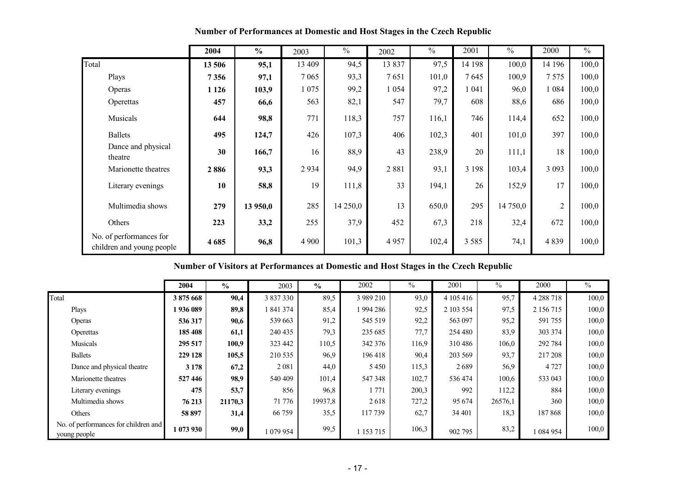|                                                      | 2004    | $\frac{6}{6}$ | 2003    | $\frac{0}{0}$ | 2002    | $\%$  | 2001    | $\frac{0}{0}$ | 2000           | $\frac{0}{0}$ |
|------------------------------------------------------|---------|---------------|---------|---------------|---------|-------|---------|---------------|----------------|---------------|
| Total                                                | 13 506  | 95,1          | 13 409  | 94,5          | 13837   | 97,5  | 14 198  | 100,0         | 14 19 6        | 100,0         |
| Plays                                                | 7356    | 97,1          | 7 0 6 5 | 93,3          | 7651    | 101,0 | 7645    | 100,9         | 7575           | 100,0         |
| Operas                                               | 1 1 2 6 | 103,9         | 1075    | 99,2          | 1 0 5 4 | 97,2  | 1 041   | 96,0          | 1084           | 100,0         |
| Operettas                                            | 457     | 66,6          | 563     | 82,1          | 547     | 79,7  | 608     | 88,6          | 686            | 100,0         |
| Musicals                                             | 644     | 98,8          | 771     | 118,3         | 757     | 116,1 | 746     | 114,4         | 652            | 100,0         |
| <b>Ballets</b>                                       | 495     | 124,7         | 426     | 107,3         | 406     | 102,3 | 401     | 101,0         | 397            | 100,0         |
| Dance and physical<br>theatre                        | 30      | 166,7         | 16      | 88,9          | 43      | 238,9 | 20      | 111,1         | 18             | 100,0         |
| Marionette theatres                                  | 2886    | 93,3          | 2934    | 94,9          | 2881    | 93,1  | 3 1 9 8 | 103,4         | 3 0 9 3        | 100,0         |
| Literary evenings                                    | 10      | 58,8          | 19      | 111,8         | 33      | 194,1 | 26      | 152,9         | 17             | 100,0         |
| Multimedia shows                                     | 279     | 13 950,0      | 285     | 14 250,0      | 13      | 650,0 | 295     | 14 750,0      | $\overline{2}$ | 100,0         |
| Others                                               | 223     | 33,2          | 255     | 37,9          | 452     | 67,3  | 218     | 32,4          | 672            | 100,0         |
| No. of performances for<br>children and young people | 4685    | 96,8          | 4 9 0 0 | 101,3         | 4957    | 102,4 | 3 5 8 5 | 74,1          | 4839           | 100,0         |

**Number of Performances at Domestic and Host Stages in the Czech Republic** 

**Number of Visitors at Performances at Domestic and Host Stages in the Czech Republic** 

|                                                      | 2004      | $\frac{0}{0}$ | 2003      | $\frac{6}{6}$ | 2002      | $\%$  | 2001      | $\frac{0}{0}$ | 2000        | $\frac{0}{0}$ |
|------------------------------------------------------|-----------|---------------|-----------|---------------|-----------|-------|-----------|---------------|-------------|---------------|
| Total                                                | 3875668   | 90,4          | 3 837 330 | 89,5          | 3 989 210 | 93,0  | 4 105 416 | 95,7          | 4 2 8 7 1 8 | 100,0         |
| Plays                                                | 1936089   | 89,8          | 1841374   | 85,4          | 1994286   | 92,5  | 2 103 554 | 97,5          | 2 156 715   | 100,0         |
| Operas                                               | 536 317   | 90,6          | 539 663   | 91,2          | 545 519   | 92,2  | 563 097   | 95,2          | 591 755     | 100,0         |
| Operettas                                            | 185 408   | 61,1          | 240 435   | 79,3          | 235 685   | 77,7  | 254 480   | 83,9          | 303 374     | 100,0         |
| Musicals                                             | 295 517   | 100,9         | 323 442   | 110,5         | 342 376   | 116.9 | 310486    | 106,0         | 292 784     | 100,0         |
| <b>Ballets</b>                                       | 229 128   | 105,5         | 210 535   | 96,9          | 196 418   | 90,4  | 203 569   | 93,7          | 217 208     | 100,0         |
| Dance and physical theatre                           | 3 1 7 8   | 67,2          | 2081      | 44,0          | 5 4 5 0   | 115,3 | 2689      | 56,9          | 4 7 2 7     | 100,0         |
| Marionette theatres                                  | 527446    | 98,9          | 540 409   | 101,4         | 547 348   | 102.7 | 536 474   | 100,6         | 533 043     | 100,0         |
| Literary evenings                                    | 475       | 53,7          | 856       | 96,8          | 771       | 200,3 | 992       | 112,2         | 884         | 100,0         |
| Multimedia shows                                     | 76 213    | 21170,3       | 71 776    | 19937,8       | 2618      | 727,2 | 95 674    | 26576,1       | 360         | 100,0         |
| Others                                               | 58 897    | 31,4          | 66 759    | 35,5          | 117739    | 62,7  | 34 401    | 18,3          | 187868      | 100,0         |
| No. of performances for children and<br>young people | 1 073 930 | 99,0          | 1079954   | 99,5          | 1 153 715 | 106,3 | 902 795   | 83,2          | 084 954     | 100,0         |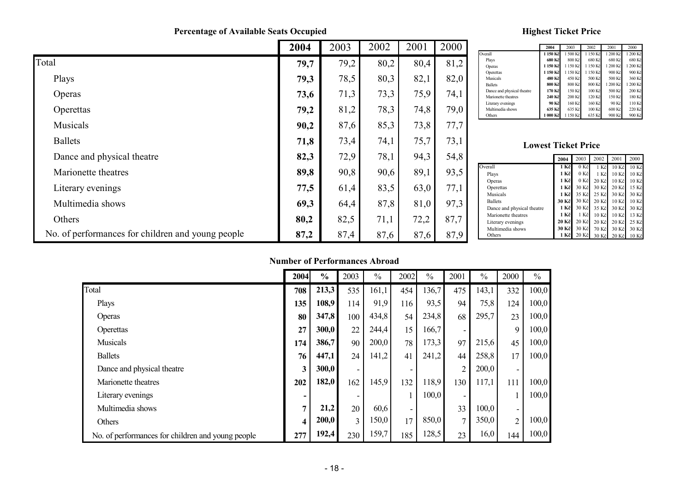**Percentage of Available Seats Occupied**

#### **Highest Ticket Price**

|                                                   | 2004 | 2003 | 2002 | 2001 | 2000 |
|---------------------------------------------------|------|------|------|------|------|
| Total                                             | 79,7 | 79,2 | 80,2 | 80,4 | 81,2 |
| Plays                                             | 79,3 | 78,5 | 80,3 | 82,1 | 82,0 |
| Operas                                            | 73,6 | 71,3 | 73,3 | 75,9 | 74,1 |
| Operettas                                         | 79,2 | 81,2 | 78,3 | 74,8 | 79,0 |
| Musicals                                          | 90,2 | 87,6 | 85,3 | 73,8 | 77,7 |
| <b>Ballets</b>                                    | 71,8 | 73,4 | 74,1 | 75,7 | 73,1 |
| Dance and physical theatre                        | 82,3 | 72,9 | 78,1 | 94,3 | 54,8 |
| Marionette theatres                               | 89,8 | 90,8 | 90,6 | 89,1 | 93,5 |
| Literary evenings                                 | 77,5 | 61,4 | 83,5 | 63,0 | 77,1 |
| Multimedia shows                                  | 69,3 | 64,4 | 87,8 | 81,0 | 97,3 |
| Others                                            | 80,2 | 82,5 | 71,1 | 72,2 | 87,7 |
| No. of performances for children and young people | 87,2 | 87,4 | 87,6 | 87,6 | 87,9 |

|                            | 2004     | 2003     | 2002     | 2001     | 2000     |
|----------------------------|----------|----------|----------|----------|----------|
| Overall                    | 1 150 Kč | 1 500 Kč | 1 150 Kč | 1 200 Kč | 1 200 Kč |
| Plays                      | 680 Kč   | 800 Kč   | 680 Kč   | 680 Kč   | 680 Kč   |
| Operas                     | 1 150 Kč | 1150 Kč  | 1150 Kč  | 1 200 Kč | 1 200 Kč |
| Operettas                  | 1 150 Kč | 1150 Kč  | 1150 Kč  | 900 Kč   | 900 Kč   |
| Musicals                   | 480 Kč   | 450 Kč   | 500 Kč   | 500 Kč   | 360 Kč   |
| <b>Ballets</b>             | 800 Kč   | 800 Kč   | 800 Kč   | 1 200 Kč | 1 200 Kč |
| Dance and physical theatre | 170 Kč   | 150 Kč   | 100 Kč   | 500 Kč   | 200 Kč   |
| Marionette theatres        | 240 Kč   | 200 Kč   | 120 Kč   | 150 Kč   | 180 Kč   |
| Literary evenings          | 90 Kč    | 160 Kč   | 160 Kč   | 90 Kč    | 110 Kč   |
| Multimedia shows           | 635 Kč   | 635 Kč   | 100 Kč   | 600 Kč   | 220 Kč   |
| Others                     | 000 Kč   | 1150 Kč  | 635 Kč   | 900 Kč   | 900 Kč   |

#### **Lowest Ticket Price**

|                            | 2004    | 2003           | 2002             | 2001           | 2000           |
|----------------------------|---------|----------------|------------------|----------------|----------------|
| Overall                    | 1 Kč    | $0 K\check{c}$ | 1 Kč             | $10K$ č        | $10K$ č        |
| Plays                      | 1 Kč    | $0 K\check{c}$ | 1 K <sub>c</sub> | $10K\check{c}$ | $10K\check{c}$ |
| Operas                     | 1 Kč    | 0 Kč           | $20 K\check{c}$  | $10K\check{c}$ | $10K\check{c}$ |
| Operettas                  | 1 Kč    | 30 Kč          |                  | 30 Kč 20 Kč    | $15K\check{c}$ |
| Musicals                   | 1 Kč    | 35 Kč          |                  | 25 Kč 30 Kč    | 30 Kč          |
| <b>Ballets</b>             | 30 Kč   | 30 Kč          | $20 K\check{c}$  | $10K\check{c}$ | $10K\check{c}$ |
| Dance and physical theatre | 1 Kč    | 30 Kč          | 35 Kč            | 30 Kč          | 30 Kč          |
| Marionette theatres        | 1 Kč    | 1 Kč           | $10K\check{c}$   | $10K$ č        | 13 Kč          |
| Literary evenings          | $20K$ č | 20 Kč          | $20 K\check{c}$  | 20 Kč          | 25 Kč          |
| Multimedia shows           | 30 Kč   | 30 Kč          | 70 Kč            | 30 Kč          | 30 Kč          |
| Others                     | 1 Kč    | 20 Kč          | $30 K\check{c}$  | 20 Kč          | 10 Kč          |

#### **Number of Performances Abroad**

|                                                   | 2004 | $\frac{0}{0}$ | 2003                     | $\%$  | 2002 | $\frac{0}{0}$ | 2001           | $\frac{0}{0}$ | 2000           | $\frac{0}{0}$ |
|---------------------------------------------------|------|---------------|--------------------------|-------|------|---------------|----------------|---------------|----------------|---------------|
| Total                                             | 708  | 213,3         | 535                      | 161,1 | 454  | 136,7         | 475            | 143,1         | 332            | 100,0         |
| Plays                                             | 135  | 108,9         | 114                      | 91,9  | 116  | 93,5          | 94             | 75,8          | 124            | 100,0         |
| Operas                                            | 80   | 347,8         | 100                      | 434,8 | 54   | 234,8         | 68             | 295,7         | 23             | 100,0         |
| Operettas                                         | 27   | 300,0         | 22                       | 244,4 | 15   | 166,7         | -              |               | 9              | 100,0         |
| <b>Musicals</b>                                   | 174  | 386,7         | 90                       | 200,0 | 78   | 173,3         | 97             | 215,6         | 45             | 100,0         |
| <b>Ballets</b>                                    | 76   | 447,1         | 24                       | 141,2 | 41   | 241,2         | 44             | 258,8         | 17             | 100,0         |
| Dance and physical theatre                        | 3    | 300,0         | $\overline{\phantom{a}}$ |       | -    |               | $\overline{2}$ | 200,0         | -              |               |
| Marionette theatres                               | 202  | 182,0         | 162                      | 145.9 | 132  | 118,9         | 130            | 117,1         | 111            | 100,0         |
| Literary evenings                                 |      |               |                          |       |      | 100,0         |                |               |                | 100,0         |
| Multimedia shows                                  |      | 21,2          | 20                       | 60,6  | -    |               | 33             | 100,0         | -              |               |
| Others                                            | 4    | 200,0         | 3                        | 150,0 | 17   | 850,0         | $\mathbf{r}$   | 350,0         | $\overline{2}$ | 100,0         |
| No. of performances for children and young people | 277  | 192,4         | 230                      | 159,7 | 185  | 128,5         | 23             | 16,0          | 144            | 100,0         |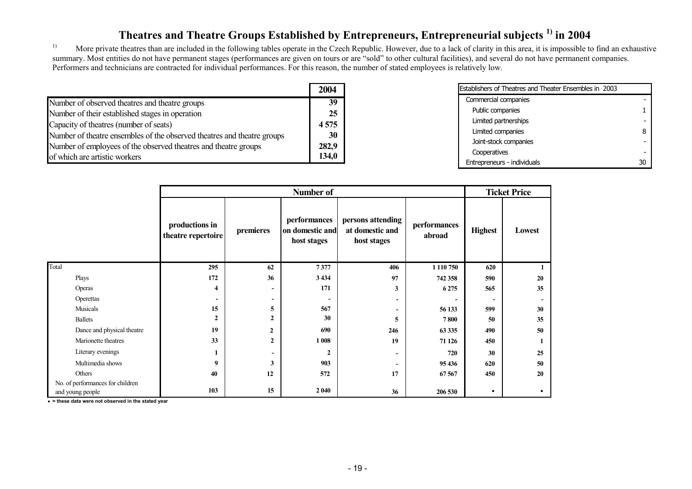# **Theatres and Theatre Groups Established by Entrepreneurs, Entrepreneurial subjects 1) in 2004**

<sup>1)</sup> More private theatres than are included in the following tables operate in the Czech Republic. However, due to a lack of clarity in this area, it is impossible to find an exhaustive summary. Most entities do not have permanent stages (performances are given on tours or are "sold" to other cultural facilities), and several do not have permanent companies. Performers and technicians are contracted for individual performances. For this reason, the number of stated employees is relatively low.

|                                                                         | 2004  |
|-------------------------------------------------------------------------|-------|
| Number of observed theatres and theatre groups                          | 39    |
| Number of their established stages in operation                         | 25    |
| Capacity of theatres (number of seats)                                  | 4575  |
| Number of theatre ensembles of the observed theatres and theatre groups | 30    |
| Number of employees of the observed theatres and theatre groups         | 282,9 |
| of which are artistic workers                                           | 134,0 |

| Establishers of Theatres and Theater Ensembles in 2003 |   |
|--------------------------------------------------------|---|
| Commercial companies                                   |   |
| Public companies                                       |   |
| Limited partnerships                                   |   |
| Limited companies                                      | 8 |
| Joint-stock companies                                  |   |
| Cooperatives                                           |   |
| Entrepreneurs - individuals                            |   |

|                                  |                                      |              | Number of                                      |                                                     |                          | <b>Ticket Price</b>      |        |
|----------------------------------|--------------------------------------|--------------|------------------------------------------------|-----------------------------------------------------|--------------------------|--------------------------|--------|
|                                  | productions in<br>theatre repertoire | premieres    | performances<br>on domestic and<br>host stages | persons attending<br>at domestic and<br>host stages | performances<br>abroad   | <b>Highest</b>           | Lowest |
| Total                            | 295                                  | 62           | 7377                                           | 406                                                 | 1 1 1 0 7 5 0            | 620                      |        |
| Plays                            | 172                                  | 36           | 3 4 3 4                                        | 97                                                  | 742 358                  | 590                      | 20     |
| Operas                           | 4                                    | -            | 171                                            | 3                                                   | 6 2 7 5                  | 565                      | 35     |
| Operettas                        | $\overline{\phantom{a}}$             | -            |                                                | $\overline{\phantom{a}}$                            | $\overline{\phantom{0}}$ | $\overline{\phantom{a}}$ |        |
| Musicals                         | 15                                   | 5            | 567                                            | $\overline{\phantom{a}}$                            | 56 133                   | 599                      | 30     |
| <b>Ballets</b>                   | $\mathbf{2}$                         | $\mathbf{2}$ | 30                                             | 5                                                   | 7800                     | 50                       | 35     |
| Dance and physical theatre       | 19                                   | $\mathbf{2}$ | 690                                            | 246                                                 | 63 335                   | 490                      | 50     |
| Marionette theatres              | 33                                   | $\mathbf{2}$ | 1 008                                          | 19                                                  | 71 126                   | 450                      |        |
| Literary evenings                |                                      |              | $\mathbf{2}$                                   | $\overline{\phantom{a}}$                            | 720                      | 30                       | 25     |
| Multimedia shows                 | 9                                    | 3            | 903                                            |                                                     | 95 436                   | 620                      | 50     |
| Others                           | 40                                   | 12           | 572                                            | 17                                                  | 67 567                   | 450                      | 20     |
| No. of performances for children |                                      |              |                                                |                                                     |                          |                          |        |
| and young people                 | 103                                  | 15           | 2 0 4 0                                        | 36                                                  | 206 530                  | $\bullet$                |        |

i **= these data were not observed in the stated year**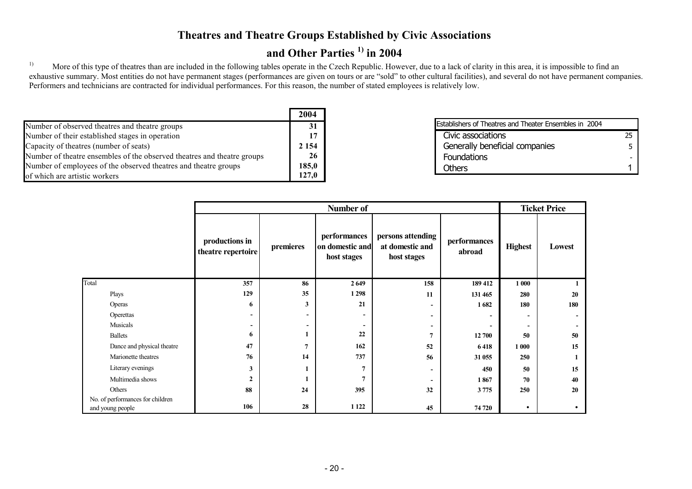#### **Theatres and Theatre Groups Established by Civic Associations**

### **and Other Parties 1) in 2004**

<sup>1)</sup> More of this type of theatres than are included in the following tables operate in the Czech Republic. However, due to a lack of clarity in this area, it is impossible to find an exhaustive summary. Most entities do not have permanent stages (performances are given on tours or are "sold" to other cultural facilities), and several do not have permanent companies. Performers and technicians are contracted for individual performances. For this reason, the number of stated employees is relatively low.

|                                                                         | 2004    |
|-------------------------------------------------------------------------|---------|
| Number of observed theatres and theatre groups                          | 31      |
| Number of their established stages in operation                         | 17      |
| Capacity of theatres (number of seats)                                  | 2 1 5 4 |
| Number of theatre ensembles of the observed theatres and theatre groups | -26     |
| Number of employees of the observed theatres and theatre groups         | 185,0   |
| of which are artistic workers                                           | 127.0   |

| Establishers of Theatres and Theater Ensembles in 2004 |    |
|--------------------------------------------------------|----|
| Civic associations                                     | 25 |
| Generally beneficial companies                         | 5  |
| Foundations                                            |    |
| <b>Others</b>                                          |    |

|                                                      |                                      |                          | Number of                                      |                                                     |                        |                          | <b>Ticket Price</b> |
|------------------------------------------------------|--------------------------------------|--------------------------|------------------------------------------------|-----------------------------------------------------|------------------------|--------------------------|---------------------|
|                                                      | productions in<br>theatre repertoire | premieres                | performances<br>on domestic and<br>host stages | persons attending<br>at domestic and<br>host stages | performances<br>abroad | <b>Highest</b>           | Lowest              |
| Total                                                | 357                                  | 86                       | 2 6 4 9                                        | 158                                                 | 189 412                | 1 000                    |                     |
| Plays                                                | 129                                  | 35                       | 1 2 9 8                                        | 11                                                  | 131 465                | 280                      | 20                  |
| Operas                                               | 6                                    | $\mathbf{3}$             | 21                                             | $\overline{\phantom{a}}$                            | 1682                   | 180                      | 180                 |
| Operettas                                            | $\blacksquare$                       | $\overline{\phantom{0}}$ | $\overline{\phantom{a}}$                       | $\blacksquare$                                      |                        | $\overline{\phantom{a}}$ |                     |
| Musicals                                             | $\overline{\phantom{a}}$             | $\overline{\phantom{a}}$ | $\overline{\phantom{a}}$                       | $\overline{\phantom{0}}$                            |                        | $\overline{\phantom{a}}$ |                     |
| <b>Ballets</b>                                       | 6                                    | 1                        | 22                                             | $\overline{7}$                                      | 12 700                 | 50                       | 50                  |
| Dance and physical theatre                           | 47                                   | 7                        | 162                                            | 52                                                  | 6418                   | 1 000                    | 15                  |
| Marionette theatres                                  | 76                                   | 14                       | 737                                            | 56                                                  | 31 055                 | 250                      |                     |
| Literary evenings                                    | 3                                    |                          | 7                                              | $\overline{\phantom{a}}$                            | 450                    | 50                       | 15                  |
| Multimedia shows                                     | $\mathbf{2}$                         |                          | $\overline{7}$                                 | $\overline{\phantom{0}}$                            | 1867                   | 70                       | 40                  |
| Others                                               | 88                                   | 24                       | 395                                            | 32                                                  | 3 7 7 5                | 250                      | 20                  |
| No. of performances for children<br>and young people | 106                                  | 28                       | 1 1 2 2                                        | 45                                                  | 74 720                 | $\bullet$                |                     |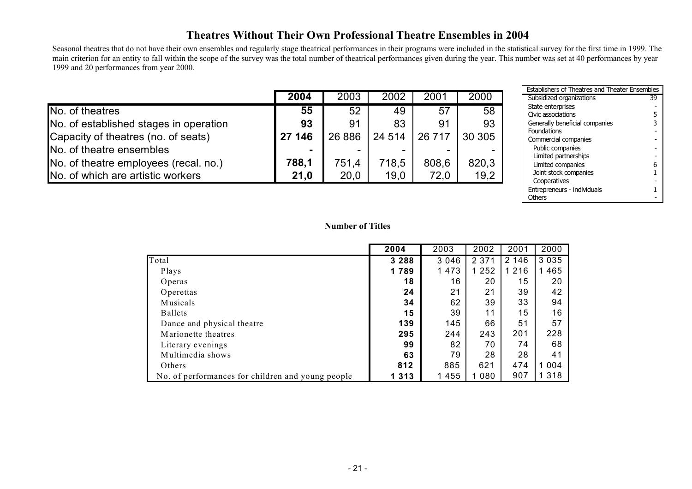#### **Theatres Without Their Own Professional Theatre Ensembles in 2004**

Seasonal theatres that do not have their own ensembles and regularly stage theatrical performances in their programs were included in the statistical survey for the first time in 1999. The main criterion for an entity to fall within the scope of the survey was the total number of theatrical performances given during the year. This number was set at 40 performances by year 1999 and 20 performances from year 2000.

|                                        | 2004   | 2003   | 2002    | 2001   | 2000    |
|----------------------------------------|--------|--------|---------|--------|---------|
| No. of theatres                        | 55     | 52     | 49      | 57     | 58      |
| No. of established stages in operation | 93     | 91     | 83      | 91     | 93      |
| Capacity of theatres (no. of seats)    | 27 146 | 26 886 | 24 5 14 | 26 717 | 30 30 5 |
| No. of theatre ensembles               |        |        |         |        |         |
| No. of theatre employees (recal. no.)  | 788,1  | 751.4  | 718.5   | 808,6  | 820,3   |
| No. of which are artistic workers      | 21,0   | 20,0   | 19,0    | 72,0   | 19,2    |

| <b>Establishers of Theatres and Theater Ensembles</b> |         |                                           |    |  |  |  |
|-------------------------------------------------------|---------|-------------------------------------------|----|--|--|--|
| 1                                                     | 2000    | Subsidized organizations                  | 39 |  |  |  |
| 57                                                    | 58      | State enterprises<br>Civic associations   | 5  |  |  |  |
| $\overline{31}$                                       | 93      | Generally beneficial companies            | 3  |  |  |  |
| 17                                                    | 30 30 5 | Foundations<br>Commercial companies       |    |  |  |  |
|                                                       |         | Public companies                          |    |  |  |  |
| 6,                                                    | 820,3   | Limited partnerships<br>Limited companies | 6  |  |  |  |
| , 0                                                   | 19,2    | Joint stock companies                     |    |  |  |  |
|                                                       |         | Cooperatives                              |    |  |  |  |
|                                                       |         | Entrepreneurs - individuals               |    |  |  |  |
|                                                       |         | Others                                    |    |  |  |  |

#### **Number of Titles**

|                                                   | 2004    | 2003    | 2002    | 2001    | 2000    |
|---------------------------------------------------|---------|---------|---------|---------|---------|
| Total                                             | 3 2 8 8 | 3 0 4 6 | 2 3 7 1 | 2 146   | 3 0 3 5 |
| Plays                                             | 1789    | 1 4 7 3 | 1 2 5 2 | 1 2 1 6 | 465     |
| Operas                                            | 18      | 16      | 20      | 15      | 20      |
| Operettas                                         | 24      | 21      | 21      | 39      | 42      |
| Musicals                                          | 34      | 62      | 39      | 33      | 94      |
| <b>Ballets</b>                                    | 15      | 39      | 11      | 15      | 16      |
| Dance and physical theatre                        | 139     | 145     | 66      | 51      | 57      |
| Marionette theatres                               | 295     | 244     | 243     | 201     | 228     |
| Literary evenings                                 | 99      | 82      | 70      | 74      | 68      |
| Multimedia shows                                  | 63      | 79      | 28      | 28      | 41      |
| Others                                            | 812     | 885     | 621     | 474     | 004     |
| No. of performances for children and young people | 1 3 1 3 | 1 4 5 5 | 1 0 8 0 | 907     | 318     |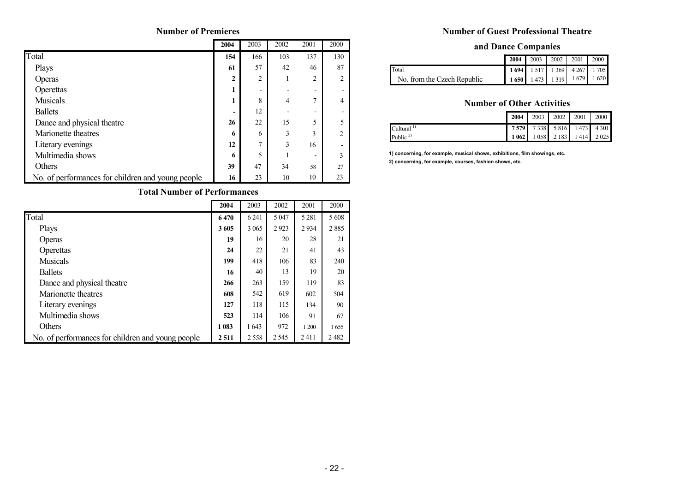#### **Number of Premieres**

|                                                   | 2004 | 2003                     | 2002 | 2001                     | 2000           |
|---------------------------------------------------|------|--------------------------|------|--------------------------|----------------|
| Total                                             | 154  | 166                      | 103  | 137                      | 130            |
| Plays                                             | 61   | 57                       | 42   | 46                       | 87             |
| Operas                                            | 2    | 2                        | 1    | $\overline{2}$           | $\mathcal{D}$  |
| Operettas                                         | 1    | $\overline{\phantom{0}}$ | -    | $\overline{\phantom{0}}$ |                |
| <b>Musicals</b>                                   | 1    | 8                        | 4    | $\overline{ }$           | 4              |
| <b>Ballets</b>                                    |      | 12                       | -    | -                        |                |
| Dance and physical theatre                        | 26   | 22                       | 15   | 5                        |                |
| Marionette theatres                               | 6    | 6                        | 3    | 3                        | $\mathfrak{D}$ |
| Literary evenings                                 | 12   | $\mathcal{I}$            | 3    | 16                       |                |
| Multimedia shows                                  | 6    | 5                        |      | $\overline{\phantom{0}}$ | 3              |
| Others                                            | 39   | 47                       | 34   | 58                       | 27             |
| No. of performances for children and young people | 16   | 23                       | 10   | 10                       | 23             |

#### **Total Number of Performances**

|                                                   | 2004  | 2003    | 2002    | 2001    | 2000  |
|---------------------------------------------------|-------|---------|---------|---------|-------|
| Total                                             | 6470  | 6 2 4 1 | 5 0 4 7 | 5 2 8 1 | 5 608 |
| Plays                                             | 3605  | 3 0 6 5 | 2923    | 2934    | 2885  |
| Operas                                            | 19    | 16      | 20      | 28      | 21    |
| Operettas                                         | 24    | 22      | 21      | 41      | 43    |
| <b>Musicals</b>                                   | 199   | 418     | 106     | 83      | 240   |
| <b>Ballets</b>                                    | 16    | 40      | 13      | 19      | 20    |
| Dance and physical theatre                        | 266   | 263     | 159     | 119     | 83    |
| Marionette theatres                               | 608   | 542     | 619     | 602     | 504   |
| Literary evenings                                 | 127   | 118     | 115     | 134     | 90    |
| Multimedia shows                                  | 523   | 114     | 106     | 91      | 67    |
| <b>Others</b>                                     | 1 083 | 1643    | 972     | 1 200   | 1655  |
| No. of performances for children and young people | 2511  | 2558    | 2 5 4 5 | 2411    | 2482  |

#### **Number of Guest Professional Theatre**

#### **and Dance Companies**

|                             |                               |  | 2004 2003 2002 2001 2000 |  |
|-----------------------------|-------------------------------|--|--------------------------|--|
| Total                       | 1 694 1 517 1 369 4 267 1 705 |  |                          |  |
| No. from the Czech Republic | $1650$ 1473 1319 1679 1620    |  |                          |  |

#### **Number of Other Activities**

|                       |  |  | 2004 2003 2002 2001 2000      |
|-----------------------|--|--|-------------------------------|
| Cultural <sup>1</sup> |  |  | 7 579 7 338 5 816 1 473 4 301 |
| Public $\frac{2}{3}$  |  |  | 1 062 1 058 2 183 1 414 2 025 |

**1) concerning, for example, musical shows, exhibitions, film showings, etc. 2) concerning, for example, courses, fashion shows, etc.**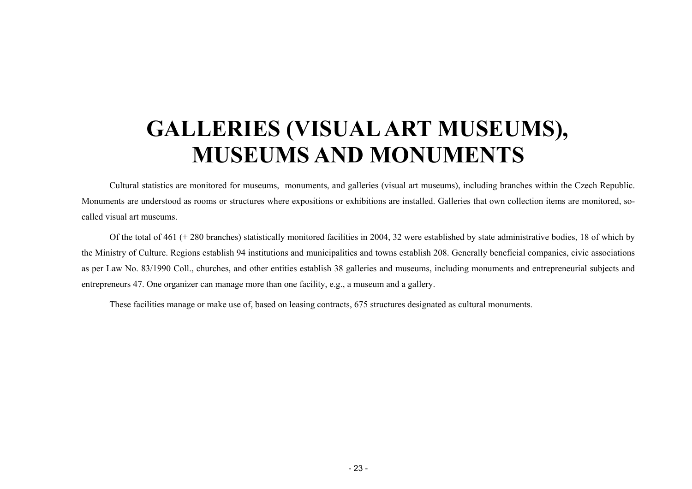# <span id="page-22-0"></span>**GALLERIES (VISUALART MUSEUMS), MUSEUMS AND MONUMENTS**

Cultural statistics are monitored for museums, monuments, and galleries (visual art museums), including branches within the Czech Republic. Monuments are understood as roo ms or structures where expositions or exhibitions are installed. Galleries that own collection items are monitored, socalled visual art museums.

Of the total of 461 (+ 280 branches) statistically monitored facilities in 2004, 32 were established by state administrative bodies, 18 of which b y the Ministry of Culture. Regions establish 94 institutions and municipalities and towns establish 208. Generally beneficial co mpanies, civic associations as per Law No. 83/1990 Coll., churches, and other entities establish 38 galleries and museums, including monuments and entrepreneurial subjects and entrepreneurs 47. One organizer can manage m ore than one facility, e.g., a museu m and a gallery.

These facilities manage or make use of, based on leasing contracts, 675 structures designated as cultural monuments.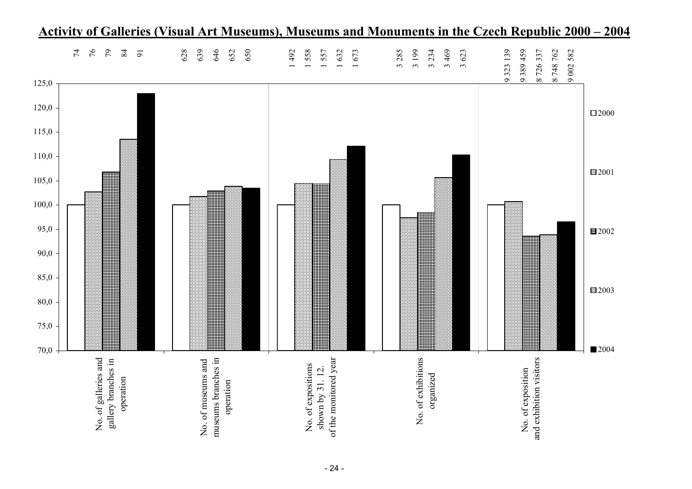

# **Activity of Galleries (Visual Art Museums), Museums and Monuments in the Czech Republic 2000 – 2004**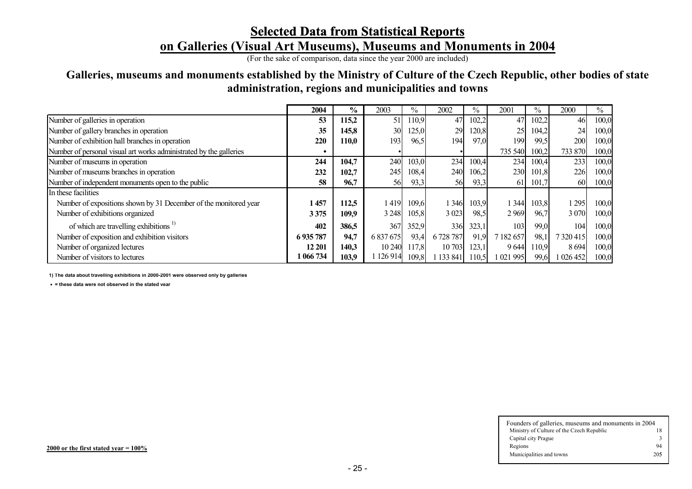# **Selected Data from Statistical Reports on Galleries (Visual Art Museums), Museums and Monuments in 2004**

(For the sake of comparison, data since the year 2000 are included)

#### **Galleries, museums and monuments established by the Ministry of Culture of the Czech Republic, other bodies of state administration, regions and municipalities and towns**

|                                                                    | 2004    | $\frac{0}{0}$ | 2003      | $\%$  | 2002      | $\%$  | 2001              | $\frac{0}{0}$ | 2000        | $\%$  |
|--------------------------------------------------------------------|---------|---------------|-----------|-------|-----------|-------|-------------------|---------------|-------------|-------|
| Number of galleries in operation                                   | 53      | 115,2         | 51        | 110,9 | 47        | 102,2 | 47                | 102,2         | 46          | 100,0 |
| Number of gallery branches in operation                            | 35      | 145,8         | 30        | 125,0 | 29        | 120,8 | 25                | 104,2         | 24          | 100,0 |
| Number of exhibition hall branches in operation                    | 220     | 110,0         | 193       | 96,5  | 194       | 97,0  | 199               | 99,5          | 200         | 100,0 |
| Number of personal visual art works administrated by the galleries |         |               |           |       |           |       | 735 540           | 100,2         | 733 870     | 100,0 |
| Number of museums in operation                                     | 244     | 104,7         | 240       | 103,0 | 234       | 100,4 | 234               | 100,4         | 233         | 100,0 |
| Number of museums branches in operation                            | 232     | 102,7         | 245       | 108,4 | 240       | 106,2 | 230               | 101,8         | 226         | 100,0 |
| Number of independent monuments open to the public                 | 58      | 96,7          | 56        | 93,3  | 56        | 93,3  | 61                | 101,7         | 60          | 100,0 |
| In these facilities                                                |         |               |           |       |           |       |                   |               |             |       |
| Number of expositions shown by 31 December of the monitored year   | 1 457   | 112,5         | 1419      | 109,6 | 1 3 4 6   | 103.9 | $\vert 344 \vert$ | 103,8         | 295         | 100,0 |
| Number of exhibitions organized                                    | 3375    | 109,9         | 3 2 4 8   | 105,8 | 3 0 23    | 98,5  | 2969              | 96,7          | 3 0 7 0     | 100,0 |
| of which are travelling exhibitions <sup>1)</sup>                  | 402     | 386,5         | 367       | 352,9 | 336       | 323,1 | 103               | 99,0          | 104         | 100,0 |
| Number of exposition and exhibition visitors                       | 6935787 | 94,7          | 6 837 675 | 93,4  | 6 728 787 | 91,9  | 7 182 657         | 98,1          | 7 3 20 4 15 | 100,0 |
| Number of organized lectures                                       | 12 201  | 140.3         | 10 240    | 117,8 | 10 703    | 123,1 | 9644              | 110.9         | 8694        | 100,0 |
| Number of visitors to lectures                                     | 066734  | 103,9         | 126 914   | 109,8 | 133 841   | 110,5 | 021 995           | 99,6          | 026452      | 100,0 |

**1) The data about travelling exhibitions in 2000-2001 were observed only by galleries**

h **<sup>=</sup> these data were not observed in the stated year**

| Founders of galleries, museums and monuments in 2004 |     |  |  |  |  |  |  |  |
|------------------------------------------------------|-----|--|--|--|--|--|--|--|
| Ministry of Culture of the Czech Republic            | 18  |  |  |  |  |  |  |  |
| Capital city Prague                                  |     |  |  |  |  |  |  |  |
| Regions                                              | 94  |  |  |  |  |  |  |  |
| Municipalities and towns                             | 205 |  |  |  |  |  |  |  |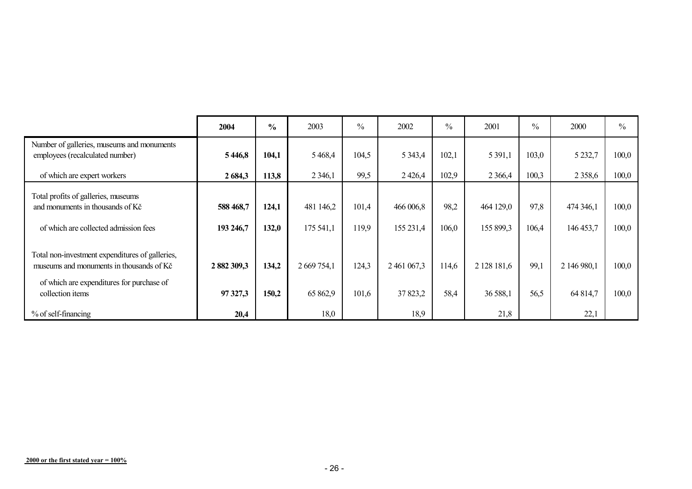|                                                                                                                                                              | 2004                    | $\frac{0}{0}$  | 2003                    | $\frac{0}{0}$  | 2002                   | $\frac{0}{0}$ | 2001                    | $\frac{0}{0}$ | 2000                    | $\frac{0}{0}$  |
|--------------------------------------------------------------------------------------------------------------------------------------------------------------|-------------------------|----------------|-------------------------|----------------|------------------------|---------------|-------------------------|---------------|-------------------------|----------------|
| Number of galleries, museums and monuments<br>employees (recalculated number)                                                                                | 5446,8                  | 104,1          | 5 4 6 8 4               | 104,5          | 5 3 4 3 4              | 102,1         | 5 3 9 1 , 1             | 103,0         | 5 2 3 2,7               | 100,0          |
| of which are expert workers                                                                                                                                  | 2 684,3                 | 113,8          | 2 3 4 6 1               | 99,5           | 2426,4                 | 102,9         | 2 3 6 6 4               | 100,3         | 2 3 5 8 6               | 100,0          |
| Total profits of galleries, museums<br>and monuments in thousands of Kč<br>of which are collected admission fees                                             | 588 468,7<br>193 246,7  | 124,1<br>132,0 | 481 146,2<br>175 541,1  | 101,4<br>119,9 | 466 006,8<br>155 231,4 | 98,2<br>106,0 | 464 129,0<br>155 899,3  | 97,8<br>106,4 | 474 346,1<br>146 453,7  | 100,0<br>100,0 |
| Total non-investment expenditures of galleries,<br>museums and monuments in thousands of Kč<br>of which are expenditures for purchase of<br>collection items | 2 882 309,3<br>97 327,3 | 134,2<br>150,2 | 2 669 754,1<br>65 862,9 | 124,3<br>101,6 | 2 461 067,3<br>37823,2 | 114,6<br>58,4 | 2 128 181,6<br>36 588,1 | 99,1<br>56,5  | 2 146 980,1<br>64 814,7 | 100,0<br>100,0 |
| % of self-financing                                                                                                                                          | 20,4                    |                | 18,0                    |                | 18,9                   |               | 21,8                    |               | 22,1                    |                |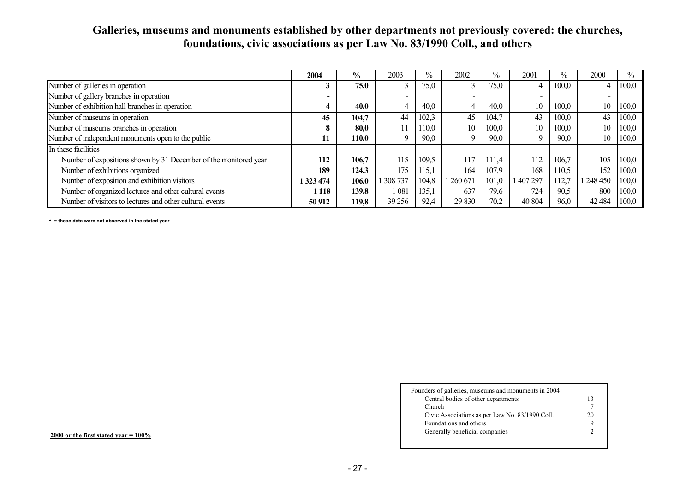#### **Galleries, museums and monuments established by other departments not previously covered: the churches, foundations, civic associations as per Law No. 83/1990 Coll., and others**

|                                                                  | 2004      | $\frac{6}{10}$ | 2003    | $\%$  | 2002                     | $\%$  | 2001                     | $\frac{0}{0}$ | 2000                     | $\%$  |
|------------------------------------------------------------------|-----------|----------------|---------|-------|--------------------------|-------|--------------------------|---------------|--------------------------|-------|
| Number of galleries in operation                                 |           | 75,0           | $\sim$  | 75,0  |                          | 75,0  |                          | 100,0         | 4                        | 100,0 |
| Number of gallery branches in operation                          |           |                | -       |       | $\overline{\phantom{0}}$ |       | $\overline{\phantom{0}}$ |               | $\overline{\phantom{0}}$ |       |
| Number of exhibition hall branches in operation                  |           | 40.0           |         | 40,0  |                          | 40,0  | 10                       | 100,0         | 10                       | 100,0 |
| Number of museums in operation                                   | 45        | 104,7          | 44      | 102,3 | 45                       | 104.7 | 43                       | 100.0         | 43                       | 100,0 |
| Number of museums branches in operation                          |           | 80.0           |         | 110,0 | 10                       | 100,0 | 10                       | 100.0         | 10                       | 100,0 |
| Number of independent monuments open to the public               | 11        | 110,0          | Q       | 90,0  | $\Omega$                 | 90,0  | 9                        | 90,0          | 10                       | 100,0 |
| In these facilities                                              |           |                |         |       |                          |       |                          |               |                          |       |
| Number of expositions shown by 31 December of the monitored year | 112       | 106,7          | 115     | 109,5 | 117                      | 111.4 | 112                      | 106.7         | 105                      | 100,0 |
| Number of exhibitions organized                                  | 189       | 124,3          | 175     | 115,1 | 164                      | 107,9 | 168                      | 110,5         | 152                      | 100,0 |
| Number of exposition and exhibition visitors                     | 1 323 474 | 106,0          | 308 737 | 104.8 | 260 671                  | 101.0 | 407 297                  | 112.7         | l 248 450                | 100.0 |
| Number of organized lectures and other cultural events           | 1 1 1 8   | 139,8          | 1 081   | 135,1 | 637                      | 79,6  | 724                      | 90,5          | 800                      | 100,0 |
| Number of visitors to lectures and other cultural events         | 50 912    | 119,8          | 39 25 6 | 92,4  | 29 830                   | 70,2  | 40 804                   | 96,0          | 42 4 84                  | 100,0 |

h **= these data were not observed in the stated year**

| Founders of galleries, museums and monuments in 2004<br>Central bodies of other departments | 13 |
|---------------------------------------------------------------------------------------------|----|
|                                                                                             |    |
| <b>Church</b>                                                                               |    |
| Civic Associations as per Law No. 83/1990 Coll.                                             | 20 |
| Foundations and others                                                                      | 9  |
| Generally beneficial companies                                                              |    |

 $2000$  or the first stated year =  $100\%$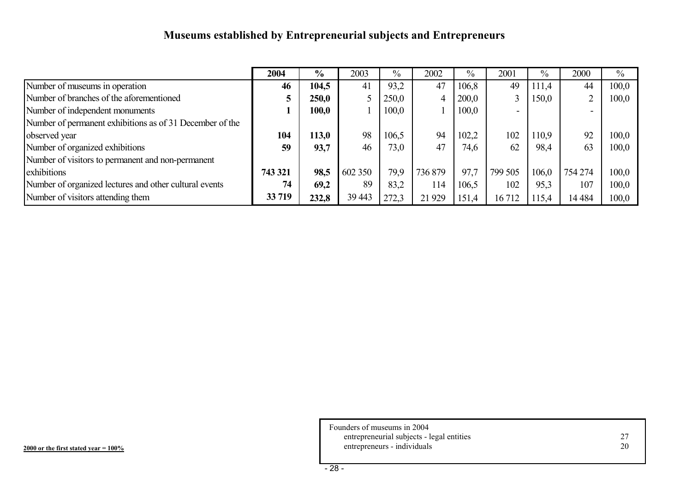# **Museums established by Entrepreneurial subjects and Entrepreneurs**

|                                                          | 2004    | $\frac{6}{9}$ | 2003    | $\frac{0}{0}$ | 2002    | $\frac{0}{0}$ | 2001    | $\frac{0}{0}$ | 2000    | $\frac{0}{0}$ |
|----------------------------------------------------------|---------|---------------|---------|---------------|---------|---------------|---------|---------------|---------|---------------|
| Number of museums in operation                           | 46      | 104,5         | 41      | 93,2          | 47      | 106,8         | 49      | 111,4         | 44      | 100.0         |
| Number of branches of the aforementioned                 |         | 250,0         |         | 250,0         |         | 200,0         | 3       | 150,0         | ⌒       | 100,0         |
| Number of independent monuments                          |         | 100,0         |         | 100,0         |         | 100,0         | $\sim$  |               |         |               |
| Number of permanent exhibitions as of 31 December of the |         |               |         |               |         |               |         |               |         |               |
| observed year                                            | 104     | 113,0         | 98      | 106,5         | 94      | 102,2         | 102     | 110.9         | 92      | 100,0         |
| Number of organized exhibitions                          | 59      | 93,7          | 46      | 73,0          | 47      | 74,6          | 62      | 98,4          | 63      | 100,0         |
| Number of visitors to permanent and non-permanent        |         |               |         |               |         |               |         |               |         |               |
| exhibitions                                              | 743 321 | 98,5          | 602 350 | 79,9          | 736 879 | 97,7          | 799 505 | 106,0         | 754 274 | 100,0         |
| Number of organized lectures and other cultural events   | 74      | 69,2          | 89      | 83,2          | 114     | 106.5         | 102     | 95,3          | 107     | 100,0         |
| Number of visitors attending them                        | 33 719  | 232,8         | 39 443  | 272,3         | 21 9 29 | 151,4         | 16712   | 115,4         | 14 4 84 | 100,0         |

Founders of museums in 2004 entrepreneurial subjects - legal entities 27 entrepreneurs - individuals 20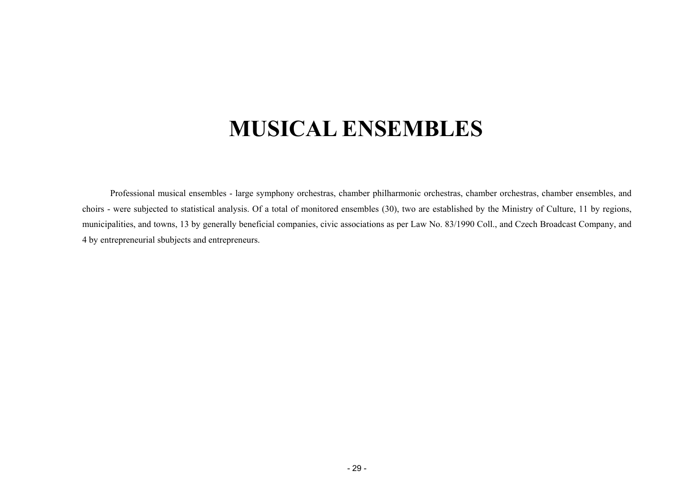# **MUSICAL ENSEMBLES**

<span id="page-28-0"></span>Professional musical ensembles - large symphony orchestras, chamber philharmonic orchestras, chamber orchestras, chamber ensembles, and choirs - were subjected to statistical analysis. Of a total of monitored ensembles (30), two are established by the Ministry of Culture, 11 by regions, municipalities, and towns, 13 by generally beneficial companies, civic associations as per Law No. 83/1990 Coll., and Czech Broadcast Company, and 4 by entrepreneurial sbubjects and entrepreneurs.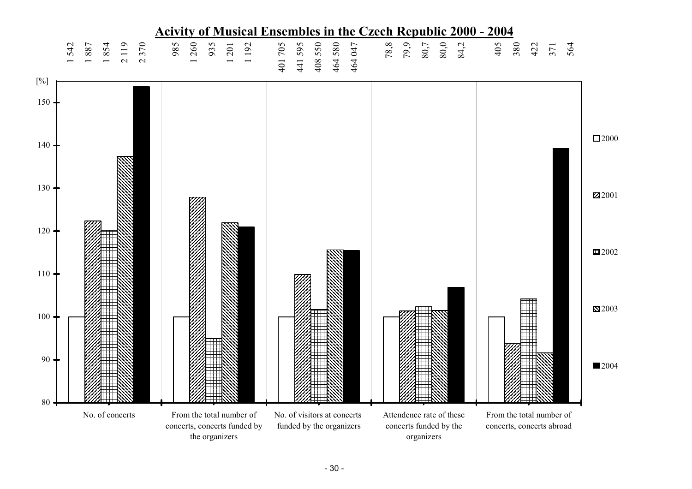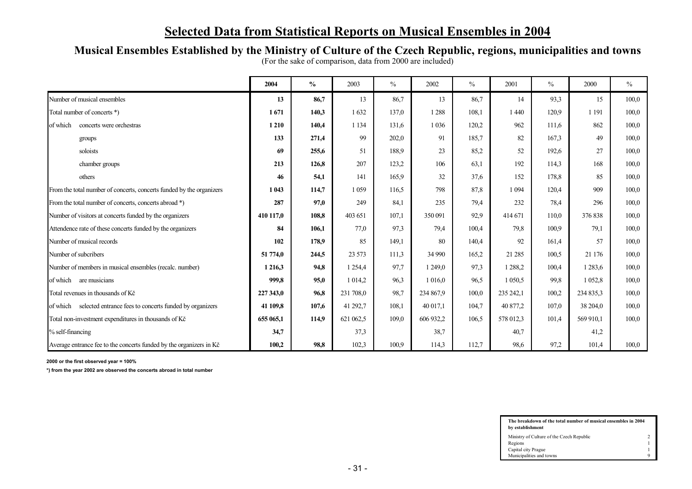# **Selected Data from Statistical Reports on Musical Ensembles in 2004**

### **Musical Ensembles Established by the Ministry of Culture of the Czech Republic, regions, municipalities and towns**

| (For the sake of comparison, data from 2000 are included) |  |  |
|-----------------------------------------------------------|--|--|
|                                                           |  |  |

|                                                                      | 2004      | $\%$  | 2003      | $\%$  | 2002      | $\%$  | 2001      | $\%$  | 2000        | $\frac{0}{0}$ |
|----------------------------------------------------------------------|-----------|-------|-----------|-------|-----------|-------|-----------|-------|-------------|---------------|
| Number of musical ensembles                                          | 13        | 86,7  | 13        | 86,7  | 13        | 86,7  | 14        | 93,3  | 15          | 100,0         |
| Total number of concerts *)                                          | 1671      | 140,3 | 1632      | 137,0 | 1 2 8 8   | 108,1 | 1440      | 120,9 | 1 1 9 1     | 100,0         |
| concerts were orchestras<br>of which                                 | 1 2 1 0   | 140,4 | 1 1 3 4   | 131,6 | 1 0 3 6   | 120,2 | 962       | 111,6 | 862         | 100,0         |
| groups                                                               | 133       | 271,4 | 99        | 202,0 | 91        | 185,7 | 82        | 167,3 | 49          | 100,0         |
| soloists                                                             | 69        | 255,6 | 51        | 188,9 | 23        | 85,2  | 52        | 192,6 | 27          | 100,0         |
| chamber groups                                                       | 213       | 126,8 | 207       | 123,2 | 106       | 63,1  | 192       | 114,3 | 168         | 100,0         |
| others                                                               | 46        | 54,1  | 141       | 165.9 | 32        | 37,6  | 152       | 178,8 | 85          | 100,0         |
| From the total number of concerts, concerts funded by the organizers | 1 043     | 114,7 | 1 0 5 9   | 116,5 | 798       | 87,8  | 1 0 9 4   | 120.4 | 909         | 100.0         |
| From the total number of concerts, concerts abroad *)                | 287       | 97,0  | 249       | 84,1  | 235       | 79,4  | 232       | 78,4  | 296         | 100,0         |
| Number of visitors at concerts funded by the organizers              | 410 117.0 | 108.8 | 403 651   | 107,1 | 350 091   | 92,9  | 414 671   | 110,0 | 376 838     | 100,0         |
| Attendence rate of these concerts funded by the organizers           | 84        | 106,1 | 77,0      | 97.3  | 79,4      | 100,4 | 79,8      | 100,9 | 79,1        | 100,0         |
| Number of musical records                                            | 102       | 178,9 | 85        | 149,1 | 80        | 140,4 | 92        | 161,4 | 57          | 100.0         |
| Number of subcribers                                                 | 51 774.0  | 244,5 | 23 5 73   | 111,3 | 34 990    | 165,2 | 21 28 5   | 100,5 | 21 176      | 100,0         |
| Number of members in musical ensembles (recalc. number)              | 1 2 1 6 3 | 94,8  | 1 2 5 4 4 | 97,7  | 1 249,0   | 97.3  | 1 2 8 8 2 | 100,4 | 1 2 8 3 . 6 | 100,0         |
| of which are musicians                                               | 999,8     | 95,0  | 1 0 1 4 2 | 96,3  | 1 016,0   | 96.5  | 1 0 5 0 5 | 99,8  | 1 0 5 2 8   | 100,0         |
| Total revenues in thousands of Kč                                    | 227 343,0 | 96,8  | 231 708,0 | 98,7  | 234 867,9 | 100,0 | 235 242,1 | 100,2 | 234 835,3   | 100,0         |
| of which selected entrance fees to concerts funded by organizers     | 41 109.8  | 107,6 | 41 292,7  | 108,1 | 40 017.1  | 104,7 | 40 877.2  | 107,0 | 38 204.0    | 100.0         |
| Total non-investment expenditures in thousands of Kč                 | 655 065,1 | 114,9 | 621 062,5 | 109,0 | 606 932,2 | 106,5 | 578 012,3 | 101,4 | 569 910.1   | 100.0         |
| % self-financing                                                     | 34,7      |       | 37,3      |       | 38,7      |       | 40,7      |       | 41,2        |               |
| Average entrance fee to the concerts funded by the organizers in Kč  | 100,2     | 98,8  | 102,3     | 100,9 | 114,3     | 112,7 | 98,6      | 97,2  | 101,4       | 100,0         |

**2000 or the first observed year = 100%**

**\*) from the year 2002 are observed the concerts abroad in total number** 

| The breakdown of the total number of musical ensembles in 2004<br>by establishment |   |  |  |  |  |  |  |  |
|------------------------------------------------------------------------------------|---|--|--|--|--|--|--|--|
| Ministry of Culture of the Czech Republic                                          |   |  |  |  |  |  |  |  |
| Regions                                                                            |   |  |  |  |  |  |  |  |
| Capital city Prague                                                                |   |  |  |  |  |  |  |  |
| Municipalities and towns                                                           | a |  |  |  |  |  |  |  |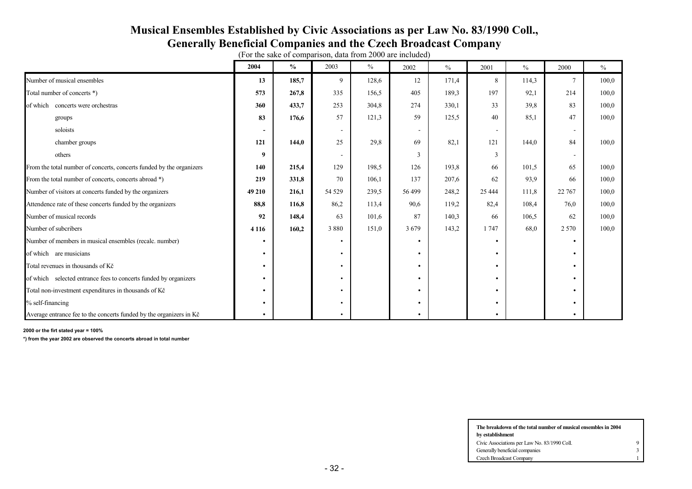### **Musical Ensembles Established by Civic Associations as per Law No. 83/1990 Coll., Generally Beneficial Companies and the Czech Broadcast Company**

|                                                                      | 2004                     | $\frac{0}{0}$ | 2003                     | $\frac{0}{0}$ | 2002                     | $\frac{0}{0}$ | 2001         | $\%$  | 2000                     | $\%$  |
|----------------------------------------------------------------------|--------------------------|---------------|--------------------------|---------------|--------------------------|---------------|--------------|-------|--------------------------|-------|
| Number of musical ensembles                                          | 13                       | 185,7         | 9                        | 128,6         | 12                       | 171,4         | 8            | 114,3 |                          | 100,0 |
| Total number of concerts *)                                          | 573                      | 267,8         | 335                      | 156,5         | 405                      | 189,3         | 197          | 92,1  | 214                      | 100,0 |
| of which concerts were orchestras                                    | 360                      | 433,7         | 253                      | 304,8         | 274                      | 330,1         | 33           | 39,8  | 83                       | 100,0 |
| groups                                                               | 83                       | 176,6         | 57                       | 121,3         | 59                       | 125,5         | 40           | 85,1  | 47                       | 100,0 |
| soloists                                                             | $\overline{\phantom{a}}$ |               | $\overline{\phantom{a}}$ |               | $\overline{\phantom{a}}$ |               | $\sim$       |       | $\overline{\phantom{a}}$ |       |
| chamber groups                                                       | 121                      | 144,0         | 25                       | 29,8          | 69                       | 82,1          | 121          | 144,0 | 84                       | 100,0 |
| others                                                               | 9                        |               |                          |               | $\mathcal{F}$            |               | $\mathbf{3}$ |       |                          |       |
| From the total number of concerts, concerts funded by the organizers | 140                      | 215,4         | 129                      | 198,5         | 126                      | 193,8         | 66           | 101,5 | 65                       | 100,0 |
| From the total number of concerts, concerts abroad *)                | 219                      | 331,8         | 70                       | 106,1         | 137                      | 207,6         | 62           | 93,9  | 66                       | 100,0 |
| Number of visitors at concerts funded by the organizers              | 49 210                   | 216,1         | 54 5 29                  | 239,5         | 56 499                   | 248,2         | 25 4 44      | 111,8 | 22 767                   | 100,0 |
| Attendence rate of these concerts funded by the organizers           | 88,8                     | 116,8         | 86,2                     | 113,4         | 90,6                     | 119,2         | 82,4         | 108,4 | 76,0                     | 100,0 |
| Number of musical records                                            | 92                       | 148,4         | 63                       | 101,6         | 87                       | 140,3         | 66           | 106,5 | 62                       | 100,0 |
| Number of subcribers                                                 | 4 1 1 6                  | 160,2         | 3880                     | 151,0         | 3679                     | 143,2         | 1747         | 68,0  | 2 5 7 0                  | 100,0 |
| Number of members in musical ensembles (recalc. number)              |                          |               |                          |               | ٠                        |               | $\bullet$    |       | ٠                        |       |
| of which are musicians                                               |                          |               |                          |               | $\bullet$                |               |              |       |                          |       |
| Total revenues in thousands of Kč                                    | $\bullet$                |               | $\bullet$                |               | $\bullet$                |               | $\bullet$    |       |                          |       |
| of which selected entrance fees to concerts funded by organizers     | $\bullet$                |               | $\bullet$                |               | ٠                        |               |              |       |                          |       |
| Total non-investment expenditures in thousands of Kč                 | $\bullet$                |               |                          |               | ٠                        |               |              |       |                          |       |
| % self-financing                                                     |                          |               | $\bullet$                |               | ٠                        |               |              |       |                          |       |
| Average entrance fee to the concerts funded by the organizers in Kč  |                          |               |                          |               | ٠                        |               |              |       |                          |       |

(For the sake of comparison, data from 2000 are included)

**2000 or the firt stated year = 100%**

**\*) from the year 2002 are observed the concerts abroad in total number** 

| The breakdown of the total number of musical ensembles in 2004 |  |
|----------------------------------------------------------------|--|
| by establishment                                               |  |
| Civic Associations per Law No. 83/1990 Coll.                   |  |
| Generally beneficial companies                                 |  |
| Czech Broadcast Company                                        |  |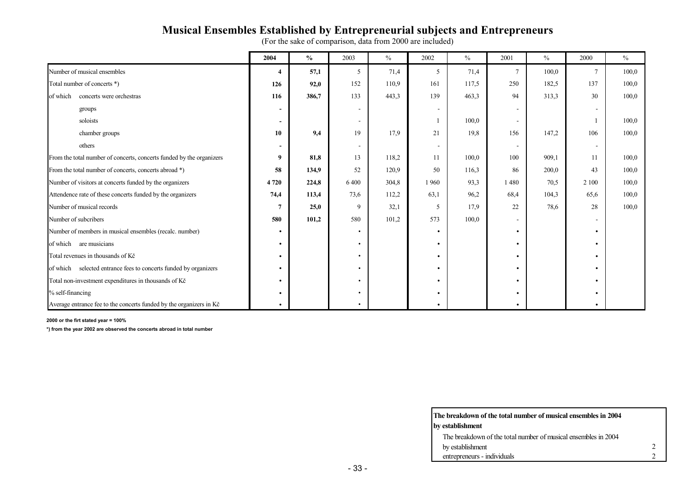# **Musical Ensembles Established by Entrepreneurial subjects and Entrepreneurs**

(For the sake of comparison, data from 2000 are included)

|                                                                      | 2004                     | $\frac{0}{0}$ | 2003                         | $\%$  | 2002                     | $\%$  | 2001                     | $\frac{0}{0}$ | 2000      | $\%$  |
|----------------------------------------------------------------------|--------------------------|---------------|------------------------------|-------|--------------------------|-------|--------------------------|---------------|-----------|-------|
| Number of musical ensembles                                          | $\boldsymbol{4}$         | 57,1          | 5                            | 71,4  | 5                        | 71,4  | $7\phantom{.0}$          | 100,0         | $\tau$    | 100.0 |
| Total number of concerts *)                                          | 126                      | 92,0          | 152                          | 110.9 | 161                      | 117,5 | 250                      | 182,5         | 137       | 100,0 |
| concerts were orchestras<br>of which                                 | 116                      | 386,7         | 133                          | 443,3 | 139                      | 463,3 | 94                       | 313.3         | 30        | 100,0 |
| groups                                                               | $\overline{\phantom{a}}$ |               | $\qquad \qquad \blacksquare$ |       | $\overline{\phantom{a}}$ |       | $\overline{\phantom{a}}$ |               |           |       |
| soloists                                                             | $\sim$                   |               | $\overline{\phantom{a}}$     |       |                          | 100,0 | $\sim$                   |               |           | 100.0 |
| chamber groups                                                       | 10                       | 9,4           | 19                           | 17.9  | 21                       | 19,8  | 156                      | 147,2         | 106       | 100,0 |
| others                                                               | $\sim$                   |               | $\overline{\phantom{a}}$     |       | $\blacksquare$           |       | $\overline{\phantom{a}}$ |               |           |       |
| From the total number of concerts, concerts funded by the organizers | 9                        | 81,8          | 13                           | 118,2 | 11                       | 100,0 | 100                      | 909,1         | -11       | 100,0 |
| From the total number of concerts, concerts abroad *)                | 58                       | 134,9         | 52                           | 120,9 | 50                       | 116,3 | 86                       | 200,0         | 43        | 100,0 |
| Number of visitors at concerts funded by the organizers              | 4 7 2 0                  | 224,8         | 6 4 0 0                      | 304,8 | 1960                     | 93.3  | 1480                     | 70.5          | 2 100     | 100,0 |
| Attendence rate of these concerts funded by the organizers           | 74,4                     | 113,4         | 73,6                         | 112,2 | 63,1                     | 96,2  | 68,4                     | 104,3         | 65,6      | 100,0 |
| Number of musical records                                            | 7                        | 25,0          | 9                            | 32,1  | 5                        | 17,9  | 22                       | 78,6          | 28        | 100,0 |
| Number of subcribers                                                 | 580                      | 101,2         | 580                          | 101,2 | 573                      | 100,0 | $\overline{\phantom{a}}$ |               |           |       |
| Number of members in musical ensembles (recalc. number)              | $\bullet$                |               | ٠                            |       | ٠                        |       | $\bullet$                |               | $\bullet$ |       |
| of which are musicians                                               | $\bullet$                |               | ٠                            |       |                          |       | $\bullet$                |               |           |       |
| Total revenues in thousands of Kč                                    | $\bullet$                |               | ٠                            |       |                          |       | $\bullet$                |               |           |       |
| of which selected entrance fees to concerts funded by organizers     | $\bullet$                |               | ٠                            |       |                          |       | $\bullet$                |               |           |       |
| Total non-investment expenditures in thousands of Kč                 | $\bullet$                |               | ٠                            |       |                          |       | $\bullet$                |               |           |       |
| % self-financing                                                     |                          |               | ٠                            |       |                          |       |                          |               |           |       |
| Average entrance fee to the concerts funded by the organizers in Kč  |                          |               |                              |       |                          |       |                          |               |           |       |

#### **2000 or the firt stated year = 100%**

**\*) from the year 2002 are observed the concerts abroad in total number** 

| The breakdown of the total number of musical ensembles in 2004 |  |
|----------------------------------------------------------------|--|
| by establishment                                               |  |
| The breakdown of the total number of musical ensembles in 2004 |  |
| by establishment                                               |  |
| entrepreneurs - individuals                                    |  |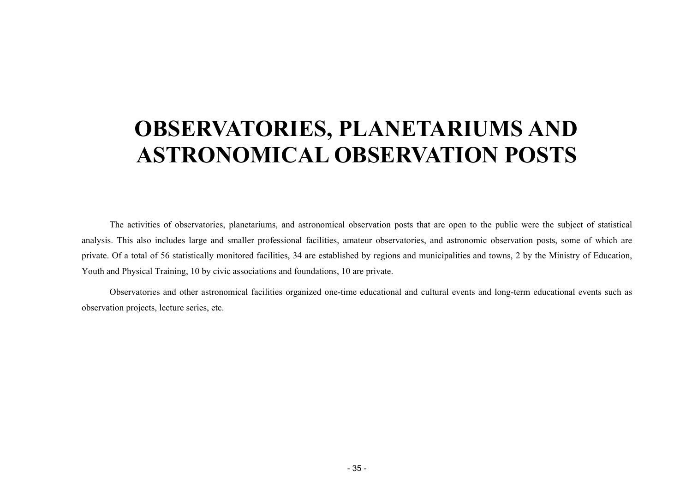# <span id="page-34-0"></span>**OBSERVATORIES, PLANETARIUMS AND ASTRONOMICAL OBSERVATION POSTS**

The activities of observatories, planetariums, and astronomical observation posts that are open to the public were the subject of statistical analysis. This also includes large and smaller professional facilities, amateur observatories, and astronomic observation posts, some of which are private. Of a total of 56 statistically monitored facilities, 34 are established by regions and municipalities and towns, 2 by the Ministry of Education, Youth and Physical Training, 10 by civic associations and foundations, 10 are private.

Observatories and other astronomical facilities organized one-time educational and cultural events and long-term educational events such as observation projects, lecture series, etc.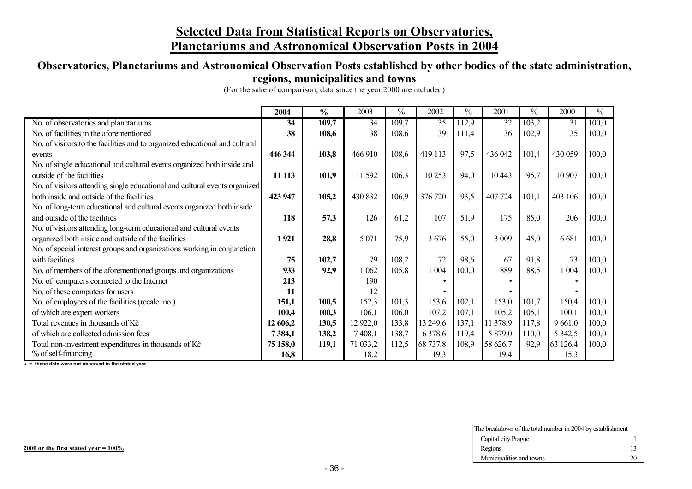### **Selected Data from Statistical Reports on Observatories, Planetariums and Astronomical Observation Posts in 2004**

# **Observatories, Planetariums and Astronomical Observation Posts established by other bodies of the state administration,**

#### **regions, municipalities and towns**

(For the sake of comparison, data since the year 2000 are included)

|                                                                             | 2004     | $\frac{0}{0}$ | 2003     | $\frac{0}{0}$ | 2002        | $\frac{0}{0}$ | 2001     | $\frac{0}{0}$ | 2000        | $\frac{0}{0}$ |
|-----------------------------------------------------------------------------|----------|---------------|----------|---------------|-------------|---------------|----------|---------------|-------------|---------------|
| No. of observatories and planetariums                                       | 34       | 109,7         | 34       | 109,7         | 35          | 112,9         | 32       | 103,2         | 31          | 100,0         |
| No. of facilities in the aforementioned                                     | 38       | 108,6         | 38       | 108,6         | 39          | 111,4         | 36       | 102,9         | 35          | 100,0         |
| No. of visitors to the facilities and to organized educational and cultural |          |               |          |               |             |               |          |               |             |               |
| events                                                                      | 446 344  | 103,8         | 466 910  | 108,6         | 419 113     | 97,5          | 436 042  | 101,4         | 430 059     | 100,0         |
| No. of single educational and cultural events organized both inside and     |          |               |          |               |             |               |          |               |             |               |
| outside of the facilities                                                   | 11 1 13  | 101,9         | 11 592   | 106,3         | 10 253      | 94,0          | 10 4 43  | 95,7          | 10 907      | 100,0         |
| No. of visitors attending single educational and cultural events organized  |          |               |          |               |             |               |          |               |             |               |
| both inside and outside of the facilities                                   | 423 947  | 105,2         | 430 832  | 106,9         | 376 720     | 93,5          | 407 724  | 101,1         | 403 106     | 100,0         |
| No. of long-term educational and cultural events organized both inside      |          |               |          |               |             |               |          |               |             |               |
| and outside of the facilities                                               | 118      | 57,3          | 126      | 61,2          | 107         | 51,9          | 175      | 85,0          | 206         | 100,0         |
| No. of visitors attending long-term educational and cultural events         |          |               |          |               |             |               |          |               |             |               |
| organized both inside and outside of the facilities                         | 1921     | 28,8          | 5 0 7 1  | 75,9          | 3676        | 55,0          | 3 0 0 9  | 45,0          | 6681        | 100,0         |
| No. of special interest groups and organizations working in conjunction     |          |               |          |               |             |               |          |               |             |               |
| with facilities                                                             | 75       | 102,7         | 79       | 108,2         | 72          | 98,6          | 67       | 91,8          | 73          | 100,0         |
| No. of members of the aforementioned groups and organizations               | 933      | 92,9          | 1 062    | 105,8         | 1 0 0 4     | 100,0         | 889      | 88,5          | 1 0 0 4     | 100,0         |
| No. of computers connected to the Internet                                  | 213      |               | 190      |               |             |               |          |               |             |               |
| No. of these computers for users                                            | 11       |               | 12       |               |             |               |          |               |             |               |
| No. of employees of the facilities (recalc. no.)                            | 151,1    | 100,5         | 152,3    | 101,3         | 153,6       | 102,1         | 153,0    | 101,7         | 150,4       | 100,0         |
| of which are expert workers                                                 | 100,4    | 100,3         | 106,1    | 106,0         | 107,2       | 107,1         | 105,2    | 105,1         | 100,1       | 100,0         |
| Total revenues in thousands of Kč                                           | 12 606,2 | 130,5         | 12 922,0 | 133,8         | 13 249,6    | 137,1         | 11 378,9 | 117,8         | 9661,0      | 100,0         |
| of which are collected admission fees                                       | 7384,1   | 138,2         | 7 408,1  | 138,7         | 6 3 7 8 , 6 | 119,4         | 5 879,0  | 110,0         | 5 3 4 2 , 5 | 100,0         |
| Total non-investment expenditures in thousands of Kč                        | 75 158,0 | 119,1         | 71 033,2 | 112,5         | 68 737,8    | 108,9         | 58 626,7 | 92,9          | 63 126,4    | 100,0         |
| % of self-financing                                                         | 16,8     |               | 18,2     |               | 19,3        |               | 19,4     |               | 15,3        |               |

i **<sup>=</sup> these data were not observed in the stated year** 

| The breakdown of the total number in 2004 by establishment |    |
|------------------------------------------------------------|----|
| Capital city Prague                                        |    |
| Regions                                                    | 13 |
| Municipalities and towns                                   | 20 |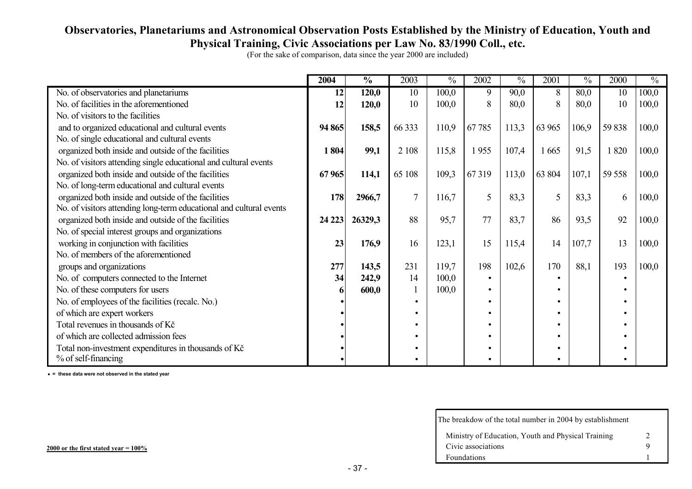### **Observatories, Planetariums and Astronomical Observation Posts Established by the Ministry of Education, Youth and Physical Training, Civic Associations per Law No. 83/1990 Coll., etc.**

|                                                                     | 2004    | $\frac{0}{0}$ | 2003         | $\overline{\frac{0}{6}}$ | 2002  | $\frac{0}{0}$ | 2001      | $\frac{0}{0}$ | 2000   | $\overline{\frac{0}{6}}$ |
|---------------------------------------------------------------------|---------|---------------|--------------|--------------------------|-------|---------------|-----------|---------------|--------|--------------------------|
| No. of observatories and planetariums                               | 12      | 120,0         | 10           | 100,0                    | 9     | 90,0          | 8         | 80,0          | 10     | 100,0                    |
| No. of facilities in the aforementioned                             | 12      | 120,0         | 10           | 100,0                    | 8     | 80,0          | 8         | 80,0          | 10     | 100,0                    |
| No. of visitors to the facilities                                   |         |               |              |                          |       |               |           |               |        |                          |
| and to organized educational and cultural events                    | 94 865  | 158,5         | 66 333       | 110,9                    | 67785 | 113,3         | 63 965    | 106,9         | 59 838 | 100,0                    |
| No. of single educational and cultural events                       |         |               |              |                          |       |               |           |               |        |                          |
| organized both inside and outside of the facilities                 | 1804    | 99,1          | 2 1 0 8      | 115,8                    | 1955  | 107,4         | 1665      | 91,5          | 1820   | 100,0                    |
| No. of visitors attending single educational and cultural events    |         |               |              |                          |       |               |           |               |        |                          |
| organized both inside and outside of the facilities                 | 67965   | 114,1         | 65 108       | 109,3                    | 67319 | 113,0         | 63 804    | 107,1         | 59 558 | 100,0                    |
| No. of long-term educational and cultural events                    |         |               |              |                          |       |               |           |               |        |                          |
| organized both inside and outside of the facilities                 | 178     | 2966,7        | $\tau$       | 116,7                    | 5     | 83,3          | 5         | 83,3          | 6      | 100,0                    |
| No. of visitors attending long-term educational and cultural events |         |               |              |                          |       |               |           |               |        |                          |
| organized both inside and outside of the facilities                 | 24 2 23 | 26329,3       | 88           | 95,7                     | 77    | 83,7          | 86        | 93,5          | 92     | 100,0                    |
| No. of special interest groups and organizations                    |         |               |              |                          |       |               |           |               |        |                          |
| working in conjunction with facilities                              | 23      | 176,9         | 16           | 123,1                    | 15    | 115,4         | 14        | 107,7         | 13     | 100,0                    |
| No. of members of the aforementioned                                |         |               |              |                          |       |               |           |               |        |                          |
| groups and organizations                                            | 277     | 143,5         | 231          | 119,7                    | 198   | 102,6         | 170       | 88,1          | 193    | 100,0                    |
| No. of computers connected to the Internet                          | 34      | 242,9         | 14           | 100,0                    |       |               |           |               |        |                          |
| No. of these computers for users                                    |         | 600,0         | $\mathbf{1}$ | 100,0                    |       |               | $\bullet$ |               |        |                          |
| No. of employees of the facilities (recalc. No.)                    |         |               | $\bullet$    |                          |       |               |           |               |        |                          |
| of which are expert workers                                         |         |               | ٠            |                          |       |               |           |               |        |                          |
| Total revenues in thousands of Kč                                   |         |               | ٠            |                          |       |               |           |               |        |                          |
| of which are collected admission fees                               |         |               | ٠            |                          |       |               |           |               |        |                          |
| Total non-investment expenditures in thousands of Kč                |         |               | ٠            |                          |       |               | ٠         |               |        |                          |
| % of self-financing                                                 |         |               | $\bullet$    |                          |       |               | $\bullet$ |               |        |                          |

i **<sup>=</sup> these data were not observed in the stated year** 

| The breakdow of the total number in 2004 by establishment |   |
|-----------------------------------------------------------|---|
| Ministry of Education, Youth and Physical Training        | 2 |
| Civic associations                                        | Q |
| Foundations                                               |   |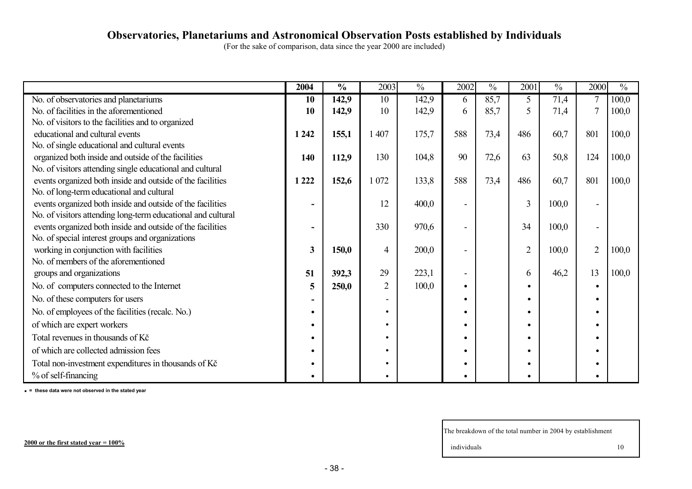#### **Observatories, Planetariums and Astronomical Observation Posts established by Individuals**

(For the sake of comparison, data since the year 2000 are included)

|                                                              | 2004    | $\frac{0}{0}$ | 2003           | $\frac{0}{0}$ | 2002 | $\frac{0}{0}$ | 2001           | $\frac{0}{0}$ | 2000           | $\frac{0}{0}$ |
|--------------------------------------------------------------|---------|---------------|----------------|---------------|------|---------------|----------------|---------------|----------------|---------------|
| No. of observatories and planetariums                        | 10      | 142,9         | 10             | 142,9         | 6    | 85,7          | 5              | 71,4          |                | 100,0         |
| No. of facilities in the aforementioned                      | 10      | 142,9         | 10             | 142,9         | 6    | 85,7          |                | 71,4          |                | 100,0         |
| No. of visitors to the facilities and to organized           |         |               |                |               |      |               |                |               |                |               |
| educational and cultural events                              | 1 2 4 2 | 155,1         | 1 407          | 175,7         | 588  | 73,4          | 486            | 60,7          | 801            | 100,0         |
| No. of single educational and cultural events                |         |               |                |               |      |               |                |               |                |               |
| organized both inside and outside of the facilities          | 140     | 112,9         | 130            | 104,8         | 90   | 72,6          | 63             | 50,8          | 124            | 100,0         |
| No. of visitors attending single educational and cultural    |         |               |                |               |      |               |                |               |                |               |
| events organized both inside and outside of the facilities   | 1 2 2 2 | 152,6         | 1 0 7 2        | 133,8         | 588  | 73,4          | 486            | 60,7          | 801            | 100,0         |
| No. of long-term educational and cultural                    |         |               |                |               |      |               |                |               |                |               |
| events organized both inside and outside of the facilities   |         |               | 12             | 400,0         |      |               | 3              | 100,0         |                |               |
| No. of visitors attending long-term educational and cultural |         |               |                |               |      |               |                |               |                |               |
| events organized both inside and outside of the facilities   |         |               | 330            | 970,6         |      |               | 34             | 100,0         |                |               |
| No. of special interest groups and organizations             |         |               |                |               |      |               |                |               |                |               |
| working in conjunction with facilities                       | 3       | 150,0         | 4              | 200,0         |      |               | $\overline{2}$ | 100,0         | $\overline{2}$ | 100,0         |
| No. of members of the aforementioned                         |         |               |                |               |      |               |                |               |                |               |
| groups and organizations                                     | 51      | 392,3         | 29             | 223,1         |      |               | 6              | 46,2          | 13             | 100,0         |
| No. of computers connected to the Internet                   | 5       | 250,0         | $\overline{2}$ | 100,0         |      |               |                |               |                |               |
| No. of these computers for users                             |         |               |                |               |      |               |                |               |                |               |
| No. of employees of the facilities (recalc. No.)             |         |               | ٠              |               |      |               |                |               |                |               |
| of which are expert workers                                  |         |               |                |               |      |               |                |               |                |               |
| Total revenues in thousands of Kč                            |         |               |                |               |      |               |                |               |                |               |
| of which are collected admission fees                        |         |               |                |               |      |               |                |               |                |               |
| Total non-investment expenditures in thousands of Kč         |         |               |                |               |      |               |                |               |                |               |
| % of self-financing                                          |         |               |                |               |      |               |                |               |                |               |

i **<sup>=</sup> these data were not observed in the stated year**

The breakdown of the total number in 2004 by establishment

individuals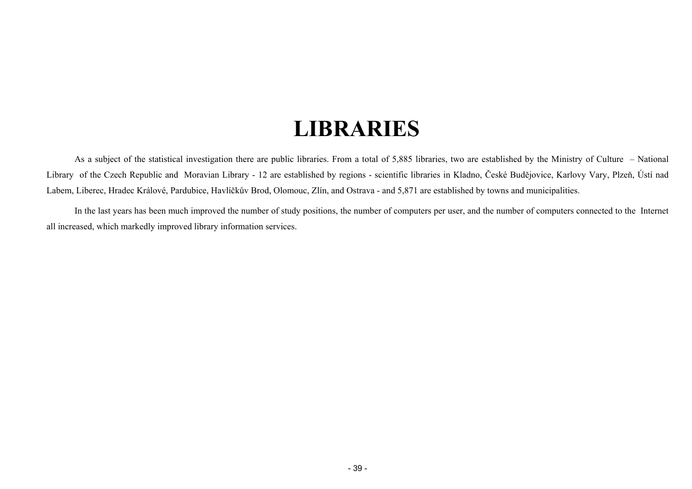# **LIBRARIES**

<span id="page-38-0"></span>As a subject of the statistical investigation there are public libraries. From a total of 5,885 libraries, two are established by the Ministry of Culture – National Library of the Czech Republic and Moravian Library - 12 are established by regions - scientific libraries in Kladno, České Budějovice, Karlovy Vary, Plzeň, Ústí nad Labem, Liberec, Hradec Králové, Pardubice, Havlíčkův Brod, Olomouc, Zlín, and Ostrava - and 5,871 are established by towns and municipalities.

In the last years has been much improved the number of study positions, the number of computers per user, and the number of computers connected to the Internet all increased, which markedly improved library information services.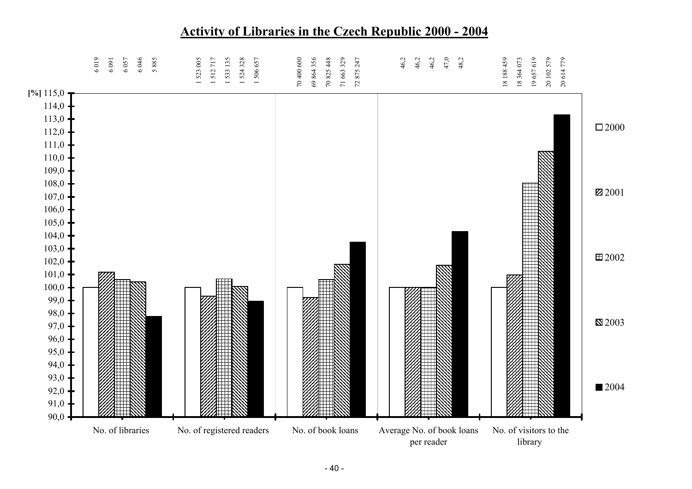

# **Activity of Libraries in the Czech Republic 2000 - 2004**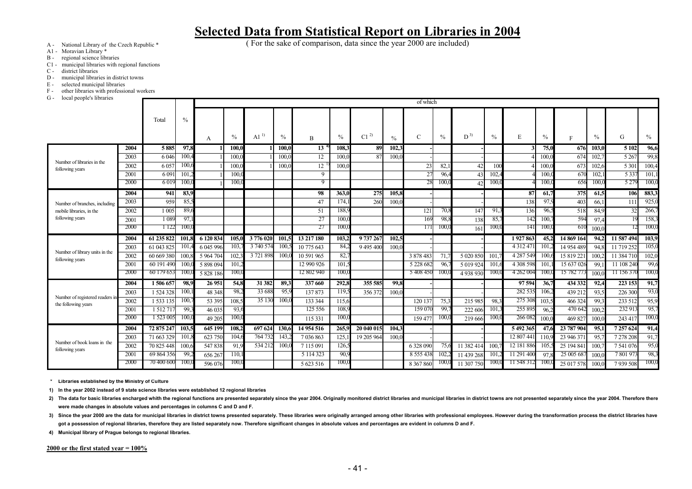( For the sake of comparison, data since the year 2000 are included)

- A National Library of the Czech Republic \*
- A1 Moravian Library \*
- B regional science libraries
- C1 municipal libraries with regional functions
- C district libraries
- D municipal libraries in district towns
- E selected municipal libraries
- F other libraries with professional workers<br>
G local people's libraries
- local people's libraries

| rocar people's horaries                       |              |                          |               |                   |                |                    |               |                          |                  |            |               | of which      |               |              |                  |                         |                |                          |              |                      |              |
|-----------------------------------------------|--------------|--------------------------|---------------|-------------------|----------------|--------------------|---------------|--------------------------|------------------|------------|---------------|---------------|---------------|--------------|------------------|-------------------------|----------------|--------------------------|--------------|----------------------|--------------|
|                                               |              | Total                    | $\frac{0}{0}$ |                   |                |                    |               |                          |                  |            |               |               |               |              |                  |                         |                |                          |              |                      |              |
|                                               |              |                          |               |                   |                |                    |               |                          |                  |            |               |               |               |              |                  |                         |                |                          |              |                      |              |
|                                               |              |                          |               | A                 | $\frac{0}{0}$  | Al <sup>1</sup>    | $\%$          | B                        | $\%$             | $C1^{2}$   | $\frac{0}{0}$ | C             | $\frac{0}{0}$ | $D^{3)}$     | $\frac{0}{0}$    | E                       | $\%$           | F                        | $\%$         | G                    | $\%$         |
|                                               | 2004         | 5885                     | 97,8          |                   | 100,0          |                    | 100.0         | 13 <sup>7</sup>          | 108.3            | 89         | 102,3         |               |               |              |                  |                         | 75,0           | 676                      | 103,0        | 5 1 0 2              | 96,6         |
|                                               | 2003         | 6046                     | 100.4         |                   | 100.0          |                    | 100.0         | 12                       | 100.0            | 87         | 100,          |               |               |              |                  |                         | 100.           | 674                      | 102.7        | 5 2 6 7              | 99,8         |
| Number of libraries in the<br>following years | 2002         | 6 05                     | 100.          |                   | 100.0          |                    | 100.0         | 12                       | 100(             |            |               | 23            | 82,           | 42           | 100              |                         | 100.0          | 673                      | 102,6        | 5 3 0 1              | 100,4        |
|                                               | 2001         | 6 0 9                    | 101.2         |                   | 100.0          |                    |               | 9                        |                  |            |               | 27            | 96.4          | 43           | 102.4            |                         | 100.0          | 670                      | 102,         | 5 3 3 7              | 101,         |
|                                               | 2000         | 6019                     | 100.0         |                   | 100.0          |                    |               | 9                        |                  |            |               |               | 100.          | 42           | 100.0            |                         | 100.0          | 656                      | 100.0        | 5 2 7 9              | 100(         |
|                                               | 2004         | 941                      | 83,9          |                   |                |                    |               | 98                       | 363,0            | 275        | 105,8         |               |               |              |                  | 87                      | 61,7           | 375                      | 61,5         | 106                  | 883,3        |
| Number of branches, including                 | 2003         | 959                      | 85.3          |                   |                |                    |               | 47                       | 174,             | 260        | 100,          |               |               |              |                  | 138                     | 97.9           | 403                      | 66.1         | 111                  | 925,         |
| mobile libraries, in the                      | 2002         | 1 005                    | 89.6          |                   |                |                    |               | 51                       | 188,9            |            |               | 121           | 70,8          | 147          | 91.3             | 136                     | 96.5           | 518                      | 84,9         | 32                   | 266,7        |
| following years                               | 2001         | 1 0 8 9                  | 97.           |                   |                |                    |               | 27                       | 100.0            |            |               | 169           | 98,8          | 138          | 85.              | 142                     | 100.7          | 594                      | 97.4         |                      | 158,3        |
|                                               | 2000         | 1 1 2 2                  | 100.0         |                   |                |                    |               | 27                       | 100 <sub>1</sub> |            |               | 171           | 100.          | 161          | 100 <sub>0</sub> | 141                     | 100.0          | 610                      | 100.0        |                      | 100(         |
|                                               | 2004         | 61 235 822               | 101           | 6 120 834         | 105.0          | 3776020            | 101.          | 13 217 180               | 103.2            | 9737267    | 102.5         |               |               |              |                  | 1927863                 | 45.2           | 14 869 164               | 94.2         | 11 587 494           | 103,9        |
| Number of library units in the                | 2003         | 61 043 825               | 101           | 6 045 996         | 103            | 3 740 574          | 100           | 10 775 643               | 84.2             | 9 495 400  | 100.0         |               |               |              |                  | 4 3 1 2 4 7 1           | 101            | 14 954 489               | 94.8         | 11 719 252           | 105.         |
| following years                               | 2002         | 60 669 380               | 100.          | 5 9 64 70         | 102.           | 3 721 898          | 100           | 10 591 965               | 82,7             |            |               | 3 878 483     | 71.           | 5 0 20 8 5 ( | 101              | 4 287 549               | 100.6          | 15 819 221               | 100.2        | 11 384 710           | 102,0        |
|                                               | 2001         | 60 191 490               | 100           | 5 898 094         | 101            |                    |               | 12 990 926               | 101,5            |            |               | 5 2 28 6 8 2  | 96.           | 5 019 924    | 101.6            | 4 308 598               | 101            | 15 637 026               | 99.1         | 11 108 240           | 99,          |
|                                               | 2000         | 60 179 653               | 100(          | 5 828 186         | 100,0          |                    |               | 12 802 940               | 100,0            |            |               | 5 408 450     | 100.          | 4 9 38 9 30  | 100(             | 4 262 004               | 100,0          | 15 782 773               | 100.0        | 11 156 370           | 100(         |
|                                               | 2004         | 1506 657                 | 98.9          | 26 951            | 54.8           | 31 382             | 89.3          | 337 660                  | 292,8            | 355 585    | 99.8          |               |               |              |                  | 97 594                  | 36.7           | 434 332                  | 92,4         | 223 153              | 91,7         |
| Number of registered readers in               | 2003         | 1 524 328                | 100.          | 48 348            | 98,2           | 33 688             | 95,9          | 137873                   | 119,5            | 356 372    | 100.0         |               |               |              |                  | 282 535                 | 106.2          | 439 212                  | 93.5         | 226 300              | 93,0         |
| the following years                           | 2002         | 1 533 135                | 100.          | 53 395            | 108.5          | 35 13              | 100.0         | 133 344                  | 115.6            |            |               | 120 137       | 75.3          | 215 985      | 98.3             | 275 308                 | 103.5          | 466 324                  | -99.3        | 233 512              | 95,9         |
|                                               | 2001<br>2000 | 1 512 71<br>1 523 005    | 99.3<br>100.0 | 46 035            | 93.6<br>100.0  |                    |               | 125 556                  | 108,9<br>100.0   |            |               | 159 070       | 99.<br>100.   | 222 60       | 101,3<br>100.0   | 255 895<br>266 082      | 96.2<br>100(j) | 470 642                  | 100.2        | 232 91               | 95,7<br>100( |
|                                               |              |                          |               | 49 20:            |                |                    |               | 115 331                  |                  |            |               | 159477        |               | 219 666      |                  |                         |                | 469 827                  | 100.0        | 243 417              |              |
|                                               | 2004         | 72 875 247               | 103,5<br>101. | 645 199           | 108.2<br>104.6 | 697 624<br>764 732 | 130,6<br>143. | 14 954 516               | 265,9            | 20 040 015 | 104.3         |               |               |              |                  | 5 492 365<br>12 807 441 | 47.6           | 23 787 904               | 95.1<br>95.7 | 7 257 624            | 91,4         |
| Number of book loans in the                   | 2003<br>2002 | 71 663 329<br>70 825 448 |               | 623 750<br>547838 | 91.9           | 534 212            | 100.          | 7036863<br>7 1 1 5 0 9 1 | 125.<br>126,5    | 19 205 964 | 100(          | 6 328 090     | 75,           | 11 382 414   | 100.             | 12 181 886              | 110            | 23 946 371<br>25 194 841 | 100.7        | 7 278 208<br>7541076 | 91,7<br>95,0 |
| following years                               | 2001         | 69 864 356               | 100.6<br>99.  | 656 267           | 110.           |                    |               | 5 1 1 4 3 2 3            | 90.9             |            |               | 8 5 5 4 3 8   | 102.2         | 11 439 268   | 101              | 11 291 400              | 97.8           | 25 005 687               | 100(         | 780197               | 98.3         |
|                                               | 2000         | 70 400 600               | 100.0         | 596 07            | 100.0          |                    |               | 5 623 516                | 100,0            |            |               | 8 3 6 7 8 6 0 | 100.          | 11 307 750   | 100.0            | 11 548 312              | 100.0          | 25 017 578               | 100.0        | 7939508              | 100(         |
|                                               |              |                          |               |                   |                |                    |               |                          |                  |            |               |               |               |              |                  |                         |                |                          |              |                      |              |

**\* Libraries established by the Ministry of Culture** 

**1) In the year 2002 instead of 9 state science libraries were established 12 regional libraries** 

2) The data for basic libraries encharged whith the regional functions are presented separately since the year 2004. Originally monitored district libraries and municipal libraries in district towns are not presented separ **were made changes in absolute values and percentages in columns C and D and F.**

3) Since the year 2000 are the data for municipal libraries in district towns presented separately. These libraries were originally arranged among other libraries with professional employees. However during the transformat got a possession of regional libraries, therefore they are listed separately now. Therefore significant changes in absolute values and percentages are evident in columns D and F.

**4) Municipal library of Prague belongs to regional libraries.**

**2000 or the first stated year = 100%**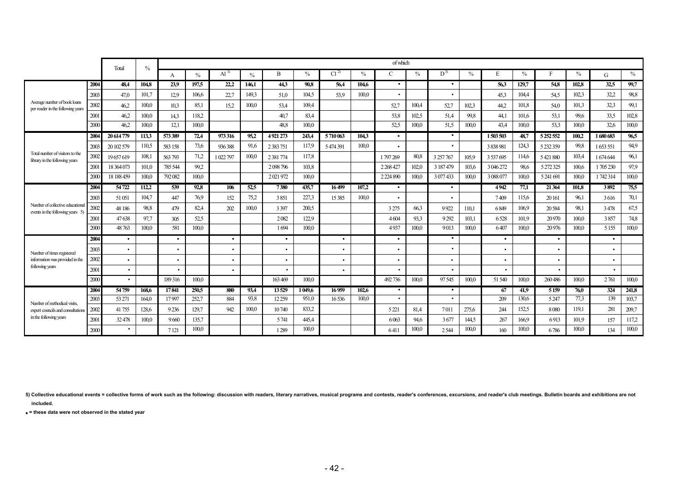|                                                                      |      | Total      | $\frac{0}{0}$ |           |               |                   |               |               |               |                 |               | of which      |                  |           |               |           |       |               |       |           |       |
|----------------------------------------------------------------------|------|------------|---------------|-----------|---------------|-------------------|---------------|---------------|---------------|-----------------|---------------|---------------|------------------|-----------|---------------|-----------|-------|---------------|-------|-----------|-------|
|                                                                      |      |            |               | A         | $\frac{0}{0}$ | $\mathrm{Al}^{1}$ | $\frac{0}{0}$ | R             | $\frac{0}{0}$ | Cl <sup>2</sup> | $\frac{0}{0}$ | $\mathcal{C}$ | $\frac{0}{0}$    | $D^{3}$   | $\frac{0}{0}$ | E         | $\%$  |               | $\%$  | G         | $\%$  |
|                                                                      | 2004 | 48.4       | 104,8         | 23.9      | 197.5         | 22,2              | 146.1         | 44.3          | 90,8          | 56,4            | 104,6         | $\bullet$     |                  | $\bullet$ |               | 56,3      | 129,7 | 54,8          | 102.8 | 32,5      | 99,7  |
|                                                                      | 2003 | 47,0       | 101.7         | 12.9      | 106,6         | 22,7              | 149.3         | 51,0          | 104.5         | 53.9            | 100.0         | $\bullet$     |                  |           |               | 45,3      | 104,4 | 54,5          | 102.3 | 32,2      | 98,8  |
| Average number of book loans<br>per reader in the following years    | 2002 | 46.2       | 100.0         | 10,3      | 85.1          | 15.2              | 100.0         | 53,4          | 109.4         |                 |               | 52,7          | 100.4            | 52,7      | 102,3         | 44,2      | 101,8 | 54,0          | 101.3 | 32.3      | 99,1  |
|                                                                      | 2001 | 46,2       | 100,0         | 14,3      | 118,2         |                   |               | 40,7          | 83,4          |                 |               | 53,8          | 102.5            | 51,4      | 99,8          | 44,1      | 101,6 | 53,1          | 99,6  | 33,5      | 102,8 |
|                                                                      | 2000 | 46,2       | 100,0         | 12,1      | 100,0         |                   |               | 48,8          | 100,0         |                 |               | 52,5          | 100,0            | 51,5      | 100,0         | 43,4      | 100,0 | 53,3          | 100.0 | 32,6      | 100,0 |
|                                                                      | 2004 | 20 614 779 | 113.3         | 573 389   | 72,4          | 973 316           | 95,2          | 4921273       | 243.4         | 5710063         | 104.3         | $\bullet$     |                  | $\bullet$ |               | 1503503   | 48,7  | 5 2 5 2 5 5 2 | 100.2 | 1680683   | 96,5  |
|                                                                      | 200  | 20 102 579 | 110,5         | 583 158   | 73,6          | 936388            | 91,6          | 2 3 8 7 7 5 1 | 117,9         | 5474391         | 100,0         |               |                  |           |               | 3 838 981 | 124,3 | 5 232 359     | 99,8  | 1653551   | 94,9  |
| Total number of visitors to the<br>library in the following years    | 2002 | 19657619   | 108,1         | 563793    | 71,2          | 1 022 797         | 100,0         | 2 3 81 774    | 117,8         |                 |               | 1797269       | 80,8             | 3 257 767 | 105,9         | 3 537 695 | 114,6 | 5421880       | 103,4 | 1674644   | 96,1  |
|                                                                      | 2001 | 18 364 073 | 101.0         | 785 544   | 99,2          |                   |               | 2098796       | 103,8         |                 |               | 2 2 68 4 27   | 102 <sub>c</sub> | 3 187 479 | 103,6         | 3 046 272 | 98,6  | 5 272 325     | 100.6 | 1705230   | 97,9  |
|                                                                      | 2000 | 18 188 459 | 100,0         | 792082    | 100,0         |                   |               | 2021972       | 100,0         |                 |               | 2 2 2 4 8 9 0 | 100 <sub>c</sub> | 3 077 433 | 100.0         | 3 088 077 | 100.0 | 5 241 691     | 100.0 | 1742314   | 100,0 |
|                                                                      | 2004 | 54722      | 112,2         | 539       | 92,8          | 106               | 52.5          | 7380          | 435,7         | 16499           | 107,2         | $\bullet$     |                  | $\bullet$ |               | 4942      | 77,1  | 21 364        | 101.8 | 3892      | 75.5  |
|                                                                      | 2003 | 51 051     | 104,7         | 447       | 76,9          | 152               | 75,2          | 3851          | 227,3         | 15 3 85         | 100,0         |               |                  |           |               | 7409      | 115,6 | 20 16 1       | 96,1  | 3616      | 70,1  |
| Number of collective educational<br>events in the following years 5) | 2002 | 48 18 6    | 98,8          | 479       | 82,4          | 202               | 100,0         | 3 3 9 7       | 200.5         |                 |               | 3 2 7 5       | 66.3             | 9922      | 110.1         | 6849      | 106.9 | 20584         | 98.1  | 3478      | 67,5  |
|                                                                      | 2001 | 47638      | 97,7          | 305       | 52.5          |                   |               | 2082          | 122,9         |                 |               | 4604          | 93.3             | 9292      | 103,1         | 6528      | 101.9 | 20 970        | 100.0 | 3857      | 74,8  |
|                                                                      | 2000 | 48763      | 100.0         | 581       | 100,0         |                   |               | 1694          | 100,0         |                 |               | 4937          | 100.0            | 9013      | 100.0         | 6407      | 100.0 | 20976         | 100.0 | 5 1 5 5   | 100,0 |
|                                                                      | 2004 | $\bullet$  |               | $\bullet$ |               | $\bullet$         |               | $\bullet$     |               | $\bullet$       |               | $\bullet$     |                  | $\bullet$ |               | $\bullet$ |       | $\bullet$     |       | $\bullet$ |       |
| Number of times registered                                           | 2003 | $\bullet$  |               | ٠         |               | ٠                 |               | $\bullet$     |               | ٠               |               | $\bullet$     |                  |           |               | ٠         |       | $\bullet$     |       | ٠         |       |
| information was provided in the                                      | 2002 | $\bullet$  |               |           |               | ٠                 |               |               |               |                 |               | $\bullet$     |                  |           |               | ٠         |       |               |       | ٠         |       |
| following years                                                      | 2001 | $\bullet$  |               |           |               | ٠                 |               | $\bullet$     |               |                 |               | $\bullet$     |                  |           |               |           |       |               |       |           |       |
|                                                                      | 2000 | $\bullet$  |               | 189316    | 100,0         |                   |               | 163 469       | 100.0         |                 |               | 492736        | 100.0            | 97545     | 100,0         | 51 540    | 100.0 | 260486        | 100.0 | 2761      | 100,0 |
|                                                                      | 2004 | 54759      | 168.6         | 17841     | 250.5         | 880               | 93,4          | 13529         | 1049.6        | 16959           | 102.6         | $\bullet$     |                  | $\bullet$ |               | 67        | 41.9  | 5159          | 76,0  | 324       | 241,8 |
| Number of methodical visits,                                         | 2003 | 53 271     | 164,0         | 17997     | 252,7         | 884               | 93,8          | 12 25 9       | 951,0         | 16536           | 100,0         |               |                  |           |               | 209       | 130,6 | 5247          | 77,3  | 139       | 103,7 |
| expert councils and consultations                                    | 2002 | 41755      | 128,6         | 9236      | 129,7         | 942               | 100.0         | 10740         | 833.2         |                 |               | 5 2 21        | 81,4             | 7011      | 275,6         | 244       | 152,5 | 8080          | 119,1 | 281       | 209,7 |
| in the following years                                               | 2001 | 32478      | 100,0         | 9660      | 135,7         |                   |               | 5741          | 445,4         |                 |               | 6063          | 94,6             | 3677      | 144.5         | 267       | 166,9 | 6913          | 101.9 | 157       | 117,2 |
|                                                                      | 2000 |            |               | 7 1 21    | 100.0         |                   |               | 1289          | 100.0         |                 |               | 6411          | 100.0            | 2544      | 100.0         | 160       | 100.0 | 6786          | 100.0 | 134       | 100,0 |

5) Collective educational events = collective forms of work such as the following: discussion with readers, literary narratives, musical programs and contests, reader's conferences, excursions, and reader's club meetings. **included.** 

• **= these data were not observed in the stated year**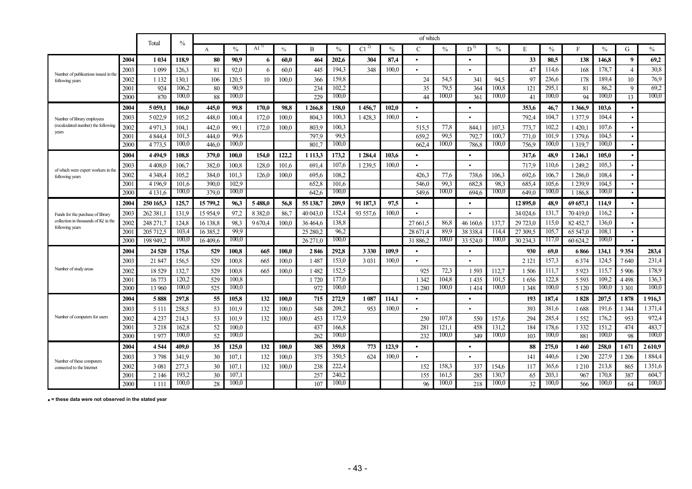|                                                                           |              |                        |                |                |                |                 |               |                |                |           |               | of which       |                |                |                |                |                |                      |                  |                |                |
|---------------------------------------------------------------------------|--------------|------------------------|----------------|----------------|----------------|-----------------|---------------|----------------|----------------|-----------|---------------|----------------|----------------|----------------|----------------|----------------|----------------|----------------------|------------------|----------------|----------------|
|                                                                           |              | Total                  | $\%$           | $\mathbf{A}$   | $\frac{0}{0}$  | Al <sup>1</sup> | $\frac{0}{0}$ | B              | $\frac{0}{0}$  | $C1^{2}$  | $\frac{0}{0}$ | C              | $\frac{0}{0}$  | $D^{3)}$       | $\frac{0}{0}$  | E              | $\frac{0}{0}$  | F                    | $\%$             | G              | $\%$           |
|                                                                           | 2004         | 1 0 34                 | 118.9          | 80             | 90,9           | -6              | 60.0          | 464            | 202,6          | 304       | 87,4          | $\bullet$      |                | $\bullet$      |                | 33             | 80,5           | 138                  | 146,8            | -9             | 69,2           |
| Number of publications issued in the                                      | 2003         | 1 0 9 9                | 126,3          | 81             | 92,0           | -6              | 60.0          | 445            | 194,3          | 348       | 100.0         |                |                |                |                | 47             | 114.6          | 168                  | 178,7            | $\overline{4}$ | 30,8           |
| following years                                                           | 2002         | 1 1 3 2                | 130.1          | 106            | 120.5          | 10              | 100.0         | 366            | 159,8          |           |               | 24             | 54,5           | 341            | 94,5           | 97             | 236,6          | 178                  | 189,4            | 10             | 76,9           |
|                                                                           | 2001         | 924                    | 106.2          | 80             | 90.9           |                 |               | 234            | 102.2          |           |               | 35             | 79.5           | 364            | 100.8          | 121            | 295.1          | 81                   | 86.2             | 9              | 69,2           |
|                                                                           | 2000         | 870                    | 100,0          | 88             | 100,0          |                 |               | 229            | 100,0          |           |               | 44             | 100.0          | 361            | 100.0          | 41             | 100,0          | 94                   | 100,0            | 13             | 100,0          |
|                                                                           | 2004         | 5 0 59,1               | 106,0          | 445,0          | 99,8           | 170.0           | 98,8          | 1266,8         | 158,0          | 1456,7    | 102,0         | $\bullet$      |                | $\bullet$      |                | 353,6          | 46,7           | 1 3 6 6 9            | 103,6            |                |                |
| Number of library employees                                               | 2003         | 5 0 2 2.9              | 105,2          | 448,0          | 100,4          | 172.0           | 100.0         | 804.3          | 100,3          | 1428.3    | 100.0         |                |                |                |                | 792,4          | 104.7          | 1377.9               | 104,4            |                |                |
| (recalculated number) the following<br>years                              | 2002         | 4971.3                 | 104,1          | 442,0          | 99,1           | 172,0           | 100.0         | 803.9          | 100,3          |           |               | 515,5          | 77,8           | 844.           | 107.3          | 773,7          | 102,2          | 1 420,1              | 107,6            |                |                |
|                                                                           | 2001         | 4 8 4 4                | 101,5          | 444,0          | 99.6           |                 |               | 797.9          | 99.5           |           |               | 659.2          | 99.5           | 792.           | 100.7          | 771.0          | 101,9          | 1 379,6              | 104.5            |                |                |
|                                                                           | 2000         | 4 7 7 3 .5             | 100,0          | 446.0          | 100,0          |                 |               | 801.           | 100,0          |           |               | 662.4          | 100,0          | 786.8          | 100,0          | 756.9          | 100,0          | 1 3 1 9 7            | 100,0            |                |                |
|                                                                           | 2004         | 4494.9                 | 108,8          | 379,0          | 100,0          | 154,0           | 122,2         | 1 1 1 3,3      | 173,2          | 1 2 8 4 4 | 103,6         | $\bullet$      |                | $\bullet$      |                | 317,6          | 48,9           | 1 246,1              | 105,0            |                |                |
| of which were expert workers in the                                       | 2003         | 4 4 0 8 0              | 106,7          | 382,0          | 100,8          | 128,0           | 101,6         | 691,4          | 107,6          | 1 239.5   | 100,0         |                |                |                |                | 717.9          | 110,6          | 1 249,2              | 105,3            |                |                |
| following years                                                           | 2002<br>2001 | 4 3 4 8 4<br>4 1 9 6 9 | 105,2<br>101,6 | 384,0<br>390.0 | 101,3<br>102,9 | 126.0           | 100.0         | 695,6          | 108,2<br>101,6 |           |               | 426,3<br>546,0 | 77,6<br>99,3   | 738,6<br>682,8 | 106.3<br>98,3  | 692,6          | 106,7<br>105,6 | 1 286,0<br>1 2 3 9 9 | 108,4<br>104,5   |                |                |
|                                                                           | 2000         | 4 1 3 1 .6             | 100,0          | 379.0          | 100,0          |                 |               | 652,8<br>642.6 | 100,0          |           |               | 549,6          | 100,0          | 694.6          | 100,0          | 685,4<br>649.0 | 100,0          | 1 1 8 6 8            | 100,0            |                |                |
|                                                                           | 2004         | 250 165.3              | 125.7          | 15799.2        | 96.3           | 5488.0          | 56.8          | 55 138.7       | 209.9          | 91 187.3  | 97.5          | $\bullet$      |                | $\bullet$      |                | 12895.0        | 48.9           | 69 657.1             | 114.9            |                |                |
|                                                                           | 2003         | 262 381.               | 131.9          | 15954.9        | 97.2           | 8382.0          | 86.7          | 40 043.0       | 152,4          | 93 557.6  | 100.0         |                |                |                |                | 34 024.6       | 131.7          | 70419.0              | 116.2            |                |                |
| Funds for the purchase of library<br>collection in thousands of Kč in the | 2002         | 248 271.               | 124,8          | 16 138.8       | 98.3           | 9670.4          | 100.0         | 36464.6        | 138,8          |           |               | 27 661.5       | 86,8           | 46 160.6       | 137.7          | 29 723.0       | 115.0          | 82 452.7             | 136.0            |                |                |
| following years                                                           | 200          | 205 712.5              | 103.4          | 16 385.2       | 99.9           |                 |               | 25 280.2       | 96.2           |           |               | 28 671.4       | 89.9           | 38 338.4       | 114.4          | 27 309.5       | 105.7          | 65 547.0             | 108.1            |                |                |
|                                                                           | 2000         | 198 949.2              | 100,0          | 16 409.6       | 100,0          |                 |               | 26 271.0       | 100,0          |           |               | 31 886.2       | 100,0          | 33 524.0       | 100,0          | 30 234.3       | 117,0          | 60 624.2             | 100,0            |                |                |
|                                                                           | 2004         | 24 5 20                | 175,6          | 529            | 100.8          | 665             | 100.0         | 2846           | 292.8          | 3 3 3 0   | 109.9         | $\bullet$      |                | $\bullet$      |                | 930            | 69.0           | 6866                 | 134.1            | 9354           | 283,4          |
|                                                                           | 2003         | 21847                  | 156,5          | 529            | 100,8          | 665             | 100.0         | 1 4 8 7        | 153,0          | 3 0 3 1   | 100.0         |                |                |                |                | 2 1 2 1        | 157,3          | 6374                 | 124.5            | 7640           | 231,4          |
| Number of study areas                                                     | 2002         | 18 5 29                | 132,7          | 529            | 100,8          | 665             | 100.0         | 1 4 8 2        | 152,5          |           |               | 925            | 72,3           | 1 5 9 3        | 112,7          | 1506           | 111,7          | 5923                 | 115,7            | 5906           | 178,9          |
|                                                                           | 2001         | 16 773                 | 120,2          | 529            | 100.8          |                 |               | 1720           | 177.0          |           |               | 1 3 4 2        | 104,8          | 1435           | 101,5          | 1656           | 122,8          | 5 5 9 3              | 109.2            | 4498           | 136,3          |
|                                                                           | 2000         | 13 960                 | 100,0          | 525            | 100,0          |                 |               | 972            | 100,0          |           |               | 1 2 8 0        | 100,0          | 1414           | 100,0          | 1 3 4 8        | 100,0          | 5 1 2 0              | 100 <sub>1</sub> | 3 3 0 1        | 100,0          |
|                                                                           | 2004         | 5888                   | 297.8          | 55             | 105,8          | 132             | 100.0         | 715            | 272,9          | 1 0 8 7   | 114.1         |                |                | $\bullet$      |                | 193            | 187.4          | 1828                 | 207.5            | 1878           | 1916,3         |
|                                                                           | 2003         | 5 1 1 1                | 258,5          | 53             | 101,9          | 132             | 100.0         | 548            | 209,2          | 953       | 100.0         |                |                |                |                | 393            | 381,6          | 1688                 | 191,6            | 1 3 4 4        | 1 3 7 1 4      |
| Number of computers for users                                             | 2002         | 4237                   | 214,3          | 53             | 101,9          | 132             | 100.0         | 453            | 172,9          |           |               | 250            | 107,8          | 550            | 157,6          | 294            | 285,4          | 1 5 5 2              | 176,2            | 953            | 972,4          |
|                                                                           | 2001         | 3 2 1 8                | 162,8          | 52             | 100.0          |                 |               | 437            | 166.8          |           |               | 281            | 121,1          | 458            | 131,2          | 184            | 178,6          | 1 3 3 2              | 151,2            | 474            | 483,7          |
|                                                                           | 2000         | 1977                   | 100,0          | 52             | 100,0          |                 |               | 262            | 100,0          |           |               | 232            | 100,0          | 349            | 100,0          | 103            | 100,0          | 881                  | 100,0            | 98             | 100,0          |
|                                                                           | 2004         | 4544                   | 409.0          | 35             | 125,0          | 132             | 100.0         | 385            | 359,8          | 773       | 123,9         |                |                | $\bullet$      |                | 88             | 275,0          | 1460                 | 258,0            | 1671           | 2610,9         |
| Number of these computers                                                 | 2003         | 3798                   | 341,9          | 30             | 107,1          | 132             | 100.0         | 375            | 350,5          | 624       | 100.0         |                |                |                |                | 141            | 440.6          | 1 2 9 0              | 227,9            | 1 206          | 1884,4         |
| connected to the Internet                                                 | 2002         | 3 0 8 1                | 277,3          | 30             | 107,1          | 132             | 100,0         | 238            | 222,4          |           |               | 152            | 158,3          | 337            | 154,6          | 117            | 365,6          | 1210                 | 213,8            | 865            | 1 3 5 1 , 6    |
|                                                                           | 2001<br>2000 | 2 1 4 6<br>1 1 1 1     | 193,2<br>100,0 | 30<br>28       | 107.1<br>100,0 |                 |               | 257<br>107     | 240,2<br>100,0 |           |               | 155<br>96      | 161,5<br>100,0 | 285<br>218     | 130.7<br>100,0 | 65<br>32       | 203.1<br>100,0 | 967<br>566           | 170,8<br>100,0   | 387<br>64      | 604,7<br>100,0 |
|                                                                           |              |                        |                |                |                |                 |               |                |                |           |               |                |                |                |                |                |                |                      |                  |                |                |

• **= these data were not observed in the stated year**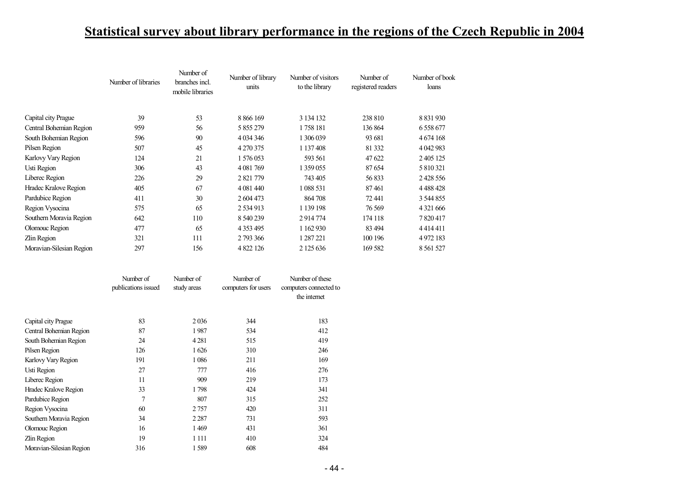# **Statistical survey about library performance in the regions of the Czech Republic in 2004**

|                          | Number of libraries | Number of<br>branches incl.<br>mobile libraries | Number of library<br>units | Number of visitors<br>to the library | Number of<br>registered readers | Number of book<br>loans |
|--------------------------|---------------------|-------------------------------------------------|----------------------------|--------------------------------------|---------------------------------|-------------------------|
|                          |                     |                                                 |                            |                                      |                                 |                         |
| Capital city Prague      | 39                  | 53                                              | 8 8 6 1 6 9                | 3 134 132                            | 238 810                         | 8 8 3 1 9 3 0           |
| Central Bohemian Region  | 959                 | 56                                              | 5 855 279                  | 1758 181                             | 136 864                         | 6 5 5 8 6 7 7           |
| South Bohemian Region    | 596                 | 90                                              | 4 0 34 34 6                | 1 306 039                            | 93 681                          | 4 6 74 168              |
| Pilsen Region            | 507                 | 45                                              | 4 270 375                  | 1 137 408                            | 81 3 32                         | 4 042 983               |
| Karlovy Vary Region      | 124                 | 21                                              | 1 576 053                  | 593 561                              | 47622                           | 2 405 125               |
| Usti Region              | 306                 | 43                                              | 4 0 81 7 69                | 1 359 055                            | 87654                           | 5 810 321               |
| Liberec Region           | 226                 | 29                                              | 2 821 779                  | 743 405                              | 56833                           | 2428556                 |
| Hradec Kralove Region    | 405                 | 67                                              | 4 0 81 440                 | 1 088 531                            | 87461                           | 4 4 8 4 4 2 8           |
| Pardubice Region         | 411                 | 30                                              | 2 604 473                  | 864 708                              | 72441                           | 3 544 855               |
| Region Vysocina          | 575                 | 65                                              | 2 5 3 4 9 1 3              | 1 139 198                            | 76 5 69                         | 4 3 2 1 6 6 6           |
| Southern Moravia Region  | 642                 | 110                                             | 8 540 239                  | 2914774                              | 174 118                         | 7820417                 |
| Olomouc Region           | 477                 | 65                                              | 4 3 5 3 4 9 5              | 1 162 930                            | 83 4 94                         | 4414411                 |
| Zlin Region              | 321                 | 111                                             | 2 793 366                  | 1 287 221                            | 100 196                         | 4 972 183               |
| Moravian-Silesian Region | 297                 | 156                                             | 4 822 126                  | 2 125 636                            | 169 582                         | 8 5 61 5 27             |

|                          | Number of<br>publications issued | Number of<br>study areas | Number of<br>computers for users | Number of these<br>computers connected to<br>the internet |
|--------------------------|----------------------------------|--------------------------|----------------------------------|-----------------------------------------------------------|
| Capital city Prague      | 83                               | 2036                     | 344                              | 183                                                       |
| Central Bohemian Region  | 87                               | 1987                     | 534                              | 412                                                       |
| South Bohemian Region    | 24                               | 4 2 8 1                  | 515                              | 419                                                       |
| Pilsen Region            | 126                              | 1626                     | 310                              | 246                                                       |
| Karlovy Vary Region      | 191                              | 1 0 8 6                  | 211                              | 169                                                       |
| Usti Region              | 27                               | 777                      | 416                              | 276                                                       |
| Liberec Region           | 11                               | 909                      | 219                              | 173                                                       |
| Hradec Kralove Region    | 33                               | 1798                     | 424                              | 341                                                       |
| Pardubice Region         | 7                                | 807                      | 315                              | 252                                                       |
| Region Vysocina          | 60                               | 2757                     | 420                              | 311                                                       |
| Southern Moravia Region  | 34                               | 2 2 8 7                  | 731                              | 593                                                       |
| Olomouc Region           | 16                               | 1469                     | 431                              | 361                                                       |
| Zlin Region              | 19                               | 1 1 1 1                  | 410                              | 324                                                       |
| Moravian-Silesian Region | 316                              | 1589                     | 608                              | 484                                                       |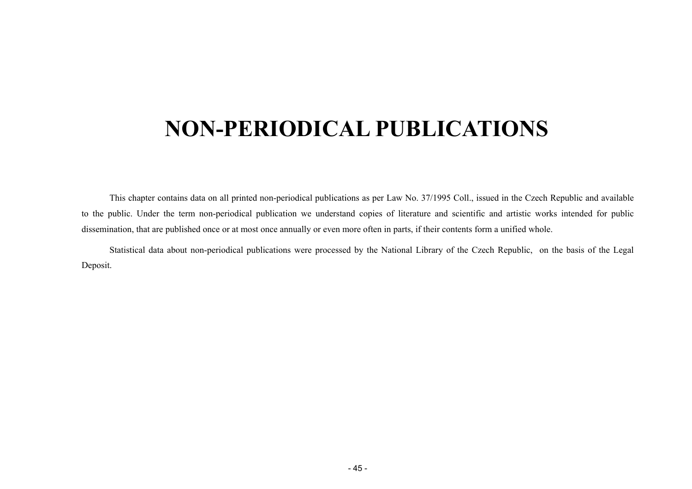# <span id="page-44-0"></span>**NON-PERIODICAL PUBLICATIONS**

This chapter contains data on all printed non-perio dical publications as per Law No. 37/1995 Coll., issued in the Czech Republic and available to the public. Under the term non-periodical publication we understand copies of literature and scientific and artistic works intended for public dissemination, that are published once or at most once annually or even more often in parts, if their contents form a unified whole.

Statistical data about non-periodical publications were processed by the National Library of the Czech Republic, on the basis of the Legal Deposit.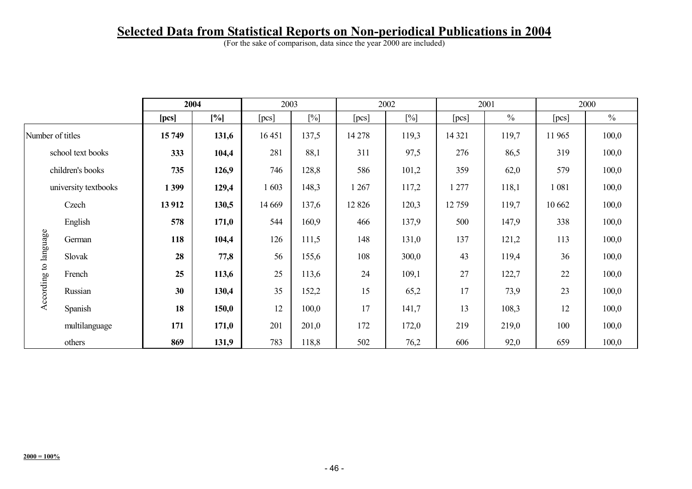# **Selected Data from Statistical Reports on Non-periodical Publications in 2004**

(For the sake of comparison, data since the year 2000 are included)

|                       |                      |        | 2004  | 2003    |        |         | 2002   |         | 2001          |         | 2000          |
|-----------------------|----------------------|--------|-------|---------|--------|---------|--------|---------|---------------|---------|---------------|
|                       |                      | [pcs]  | [%]   | [pcs]   | $[\%]$ | [pcs]   | $[\%]$ | [pcs]   | $\frac{0}{0}$ | [pcs]   | $\frac{0}{0}$ |
|                       | Number of titles     | 15749  | 131,6 | 16 451  | 137,5  | 14 278  | 119,3  | 14 3 21 | 119,7         | 11 965  | 100,0         |
|                       | school text books    | 333    | 104,4 | 281     | 88,1   | 311     | 97,5   | 276     | 86,5          | 319     | 100,0         |
|                       | children's books     | 735    | 126,9 | 746     | 128,8  | 586     | 101,2  | 359     | 62,0          | 579     | 100,0         |
|                       | university textbooks | 1399   | 129,4 | 1 603   | 148,3  | 1 267   | 117,2  | 1 277   | 118,1         | 1 0 8 1 | 100,0         |
|                       | Czech                | 13 912 | 130,5 | 14 6 69 | 137,6  | 12 8 26 | 120,3  | 12759   | 119,7         | 10 662  | 100,0         |
|                       | English              | 578    | 171,0 | 544     | 160,9  | 466     | 137,9  | 500     | 147,9         | 338     | 100,0         |
|                       | German               | 118    | 104,4 | 126     | 111,5  | 148     | 131,0  | 137     | 121,2         | 113     | 100,0         |
| According to language | Slovak               | 28     | 77,8  | 56      | 155,6  | 108     | 300,0  | 43      | 119,4         | 36      | 100,0         |
|                       | French               | 25     | 113,6 | 25      | 113,6  | 24      | 109,1  | 27      | 122,7         | 22      | 100,0         |
|                       | Russian              | 30     | 130,4 | 35      | 152,2  | 15      | 65,2   | 17      | 73,9          | 23      | 100,0         |
|                       | Spanish              | 18     | 150,0 | 12      | 100,0  | 17      | 141,7  | 13      | 108,3         | 12      | 100,0         |
|                       | multilanguage        | 171    | 171,0 | 201     | 201,0  | 172     | 172,0  | 219     | 219,0         | 100     | 100,0         |
|                       | others               | 869    | 131,9 | 783     | 118,8  | 502     | 76,2   | 606     | 92,0          | 659     | 100,0         |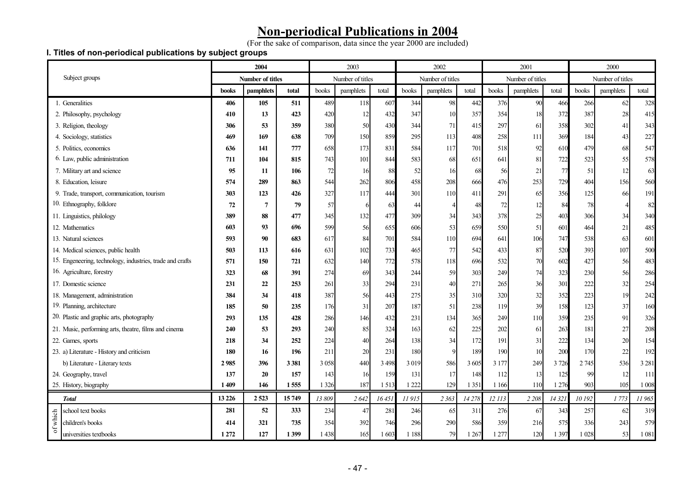# **Non-periodical Publications in 2004**

(For the sake of comparison, data since the year 2000 are included)

#### **I. Titles of non-periodical publications by subject groups**

|                                                           |              | 2004                    |         |         | 2003             |         |         | 2002             |         |         | 2001             |         |         | 2000             |         |
|-----------------------------------------------------------|--------------|-------------------------|---------|---------|------------------|---------|---------|------------------|---------|---------|------------------|---------|---------|------------------|---------|
| Subject groups                                            |              | <b>Number of titles</b> |         |         | Number of titles |         |         | Number of titles |         |         | Number of titles |         |         | Number of titles |         |
|                                                           | <b>books</b> | pamphlets               | total   | books   | pamphlets        | total   | books   | pamphlets        | total   | books   | pamphlets        | total   | books   | pamphlets        | total   |
| 1. Generalities                                           | 406          | 105                     | 511     | 489     | 118              | 607     | 344     | 98               | 442     | 376     | 90               | 466     | 266     | 62               | 328     |
| 2. Philosophy, psychology                                 | 410          | 13                      | 423     | 420     | 12               | 432     | 347     | 10               | 357     | 354     | 18               | 372     | 387     | 28               | 415     |
| 3. Religion, theology                                     | 306          | 53                      | 359     | 380     | 50               | 430     | 344     | 71               | 415     | 297     | 61               | 358     | 302     | 41               | 343     |
| 4. Sociology, statistics                                  | 469          | 169                     | 638     | 709     | 150              | 859     | 295     | 113              | 408     | 258     | 111              | 369     | 184     | 43               | 227     |
| 5. Politics, economics                                    | 636          | 141                     | 777     | 658     | 173              | 831     | 584     | 117              | 701     | 518     | 92               | 610     | 479     | 68               | 547     |
| 6. Law, public administration                             | 711          | 104                     | 815     | 743     | 101              | 844     | 583     | 68               | 651     | 641     | 81               | 722     | 523     | 55               | 578     |
| 7. Military art and science                               | 95           | 11                      | 106     | 72      | 16               | 88      | 52      | 16               | 68      | 56      | 21               | 77      | 51      | 12               | 63      |
| 8. Education, leisure                                     | 574          | 289                     | 863     | 544     | 262              | 806     | 458     | 208              | 666     | 476     | 253              | 729     | 404     | 156              | 560     |
| 9. Trade, transport, communication, tourism               | 303          | 123                     | 426     | 327     | 117              | 444     | 301     | 110              | 411     | 291     | 65               | 356     | 125     | 66               | 191     |
| 10. Ethnography, folklore                                 | 72           | 7                       | 79      | 57      |                  | 63      | 44      |                  | 48      | 72      | 12               | 84      | 78      |                  | 82      |
| 11. Linguistics, philology                                | 389          | 88                      | 477     | 345     | 132              | 477     | 309     | 34               | 343     | 378     | 25               | 403     | 306     | 34               | 340     |
| 12. Mathematics                                           | 603          | 93                      | 696     | 599     | 56               | 655     | 606     | 53               | 659     | 550     | 51               | 601     | 464     | 21               | 485     |
| 13. Natural sciences                                      | 593          | 90                      | 683     | 617     | 84               | 701     | 584     | 110              | 694     | 641     | 106              | 747     | 538     | 63               | 601     |
| 14. Medical sciences, public health                       | 503          | 113                     | 616     | 631     | 102              | 733     | 465     | 77               | 542     | 433     | 87               | 520     | 393     | 107              | 500     |
| 15. Engeneering, technology, industries, trade and crafts | 571          | 150                     | 721     | 632     | 140              | 772     | 578     | 118              | 696     | 532     | 70               | 602     | 427     | 56               | 483     |
| 16. Agriculture, forestry                                 | 323          | 68                      | 391     | 274     | 69               | 343     | 244     | 59               | 303     | 249     | 74               | 323     | 230     | 56               | 286     |
| 17. Domestic science                                      | 231          | 22                      | 253     | 261     | 33               | 294     | 231     | 40               | 271     | 265     | 36               | 301     | 222     | 32               | 254     |
| 18. Management, administration                            | 384          | 34                      | 418     | 387     | 56               | 443     | 275     | 35               | 310     | 320     | 32               | 352     | 223     | 19               | 242     |
| 19. Planning, architecture                                | 185          | 50                      | 235     | 176     | 31               | 207     | 187     | 51               | 238     | 119     | 39               | 158     | 123     | 37               | 160     |
| 20. Plastic and graphic arts, photography                 | 293          | 135                     | 428     | 286     | 146              | 432     | 231     | 134              | 365     | 249     | 110              | 359     | 235     | 91               | 326     |
| 21. Music, performing arts, theatre, films and cinema     | 240          | 53                      | 293     | 240     | 85               | 324     | 163     | 62               | 225     | 202     | 61               | 263     | 181     | 27               | 208     |
| 22. Games, sports                                         | 218          | 34                      | 252     | 224     | 40               | 264     | 138     | 34               | 172     | 191     | 31               | 222     | 134     | 20               | 154     |
| 23. a) Literature - History and criticism                 | 180          | 16                      | 196     | 211     | 20               | 231     | 180     |                  | 189     | 190     | 10               | 200     | 170     | 22               | 192     |
| b) Literature - Literary texts                            | 2985         | 396                     | 3 3 8 1 | 3 0 5 8 | 440              | 3 4 9 8 | 3 0 19  | 586              | 3 6 0 5 | 3 1 7 7 | 249              | 3726    | 2 7 4 5 | 536              | 3 2 8 1 |
| 24. Geography, travel                                     | 137          | 20                      | 157     | 143     | 16               | 159     | 131     | 17               | 148     | 112     | 13               | 125     | 99      | 12               | 111     |
| 25. History, biography                                    | 1 409        | 146                     | 1555    | 1 3 2 6 | 187              | 1513    | 222     | 129              | 1 3 5 1 | 1 1 6 6 | 110              | 1 2 7 6 | 903     | 105              | 1 0 0 8 |
| <b>Total</b>                                              | 13 2 26      | 2 5 23                  | 15749   | 13 809  | 2642             | 16451   | 11915   | 2 3 6 3          | 14278   | 12 113  | 2 2 0 8          | 14 321  | 10 192  | 1773             | 11965   |
| school text books                                         | 281          | 52                      | 333     | 234     | 47               | 281     | 246     | 65               | 311     | 276     | 67               | 343     | 257     | 62               | 319     |
| of which<br>children's books                              | 414          | 321                     | 735     | 354     | 392              | 746     | 296     | 290              | 586     | 359     | 216              | 575     | 336     | 243              | 579     |
| universities textbooks                                    | 1 2 7 2      | 127                     | 1399    | 1438    | 165              | 1603    | 1 1 8 8 | 79               | 1 2 6 7 | 1 277   | 120              | 1 3 9 7 | 1 0 28  | 53               | 1 0 8 1 |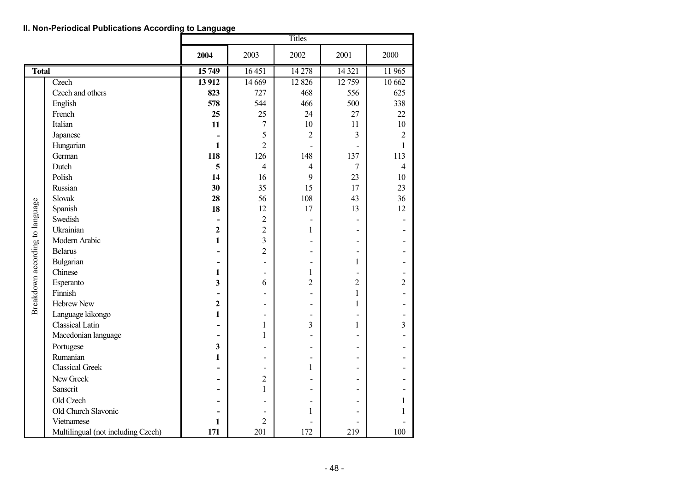|                                 |                                    | Titles                   |                         |                          |                          |                |  |  |  |  |  |  |
|---------------------------------|------------------------------------|--------------------------|-------------------------|--------------------------|--------------------------|----------------|--|--|--|--|--|--|
|                                 |                                    | 2004                     | 2003                    | 2002                     | 2001                     | 2000           |  |  |  |  |  |  |
| <b>Total</b>                    |                                    | 15749                    | 16451                   | 14 278                   | 14 3 21                  | 11 965         |  |  |  |  |  |  |
|                                 | Czech                              | 13 912                   | 14 6 69                 | 12 8 26                  | 12759                    | 10 662         |  |  |  |  |  |  |
|                                 | Czech and others                   | 823                      | 727                     | 468                      | 556                      | 625            |  |  |  |  |  |  |
|                                 | English                            | 578                      | 544                     | 466                      | 500                      | 338            |  |  |  |  |  |  |
|                                 | French                             | 25                       | 25                      | 24                       | 27                       | 22             |  |  |  |  |  |  |
|                                 | Italian                            | 11                       | $\overline{7}$          | 10                       | 11                       | 10             |  |  |  |  |  |  |
|                                 | Japanese                           |                          | 5                       | $\overline{2}$           | 3                        | $\overline{2}$ |  |  |  |  |  |  |
|                                 | Hungarian                          | 1                        | $\overline{2}$          | $\overline{a}$           | $\overline{\phantom{0}}$ | 1              |  |  |  |  |  |  |
|                                 | German                             | 118                      | 126                     | 148                      | 137                      | 113            |  |  |  |  |  |  |
|                                 | Dutch                              | 5                        | $\overline{4}$          | $\overline{4}$           | 7                        | $\overline{4}$ |  |  |  |  |  |  |
|                                 | Polish                             | 14                       | 16                      | 9                        | 23                       | 10             |  |  |  |  |  |  |
|                                 | Russian                            | 30                       | 35                      | 15                       | 17                       | 23             |  |  |  |  |  |  |
|                                 | Slovak                             | 28                       | 56                      | 108                      | 43                       | 36             |  |  |  |  |  |  |
|                                 | Spanish                            | 18                       | 12                      | 17                       | 13                       | 12             |  |  |  |  |  |  |
|                                 | Swedish                            | $\overline{\phantom{0}}$ | $\overline{2}$          | $\overline{\phantom{a}}$ | $\overline{\phantom{0}}$ |                |  |  |  |  |  |  |
|                                 | Ukrainian                          | $\overline{2}$           | $\overline{2}$          | 1                        | $\overline{a}$           |                |  |  |  |  |  |  |
|                                 | Modern Arabic                      | 1                        | $\overline{\mathbf{3}}$ | $\overline{a}$           | -                        |                |  |  |  |  |  |  |
|                                 | <b>Belarus</b>                     | $\overline{a}$           | $\overline{2}$          | $\overline{a}$           | $\overline{\phantom{0}}$ |                |  |  |  |  |  |  |
| Breakdown according to language | Bulgarian                          | $\overline{a}$           | $\overline{a}$          | $\overline{a}$           | $\mathbf{1}$             |                |  |  |  |  |  |  |
|                                 | Chinese                            | $\mathbf{1}$             | $\overline{a}$          | 1                        | $\overline{a}$           |                |  |  |  |  |  |  |
|                                 | Esperanto                          | 3                        | 6                       | $\overline{2}$           | 2                        | $\overline{2}$ |  |  |  |  |  |  |
|                                 | Finnish                            | $\overline{\phantom{0}}$ |                         | $\overline{\phantom{a}}$ | $\mathbf{1}$             |                |  |  |  |  |  |  |
|                                 | <b>Hebrew New</b>                  | $\overline{2}$           | -                       | $\overline{\phantom{a}}$ | $\mathbf{1}$             |                |  |  |  |  |  |  |
|                                 | Language kikongo                   | 1                        | $\overline{a}$          | $\overline{\phantom{a}}$ | $\overline{\phantom{0}}$ |                |  |  |  |  |  |  |
|                                 | <b>Classical Latin</b>             | $\overline{a}$           | $\mathbf{1}$            | 3                        | $\mathbf{1}$             | 3              |  |  |  |  |  |  |
|                                 | Macedonian language                | $\overline{\phantom{0}}$ | $\mathbf{1}$            | $\blacksquare$           | $\overline{a}$           |                |  |  |  |  |  |  |
|                                 | Portugese                          | 3                        |                         | $\overline{\phantom{a}}$ | $\overline{a}$           |                |  |  |  |  |  |  |
|                                 | Rumanian                           | $\mathbf{1}$             | $\overline{a}$          | $\overline{\phantom{a}}$ | -                        |                |  |  |  |  |  |  |
|                                 | <b>Classical Greek</b>             | $\overline{\phantom{0}}$ | $\overline{a}$          | $\mathbf{1}$             | $\overline{a}$           |                |  |  |  |  |  |  |
|                                 | New Greek                          | $\blacksquare$           | $\overline{2}$          |                          | $\overline{a}$           |                |  |  |  |  |  |  |
|                                 | Sanscrit                           | $\overline{a}$           | $\mathbf{1}$            | $\blacksquare$           | -                        |                |  |  |  |  |  |  |
|                                 | Old Czech                          | $\overline{\phantom{0}}$ |                         | $\overline{\phantom{a}}$ | $\overline{a}$           | 1              |  |  |  |  |  |  |
|                                 | Old Church Slavonic                |                          |                         | 1                        |                          |                |  |  |  |  |  |  |
|                                 | Vietnamese                         | $\mathbf{1}$             | $\overline{2}$          |                          |                          |                |  |  |  |  |  |  |
|                                 | Multilingual (not including Czech) | 171                      | 201                     | 172                      | 219                      | 100            |  |  |  |  |  |  |

**II. Non-Periodical Publications According to Language**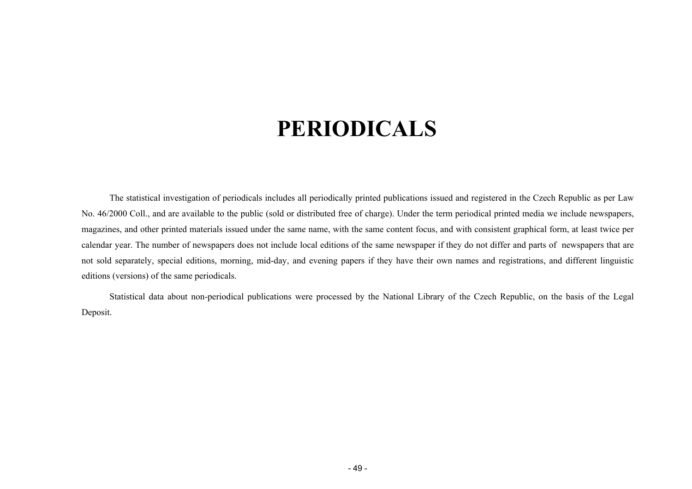# **PERIODICALS**

<span id="page-48-0"></span>The statistical investigation of periodicals includes all periodically printed publications issued and registered in the Czech Republic as per Law No. 46/2000 Coll., and are available to the public (sold or distributed free of charge). Under the term periodical printed media we include newspapers, magazines, and other printed materials issued under the same name, with the same content focus, and with consistent graphical form, at least twice per calendar year. The number of newspapers does not include local editions of the same newspaper if they do not differ and parts of newspapers that are not sold separately, special editions, morning, mid-day, and evening papers if they have their own names and registrations, and different linguistic editions (versions) of the same periodicals.

Statistical data about non-periodical publications were processed by the National Library of the Czech Republic, on the basis of the Legal Deposit.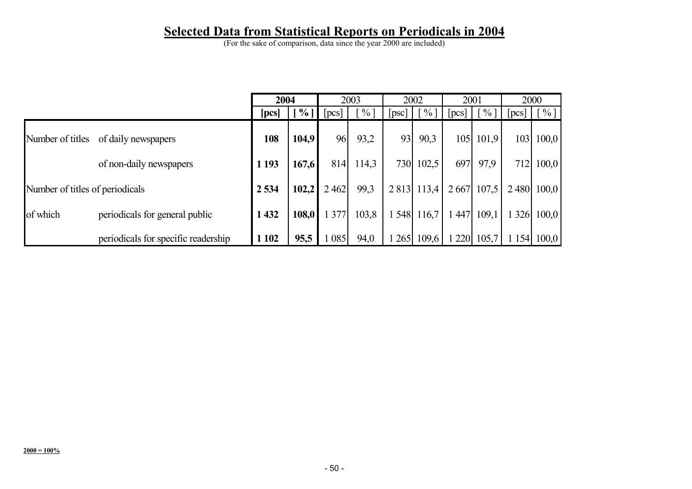# **Selected Data from Statistical Reports on Periodicals in 2004**

(For the sake of comparison, data since the year 2000 are included)

|                                 |                                     | 2004    |               |      | 2003   |     | 2002          | 2001 |                             | 2000 |                             |
|---------------------------------|-------------------------------------|---------|---------------|------|--------|-----|---------------|------|-----------------------------|------|-----------------------------|
|                                 |                                     | [pcs]   | $\frac{6}{6}$ | pcs  | $\%$ ] | psc | $\frac{0}{0}$ | pcs  | $\frac{1}{2}$ $\frac{0}{1}$ | pcs  | $\lceil \frac{9}{6} \rceil$ |
| Number of titles                | of daily newspapers                 | 108     | 104,9         | 96   | 93,2   | 93  | 90,3          | 105  | 101,9                       | 103  | 100,0                       |
|                                 | of non-daily newspapers             | 1 1 9 3 | 167,6         | 814  | 114,3  | 730 | 102,5         | 697  | 97.9                        | 712  | 100,0                       |
| Number of titles of periodicals |                                     | 2 5 3 4 | 102,2         | 2462 | 99,3   |     | 2 8 13 113,4  | 2667 | 107.5                       |      | 2 480 100,0                 |
| of which                        | periodicals for general public      | 432     | 108,0         | 377  | 103,8  | 548 | 116,7         | 447  | 109.1                       | 326  | 100,0                       |
|                                 | periodicals for specific readership | 1 1 0 2 | 95,5          | 085  | 94,0   | 265 | 109,6         | 220  | 105,7                       | 154  | 100,0                       |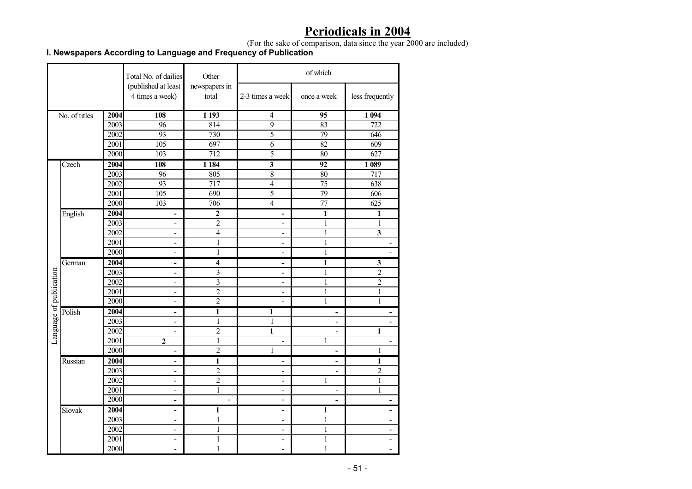# **Periodicals in 2004**

(For the sake of comparison, data since the year 2000 are included)

#### **I. Newspapers According to Language and Frequency of Publication**

|                         |               |                   | Total No. of dailies                   | Other                   |                          | of which                 |                              |
|-------------------------|---------------|-------------------|----------------------------------------|-------------------------|--------------------------|--------------------------|------------------------------|
|                         |               |                   | (published at least<br>4 times a week) | newspapers in<br>total  | 2-3 times a week         | once a week              | less frequently              |
|                         | No. of titles | 2004              | 108                                    | 1 1 9 3                 | $\overline{\bf{4}}$      | $\overline{95}$          | 1 0 9 4                      |
|                         |               | $\overline{2003}$ | 96                                     | 814                     | $\overline{9}$           | 83                       | $\overline{722}$             |
|                         |               | 2002              | 93                                     | 730                     | $\overline{5}$           | 79                       | 646                          |
|                         |               | 2001              | 105                                    | 697                     | 6                        | 82                       | 609                          |
|                         |               | 2000              | 103                                    | $\overline{712}$        | 5                        | 80                       | 627                          |
|                         | Czech         | 2004              | 108                                    | 1 1 8 4                 | $\overline{\mathbf{3}}$  | 92                       | 1 0 8 9                      |
|                         |               | 2003              | 96                                     | 805                     | $\overline{8}$           | 80                       | 717                          |
|                         |               | 2002              | 93                                     | 717                     | $\overline{4}$           | 75                       | 638                          |
|                         |               | 2001              | $\overline{105}$                       | 690                     | $\overline{5}$           | 79                       | 606                          |
|                         |               | 2000              | 103                                    | 706                     | $\overline{4}$           | $\overline{77}$          | 625                          |
|                         | English       | 2004              | $\overline{\phantom{a}}$               | $\boldsymbol{2}$        | -                        | $\mathbf{1}$             | 1                            |
|                         |               | 2003              | $\overline{\phantom{a}}$               | 2                       | $\overline{\phantom{0}}$ | 1                        | 1                            |
|                         |               | 2002              | $\overline{a}$                         | $\overline{4}$          | $\blacksquare$           | $\mathbf{1}$             | $\overline{\mathbf{3}}$      |
|                         |               | 2001              | $\blacksquare$                         | $\mathbf{1}$            | $\overline{\phantom{a}}$ | 1                        | Ĭ.                           |
|                         |               | 2000              | $\blacksquare$                         | $\overline{1}$          | $\overline{\phantom{a}}$ | $\mathbf{1}$             | L                            |
|                         | German        | 2004              | $\blacksquare$                         | $\overline{\mathbf{4}}$ | ۰                        | 1                        | $\mathbf{3}$                 |
|                         |               | 2003              | $\blacksquare$                         | $\overline{\mathbf{3}}$ | $\overline{\phantom{a}}$ | $\mathbf{1}$             | $\overline{2}$               |
|                         |               | 2002              | $\blacksquare$                         | $\overline{\mathbf{3}}$ | ÷,                       | 1                        | $\overline{2}$               |
|                         |               | 2001              | $\overline{\phantom{a}}$               | $\overline{c}$          | $\blacksquare$           | 1                        | $\mathbf{1}$                 |
| Language of publication |               | 2000              | $\overline{\phantom{a}}$               | $\overline{2}$          | $\overline{\phantom{a}}$ | 1                        | 1                            |
|                         | Polish        | 2004              | ۰                                      | $\mathbf{1}$            | 1                        | ۰                        | -                            |
|                         |               | 2003              | $\blacksquare$                         | $\mathbf{1}$            | 1                        |                          |                              |
|                         |               | 2002              | $\blacksquare$                         | $\overline{2}$          | $\overline{1}$           | ٠                        | 1                            |
|                         |               | 2001              | $\overline{2}$                         | $\mathbf{1}$            | $\frac{1}{2}$            | 1                        |                              |
|                         |               | 2000              | $\blacksquare$                         | $\overline{2}$          | $\mathbf{1}$             | ä,                       | $\mathbf{1}$                 |
|                         | Russian       | 2004              | $\blacksquare$                         | $\mathbf{1}$            | $\overline{\phantom{0}}$ | ۰                        | 1                            |
|                         |               | 2003              | $\blacksquare$                         | $\overline{2}$          | $\overline{\phantom{a}}$ | $\overline{\phantom{a}}$ | $\overline{2}$               |
|                         |               | 2002              | $\overline{\phantom{a}}$               | $\overline{c}$          | $\blacksquare$           | 1                        | $\mathbf{1}$                 |
|                         |               | 2001              | $\blacksquare$                         | $\mathbf{1}$            | $\overline{a}$           | $\overline{\phantom{a}}$ | $\mathbf{1}$                 |
|                         |               | 2000              | $\blacksquare$                         | L.                      | $\overline{a}$           | ÷                        | ۰                            |
|                         | Slovak        | 2004              | $\overline{\phantom{a}}$               | 1                       | $\overline{\phantom{0}}$ | 1                        | -                            |
|                         |               | 2003              | $\overline{\phantom{a}}$               | $\mathbf{1}$            | $\overline{\phantom{a}}$ | 1                        | $\qquad \qquad \blacksquare$ |
|                         |               | 2002              | $\blacksquare$                         | $\,1\,$                 | $\blacksquare$           | $\mathbf{1}$             | $\overline{a}$               |
|                         |               | 2001              | $\blacksquare$                         | $\mathbf{1}$            | $\overline{\phantom{a}}$ | 1                        | $\qquad \qquad \blacksquare$ |
|                         |               | 2000              | $\overline{\phantom{a}}$               | 1                       | $\overline{\phantom{a}}$ | 1                        | $\overline{\phantom{0}}$     |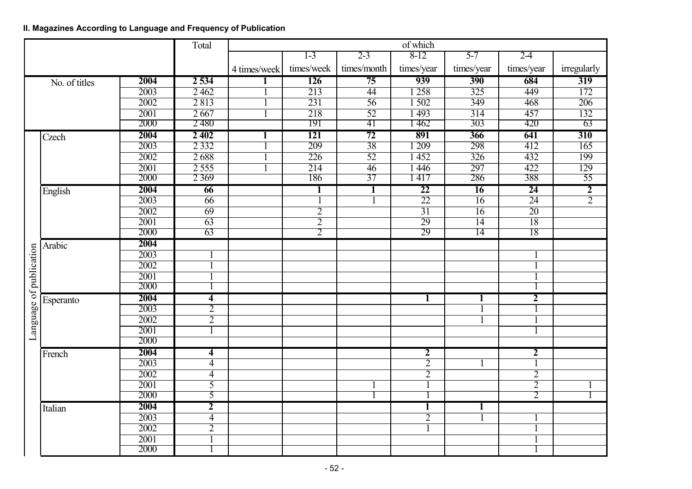#### **II. Magazines According to Language and Frequency of Publication**

|                         |               |                   | Total                   | of which     |                  |                 |                         |                  |                  |                  |  |
|-------------------------|---------------|-------------------|-------------------------|--------------|------------------|-----------------|-------------------------|------------------|------------------|------------------|--|
|                         |               |                   |                         |              | $1 - 3$          | $2 - 3$         | $8-12$                  | $5 - 7$          | $2 - 4$          |                  |  |
|                         |               |                   |                         | 4 times/week | times/week       | times/month     | times/year              | times/year       | times/year       | irregularly      |  |
|                         | No. of titles | 2004              | 2 5 3 4                 | 1            | 126              | 75              | 939                     | 390              | 684              | 319              |  |
|                         |               | $\overline{2003}$ | 2 4 6 2                 |              | 213              | 44              | 1 2 5 8                 | $\overline{325}$ | 449              | 172              |  |
|                         |               | 2002              | 2813                    |              | $\overline{231}$ | $\overline{56}$ | 1502                    | $\overline{349}$ | 468              | $\overline{206}$ |  |
|                         |               | 2001              | 2667                    |              | 218              | $\overline{52}$ | 1493                    | $\overline{314}$ | 457              | 132              |  |
|                         |               | 2000              | 2 4 8 0                 |              | 191              | 41              | 1462                    | 303              | 420              | 63               |  |
|                         | Czech         | 2004              | 2 4 0 2                 | ı            | 121              | 72              | 891                     | 366              | 641              | 310              |  |
|                         |               | 2003              | 2 3 3 2                 |              | $\overline{209}$ | $\overline{38}$ | $-209$                  | 298              | 412              | $\overline{165}$ |  |
|                         |               | 2002              | 2688                    |              | $\overline{226}$ | $\overline{52}$ | 452                     | $\overline{326}$ | 432              | 199              |  |
|                         |               | 2001              | 2555                    |              | 214              | 46              | $\overline{1446}$       | 297              | 422              | 129              |  |
|                         |               | 2000              | 2 3 6 9                 |              | 186              | 37              | 1 417                   | 286              | 388              | 55               |  |
|                         | English       | 2004              | 66                      |              | 1                | 1               | 22                      | 16               | 24               | $\overline{2}$   |  |
|                         |               | $\overline{2003}$ | $\overline{66}$         |              |                  |                 | $\overline{22}$         | $\overline{16}$  | $\overline{24}$  | $\overline{2}$   |  |
|                         |               | 2002              | 69                      |              | $\overline{2}$   |                 | $\overline{31}$         | 16               | $\overline{20}$  |                  |  |
|                         |               | 2001              | 63                      |              | $\overline{2}$   |                 | 29                      | 14               | 18               |                  |  |
|                         |               | 2000              | 63                      |              | $\overline{2}$   |                 | 29                      | $\overline{14}$  | 18               |                  |  |
|                         | Arabic        | 2004              |                         |              |                  |                 |                         |                  |                  |                  |  |
|                         |               | $\overline{2003}$ |                         |              |                  |                 |                         |                  |                  |                  |  |
|                         |               | 2002              | $\mathbf{1}$            |              |                  |                 |                         |                  |                  |                  |  |
|                         |               | 2001              | $\overline{1}$          |              |                  |                 |                         |                  |                  |                  |  |
| Language of publication |               | 2000              |                         |              |                  |                 |                         |                  |                  |                  |  |
|                         | Esperanto     | 2004              | 4                       |              |                  |                 | 1                       | 1                | 2                |                  |  |
|                         |               | 2003              | $\overline{2}$          |              |                  |                 |                         |                  | 1                |                  |  |
|                         |               | 2002              | $\overline{2}$          |              |                  |                 |                         |                  |                  |                  |  |
|                         |               | 2001              | 1                       |              |                  |                 |                         |                  |                  |                  |  |
|                         |               | 2000              |                         |              |                  |                 |                         |                  |                  |                  |  |
|                         | French        | 2004              | 4                       |              |                  |                 | $\overline{\mathbf{2}}$ |                  | $\boldsymbol{2}$ |                  |  |
|                         |               | 2003              | $\overline{4}$          |              |                  |                 | $\overline{2}$          |                  |                  |                  |  |
|                         |               | 2002              | $\overline{4}$          |              |                  |                 | $\overline{2}$          |                  | $\overline{2}$   |                  |  |
|                         |               | 2001              | $\overline{5}$          |              |                  |                 |                         |                  | $\overline{2}$   |                  |  |
|                         |               | 2000              | 5                       |              |                  |                 |                         |                  | $\overline{2}$   |                  |  |
|                         | Italian       | 2004              | $\overline{\mathbf{2}}$ |              |                  |                 | 1                       | 1                |                  |                  |  |
|                         |               | $\overline{2003}$ | $\overline{4}$          |              |                  |                 | $\overline{2}$          |                  |                  |                  |  |
|                         |               | 2002              | $\overline{2}$          |              |                  |                 |                         |                  |                  |                  |  |
|                         |               | 2001              | $\overline{1}$          |              |                  |                 |                         |                  |                  |                  |  |
|                         |               | 2000              |                         |              |                  |                 |                         |                  |                  |                  |  |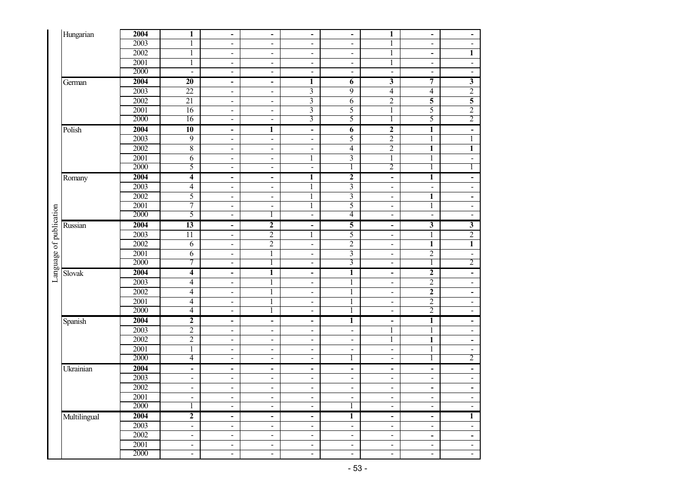| Hungarian                         | 2004              | 1                            | $\qquad \qquad \blacksquare$ | $\overline{\phantom{a}}$     | $\overline{\phantom{a}}$ | $\overline{\phantom{a}}$ | $\mathbf{1}$                                                     | $\blacksquare$               | $\overline{\phantom{a}}$ |
|-----------------------------------|-------------------|------------------------------|------------------------------|------------------------------|--------------------------|--------------------------|------------------------------------------------------------------|------------------------------|--------------------------|
|                                   | $\overline{2003}$ |                              |                              |                              |                          |                          |                                                                  |                              |                          |
|                                   |                   | $\mathbf 1$                  | ä,                           | $\blacksquare$               | $\blacksquare$           | ä,                       | $\mathbf{1}$                                                     | $\blacksquare$               | $\blacksquare$           |
|                                   | 2002              | $\mathbf{1}$                 | $\blacksquare$               | $\frac{1}{2}$                | $\blacksquare$           | $\blacksquare$           | 1                                                                | $\blacksquare$               | 1                        |
|                                   | 2001              | $\mathbf 1$                  | $\overline{\phantom{a}}$     | $\overline{\phantom{a}}$     | $\overline{\phantom{a}}$ | $\blacksquare$           | $\mathbf{1}$                                                     | $\overline{\phantom{a}}$     | $\blacksquare$           |
|                                   | 2000              | $\blacksquare$               | $\blacksquare$               | $\blacksquare$               | $\overline{\phantom{a}}$ | $\blacksquare$           | $\blacksquare$                                                   | $\blacksquare$               | $\blacksquare$           |
| German                            | 2004              | $\overline{20}$              | $\qquad \qquad \blacksquare$ | -                            | 1                        | 6                        | 3                                                                | 7                            | $\overline{\mathbf{3}}$  |
|                                   | 2003              | $\overline{22}$              | $\overline{\phantom{a}}$     | $\overline{\phantom{a}}$     | $\overline{3}$           | 9                        | $\overline{4}$                                                   | $\overline{4}$               | $\overline{2}$           |
|                                   | 2002              | $\overline{21}$              | ä,                           | $\blacksquare$               | $\overline{\mathbf{3}}$  | 6                        | $\overline{2}$                                                   | 5                            | $\overline{\mathbf{5}}$  |
|                                   | 2001              | 16                           | $\blacksquare$               | $\qquad \qquad \blacksquare$ | 3                        | 5                        | $\mathbf{1}$                                                     | 5                            | $\overline{2}$           |
|                                   | 2000              | 16                           | $\frac{1}{2}$                | $\blacksquare$               | $\overline{3}$           | $\overline{5}$           | $\overline{1}$                                                   | 5                            | $\overline{2}$           |
| Polish                            | 2004              | $\overline{10}$              | $\blacksquare$               | $\mathbf{1}$                 | $\blacksquare$           | $\overline{6}$           | $\overline{2}$                                                   | $\overline{\mathbf{1}}$      | $\blacksquare$           |
|                                   | 2003              | $\overline{9}$               | $\blacksquare$               | $\qquad \qquad \blacksquare$ | $\blacksquare$           | 5                        | $\sqrt{2}$                                                       | $\mathbf{1}$                 | $\mathbf{1}$             |
|                                   | 2002              | $\,8\,$                      | $\overline{\phantom{a}}$     | $\overline{\phantom{a}}$     | $\blacksquare$           | $\overline{4}$           | $\mathfrak{2}% _{T}=\mathfrak{2}_{T}\!\left( T_{T_{1}}\right) ,$ | $\mathbf{1}$                 | $\mathbf{1}$             |
|                                   | 2001              | 6                            | $\blacksquare$               | $\frac{1}{2}$                | $\mathbf{1}$             | $\mathfrak{Z}$           | $\mathbf{1}$                                                     | $\mathbf{1}$                 | $\blacksquare$           |
|                                   | 2000              | 5                            | $\blacksquare$               | $\frac{1}{2}$                | $\blacksquare$           | $\overline{1}$           | $\overline{2}$                                                   | 1                            | 1                        |
| Romany                            | 2004              | $\overline{\mathbf{4}}$      | $\qquad \qquad \blacksquare$ | $\overline{\phantom{a}}$     | 1                        | $\overline{2}$           | $\qquad \qquad \blacksquare$                                     | $\overline{1}$               | $\blacksquare$           |
|                                   | 2003              | $\overline{4}$               | $\frac{1}{2}$                | $\blacksquare$               | 1                        | $\overline{3}$           | $\blacksquare$                                                   | $\blacksquare$               | $\blacksquare$           |
|                                   | 2002              | 5                            | $\blacksquare$               | $\overline{\phantom{a}}$     | 1                        | $\overline{\mathbf{3}}$  | $\blacksquare$                                                   | 1                            | $\blacksquare$           |
|                                   | 2001              | $\overline{7}$               | $\blacksquare$               | $\blacksquare$               | $\mathbf{1}$             | 5                        | $\overline{\phantom{a}}$                                         | $\mathbf{1}$                 | $\blacksquare$           |
|                                   | 2000              | 5                            | $\blacksquare$               | 1                            | $\blacksquare$           | $\overline{4}$           | $\frac{1}{2}$                                                    | $\overline{\phantom{a}}$     | $\blacksquare$           |
| Russian                           | 2004              | 13                           | $\qquad \qquad \blacksquare$ | $\boldsymbol{2}$             | $\blacksquare$           | 5                        | $\overline{\phantom{a}}$                                         | $\overline{\mathbf{3}}$      | $\overline{\mathbf{3}}$  |
|                                   | 2003              | $\overline{11}$              | $\blacksquare$               | $\overline{2}$               | $\mathbf{1}$             | 5                        | $\blacksquare$                                                   | $\mathbf{1}$                 | $\overline{2}$           |
|                                   | 2002              | 6                            | $\blacksquare$               | $\boldsymbol{2}$             | $\blacksquare$           | $\overline{2}$           | $\blacksquare$                                                   | $\mathbf{1}$                 | $\mathbf{1}$             |
|                                   | 2001              | 6                            | $\blacksquare$               | $\mathbf{1}$                 | $\blacksquare$           | 3                        | $\overline{\phantom{a}}$                                         | $\overline{2}$               | $\blacksquare$           |
|                                   | 2000              | $\overline{7}$               | $\blacksquare$               | $\mathbf{1}$                 | $\blacksquare$           | $\overline{3}$           | $\blacksquare$                                                   | $\overline{1}$               | $\overline{2}$           |
| Language of publication<br>Slovak | 2004              | $\overline{\mathbf{4}}$      | $\blacksquare$               | $\overline{1}$               | $\blacksquare$           | $\overline{1}$           | $\blacksquare$                                                   | $\overline{2}$               | $\blacksquare$           |
|                                   | 2003              | $\overline{\mathbf{4}}$      |                              | $\mathbf{1}$                 |                          | $\mathbf{1}$             |                                                                  | $\overline{2}$               | $\blacksquare$           |
|                                   | 2002              | $\overline{4}$               | $\blacksquare$               | $\,1$                        | $\blacksquare$           | $\,1$                    | $\overline{\phantom{a}}$                                         | $\overline{2}$               |                          |
|                                   | 2001              | $\overline{4}$               | $\blacksquare$               |                              | $\blacksquare$           |                          | $\overline{\phantom{a}}$                                         | $\overline{2}$               | $\blacksquare$           |
|                                   | 2000              | $\overline{4}$               | $\blacksquare$               | $\overline{1}$               | $\blacksquare$           | $\mathbf{1}$             | $\blacksquare$                                                   | $\overline{2}$               | $\blacksquare$           |
|                                   |                   |                              | $\blacksquare$               | 1                            | $\blacksquare$           | 1                        | $\overline{\phantom{a}}$                                         |                              | $\blacksquare$           |
| Spanish                           | 2004              | $\overline{2}$               | $\overline{\phantom{a}}$     | $\overline{\phantom{0}}$     | $\overline{\phantom{a}}$ | $\overline{1}$           | ÷,                                                               | $\overline{1}$               | $\blacksquare$           |
|                                   | 2003              | $\overline{2}$               | $\overline{\phantom{a}}$     | $\blacksquare$               | $\blacksquare$           | $\blacksquare$           | $\mathbf{1}$                                                     | $\mathbf{1}$                 | $\blacksquare$           |
|                                   | 2002              | $\overline{2}$               | $\blacksquare$               | $\frac{1}{2}$                | $\blacksquare$           | $\blacksquare$           | $\mathbf{1}$                                                     | $\mathbf{1}$                 | $\blacksquare$           |
|                                   | 2001              | $\mathbf{1}$                 | $\blacksquare$               | $\overline{\phantom{a}}$     | $\blacksquare$           | $\blacksquare$           | $\frac{1}{2}$                                                    | $\mathbf{1}$                 | $\blacksquare$           |
|                                   | 2000              | $\overline{4}$               | $\blacksquare$               | $\overline{\phantom{a}}$     | $\blacksquare$           | $\mathbf{1}$             | $\blacksquare$                                                   | $\overline{1}$               | $\overline{2}$           |
| Ukrainian                         | 2004              | $\qquad \qquad \blacksquare$ | $\blacksquare$               | $\overline{\phantom{a}}$     | $\overline{\phantom{a}}$ | $\blacksquare$           | $\overline{\phantom{0}}$                                         | $\overline{\phantom{a}}$     | $\blacksquare$           |
|                                   | 2003              | $\blacksquare$               | $\frac{1}{2}$                | $\overline{\phantom{a}}$     | $\blacksquare$           | $\blacksquare$           | $\frac{1}{2}$                                                    | $\blacksquare$               | $\blacksquare$           |
|                                   | 2002              | $\blacksquare$               | $\blacksquare$               | $\blacksquare$               | $\blacksquare$           | $\blacksquare$           | $\blacksquare$                                                   | $\blacksquare$               | $\blacksquare$           |
|                                   | 2001              | $\blacksquare$               | $\blacksquare$               | $\blacksquare$               | $\blacksquare$           | ä,                       | $\overline{\phantom{a}}$                                         | $\blacksquare$               | $\blacksquare$           |
|                                   | 2000              | 1                            | ä,                           | $\blacksquare$               | $\blacksquare$           | 1                        | $\overline{\phantom{a}}$                                         | $\blacksquare$               | $\blacksquare$           |
| Multilingual                      | 2004              | $\overline{2}$               | $\blacksquare$               | $\blacksquare$               | $\blacksquare$           | $\mathbf{1}$             | $\blacksquare$                                                   | $\blacksquare$               | 1                        |
|                                   | 2003              | $\blacksquare$               | $\frac{1}{2}$                | $\blacksquare$               | $\blacksquare$           | $\blacksquare$           | $\blacksquare$                                                   | $\blacksquare$               | $\blacksquare$           |
|                                   | 2002              | $\overline{\phantom{a}}$     | $\blacksquare$               | $\overline{\phantom{0}}$     | $\overline{\phantom{a}}$ | $\blacksquare$           | $\qquad \qquad \blacksquare$                                     | $\qquad \qquad \blacksquare$ | $\overline{\phantom{a}}$ |
|                                   | 2001              | $\blacksquare$               | $\blacksquare$               | $\blacksquare$               | $\blacksquare$           | $\blacksquare$           | $\overline{\phantom{a}}$                                         | $\blacksquare$               | $\blacksquare$           |
|                                   | 2000              | $\blacksquare$               | $\overline{\phantom{a}}$     | $\blacksquare$               | $\blacksquare$           | $\blacksquare$           | $\overline{\phantom{a}}$                                         | $\blacksquare$               | $\blacksquare$           |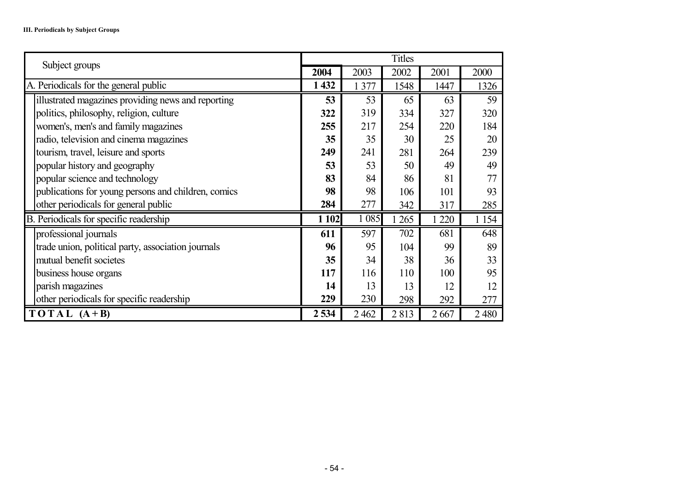| Subject groups                                      |         |         | <b>Titles</b> |       |         |
|-----------------------------------------------------|---------|---------|---------------|-------|---------|
|                                                     | 2004    | 2003    | 2002          | 2001  | 2000    |
| A. Periodicals for the general public               | 1 4 3 2 | 1 377   | 1548          | 1447  | 1326    |
| illustrated magazines providing news and reporting  | 53      | 53      | 65            | 63    | 59      |
| politics, philosophy, religion, culture             | 322     | 319     | 334           | 327   | 320     |
| women's, men's and family magazines                 | 255     | 217     | 254           | 220   | 184     |
| radio, television and cinema magazines              | 35      | 35      | 30            | 25    | 20      |
| tourism, travel, leisure and sports                 | 249     | 241     | 281           | 264   | 239     |
| popular history and geography                       | 53      | 53      | 50            | 49    | 49      |
| popular science and technology                      | 83      | 84      | 86            | 81    | 77      |
| publications for young persons and children, comics | 98      | 98      | 106           | 101   | 93      |
| other periodicals for general public                | 284     | 277     | 342           | 317   | 285     |
| B. Periodicals for specific readership              | 1 102   | 1 0 8 5 | 265           | 1 220 | 1 1 5 4 |
| professional journals                               | 611     | 597     | 702           | 681   | 648     |
| trade union, political party, association journals  | 96      | 95      | 104           | 99    | 89      |
| mutual benefit societes                             | 35      | 34      | 38            | 36    | 33      |
| business house organs                               | 117     | 116     | 110           | 100   | 95      |
| parish magazines                                    | 14      | 13      | 13            | 12    | 12      |
| other periodicals for specific readership           | 229     | 230     | 298           | 292   | 277     |
| $TOTAL (A+B)$                                       | 2534    | 2 4 6 2 | 2813          | 2667  | 2480    |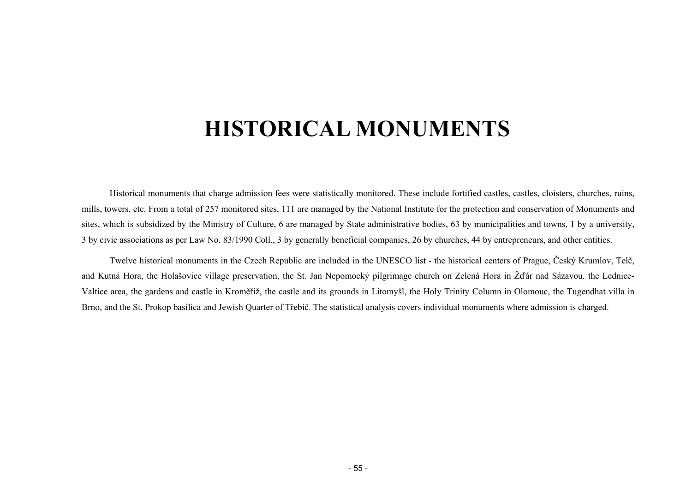# **HISTORICAL MONUMENTS**

<span id="page-54-0"></span>Historical monuments that charge admission fees were statistically monitored. These include fortified castles, castles, cloisters, churches, ruins, mills, towers, etc. From a total of 257 monitored sites, 111 are managed by the National Institute for the protection and conservation of Monuments and sites, which is subsidized by the Ministry of Culture, 6 are managed by State administrative bodies, 63 by municipalities and towns, 1 by a university, 3 by civic associations as per Law No. 83/1990 Coll., 3 by generally beneficial companies, 26 by churches, 44 by entrepreneurs, and other entities.

Twelve historical monuments in the Czech Republic are included in the UNESCO list - the historical centers of Prague, Český Krumlov, Telč, and Kutná Hora, the Holašovice village preservation, the St. Jan Nepomocký pilgrimage church on Zelená Hora in Žďár nad Sázavou. the Lednice-Valtice area, the gardens and castle in Kroměříž, the castle and its grounds in Litomyšl, the Holy Trinity Column in Olomouc, the Tugendhat villa in Brno, and the St. Prokop basilica and Jewish Quarter of Třebíč. The statistical analysis covers individual monuments where admission is charged.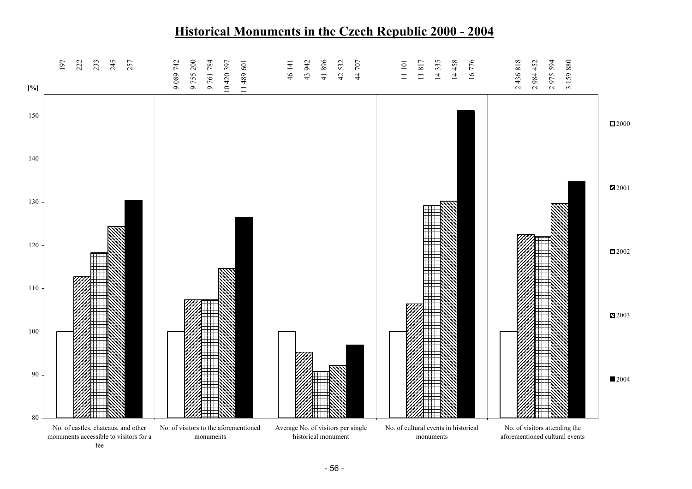#### 80 90 100 110 120 130140 150 No. of castles, chateaus, and other monuments accessible to visitors for a feeNo. of visitors to the aforementioned monumentsAverage No. of visitors per single historical monumentNo. of cultural events in historical monumentsNo. of visitors attending the aforementioned cultural events**[%]** 2000 2001 田2002 2003 2004 19 7 22 2 23 3 24 5 25 7 9 089 7 4 2 9 755 2 0 0 9 761 7 8 4 10 420 3 9 7 11 489 6 0 1 46 1 4 1 43 9 4 2 41 8 9 6 42 5 3 2 44 7 0 7 11 101<br>1 11 8 1 7 14 3 3 5 14 4 5 8 16 7 7 6 2 436 8 1 8 2 984 4 5 2 2 975 5 9 4 3 159 8 8 0

# **Historical Monuments in the Czech Republic 2000 - 2004**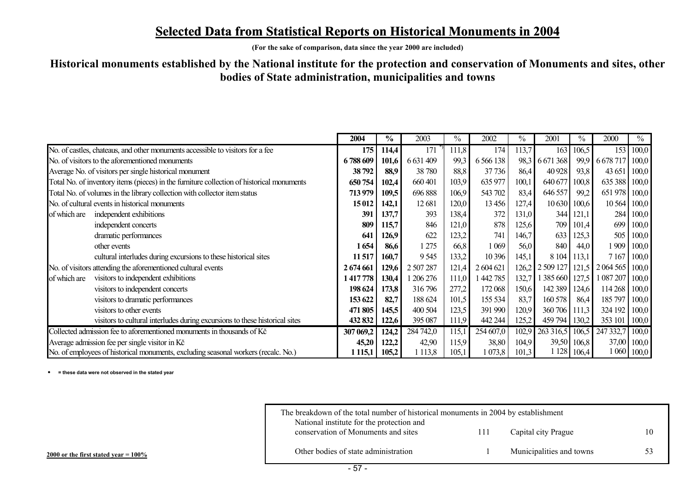## <u>Selected Data from Statistical Reports on Historical Monuments in 2004</u>

**(For the sake of comparison, data since the year 2000 are included)** 

#### **Historical monuments established by the National institute for the protection and conservation of Monuments and sites, other bodies of State administration, municipalities and towns**

|                                                                                           | 2004       | $\frac{6}{6}$ | 2003      | $\frac{0}{0}$ | 2002        | $\%$  | 2001            | $\%$  | 2000          | $\%$          |
|-------------------------------------------------------------------------------------------|------------|---------------|-----------|---------------|-------------|-------|-----------------|-------|---------------|---------------|
| No. of castles, chateaus, and other monuments accessible to visitors for a fee            | 175        | 114,4         | 171       | 111,8         | 174         | 113,7 | 163             | 106,5 |               | 153 100,0     |
| No. of visitors to the aforementioned monuments                                           | 6788609    | 101,6         | 6 631 409 | 99,3          | 6 5 6 1 3 8 |       | 98,3 6 671 368  | 99,9  | 6 6 78 717    | 100,0         |
| Average No. of visitors per single historical monument                                    | 38 792     | 88,9          | 38 780    | 88,8          | 37736       | 86,4  | 40 928          | 93,8  | 43 651 100,0  |               |
| Total No. of inventory items (pieces) in the furniture collection of historical monuments | 650 754    | 102,4         | 660 401   | 103,9         | 635 977     | 100,1 | 640 677         | 100,8 | 635 388 100,0 |               |
| Total No. of volumes in the library collection with collector item status                 | 713979     | 109,5         | 696 888   | 106,9         | 543 702     | 83,4  | 646 557         | 99,2  | 651 978 100,0 |               |
| No. of cultural events in historical monuments                                            | 15 012     | 142,1         | 12 681    | 120,0         | 13456       | 127,4 | 10 630          | 100,6 | 10 564 100,0  |               |
| independent exhibitions<br>of which are                                                   | 391        | 137,7         | 393       | 138,4         | 372         | 131,0 | 344             | 121,1 |               | 284 100,0     |
| independent concerts                                                                      | 809        | 115,7         | 846       | 121,0         | 878         | 125,6 | 709             | 101,4 |               | 699 100,0     |
| dramatic performances                                                                     | <b>64</b>  | 126,9         | 622       | 123,2         | 741         | 146,7 | 633             | 125,3 |               | 505   100,0   |
| other events                                                                              | 1654       | 86,6          | 1 275     | 66,8          | 1 0 6 9     | 56,0  | 840             | 44,0  |               | 1 909   100,0 |
| cultural interludes during excursions to these historical sites                           | 11 517     | 160,7         | 9545      | 133,2         | 10 39 6     | 145,1 | 8 1 0 4         | 113,1 | 7 1 6 7       | 100,0         |
| No. of visitors attending the aforementioned cultural events                              | 2 674 661  | 129,6         | 2 507 287 | 121,4         | 2 604 621   |       | 126,2 2 509 127 | 121,5 | 2 0 6 4 5 6 5 | 100,0         |
| visitors to independent exhibitions<br>of which are                                       | 1417778    | 130,4         | 1 206 276 | 111,0         | 442 785     | 132,7 | 385 660         | 127,5 | 087 207 100,0 |               |
| visitors to independent concerts                                                          | 198 624    | 173,8         | 316796    | 277,2         | 172 068     | 150,6 | 142 389         | 124,6 | 114 268 100,0 |               |
| visitors to dramatic performances                                                         | 153 622    | 82,7          | 188 624   | 101,5         | 155 534     | 83,7  | 160 578         | 86,4  | 185 797       | 100,0         |
| visitors to other events                                                                  | 471 805    | 145,5         | 400 504   | 123,5         | 391 990     | 120,9 | 360 706 111,3   |       | 324 192 100,0 |               |
| visitors to cultural interludes during excursions to these historical sites               | 432 832    | 122,6         | 395 087   | 111,9         | 442 244     | 125,2 | 459 794         | 130,2 | 353 101       | $\vert$ 100,0 |
| Collected admission fee to aforementioned monuments in thousands of Kč                    | 307 069,2  | 124,2         | 284 742,0 | 115,1         | 254 607,0   | 102,9 | 263 316,5       | 106,5 | 247 332,7     | 100,0         |
| Average admission fee per single visitor in Kč                                            | 45,20      | 122,2         | 42,90     | 115,9         | 38,80       | 104,9 | 39,50           | 106,8 |               | 37,00 100,0   |
| No. of employees of historical monuments, excluding seasonal workers (recalc. No.)        | 1 1 1 5, 1 | 105,2         | 1 1 1 3,8 | 105,1         | 1 073,8     | 101,3 | 1 1 28          | 106,4 |               | 1 060   100,0 |

i **= these data were not observed in the stated year** 

| The breakdown of the total number of historical monuments in 2004 by establishment<br>National institute for the protection and |     |                          |  |
|---------------------------------------------------------------------------------------------------------------------------------|-----|--------------------------|--|
| conservation of Monuments and sites                                                                                             | 111 | Capital city Prague      |  |
| Other bodies of state administration                                                                                            |     | Municipalities and towns |  |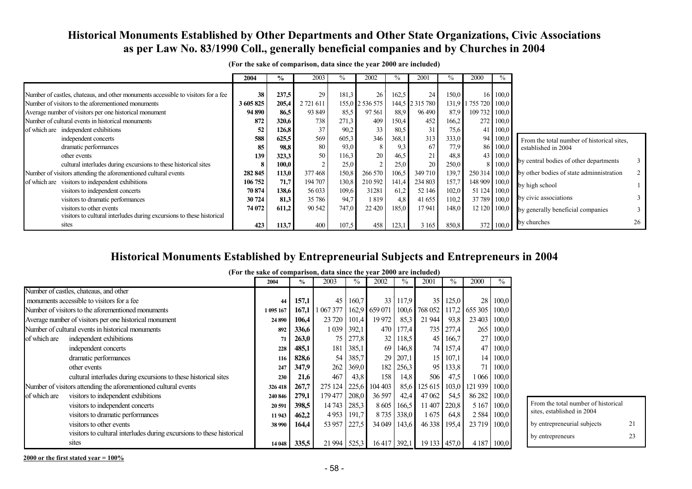#### **Historical Monuments Established by Other Departments and Other State Organizations, Civic Associations as per Law No. 83/1990 Coll., generally beneficial companies and by Churches in 2004**

|                                                                                   | 2004      | $\%$  | 2003      | %     | 2002            | ℅     | 2001            | $\frac{0}{0}$ | 2000            | $\%$             |                                            |    |
|-----------------------------------------------------------------------------------|-----------|-------|-----------|-------|-----------------|-------|-----------------|---------------|-----------------|------------------|--------------------------------------------|----|
| Number of castles, chateaus, and other monuments accessible to visitors for a fee | 38        | 237,5 | 29        | 181,3 | 26 <sup>1</sup> | 162.5 | 24              | 150,0         | 16 <sup>1</sup> | 100,0            |                                            |    |
| Number of visitors to the aforementioned monuments                                | 3 605 825 | 205,4 | 2 721 611 |       | 155,0 2 536 575 |       | 144,5 2 315 780 | 131,9         | 1 755 720 100,0 |                  |                                            |    |
| Average number of visitors per one historical monument                            | 94 890    | 86,5  | 93 849    | 85,5  | 97 561          | 88,9  | 96 490          | 87,9          | 109 732 100,0   |                  |                                            |    |
| Number of cultural events in historical monuments                                 | 872       | 320,6 | 738       | 271,3 | 409             | 150,4 | 452             | 166,2         | 272             | 100,0            |                                            |    |
| of which are independent exhibitions                                              | 52        | 126,8 | 37        | 90,2  | 33              | 80,5  | 31              | 75,6          |                 | 41 100,0         |                                            |    |
| independent concerts                                                              | 588       | 625,5 | 569       | 605,3 | 346             | 368,1 | 313             | 333,0         | 94              | 100,0            | From the total number of historical sites, |    |
| dramatic performances                                                             | 85        | 98,8  | 80        | 93,0  | 8               | 9,3   | 67              | 77,9          |                 | 86 100,0         | established in 2004                        |    |
| other events                                                                      | 139       | 323,3 | 50        | 116.3 | 20 <sup> </sup> | 46,5  | 21              | 48,8          |                 | 43 100,0         | by central bodies of other departments     |    |
| cultural interludes during excursions to these historical sites                   | 8         | 100,0 | $\sim$    | 25,0  | $\overline{2}$  | 25,0  | 20              | 250,0         | 81              | 100,0            |                                            |    |
| Number of visitors attending the aforementioned cultural events                   | 282 845   | 113,0 | 377468    | 150,8 | 266 570         | 106,5 | 349 710         | 139,7         | 250 314 100,0   |                  | by other bodies of state adminnistration   | 2  |
| visitors to independent exhibitions<br>of which are                               | 106 752   | 71,7  | 194 707   | 130,8 | 210 592         | 141,4 | 234 803         | 157,7         | 148 909 100,0   |                  | by high school                             |    |
| visitors to independent concerts                                                  | 70 874    | 138,6 | 56 033    | 109,6 | 31281           | 61,2  | 52 146          | 102,0         | 51 124 100,0    |                  |                                            |    |
| visitors to dramatic performances                                                 | 30 724    | 81,3  | 35 786    | 94,7  | 1 819           | 4,8   | 41 655          | 110,2         | 37 789 100,0    |                  | by civic associations                      |    |
| visitors to other events                                                          | 74 072    | 611,2 | 90 542    | 747,0 | 22 4 20         | 185,0 | 17 941          | 148,0         | 12 120          | 100,0            | by generally beneficial companies          |    |
| visitors to cultural interludes during excursions to these historical             |           |       |           |       |                 |       |                 |               |                 |                  |                                            |    |
| sites                                                                             | 423       | 113.7 | 400       | 107.5 | 458             | 123.1 | 3 1 6 5         | 850.8         |                 | $372 \mid 100.0$ | by churches                                | 26 |

**(For the sake of comparison, data since the year 2000 are included)** 

#### **Historical Monuments Established by Entrepreneurial Subjects and Entrepreneurs in 2004**

|              |                                                                       | (For the sake of comparison, uata since the year 2000 are included) |               |           |               |               |               |                 |               |               |       |
|--------------|-----------------------------------------------------------------------|---------------------------------------------------------------------|---------------|-----------|---------------|---------------|---------------|-----------------|---------------|---------------|-------|
|              |                                                                       | 2004                                                                | $\frac{0}{0}$ | 2003      | $\frac{0}{0}$ | 2002          | $\frac{0}{0}$ | 2001            | $\frac{0}{0}$ | 2000          | $\%$  |
|              | Number of castles, chateaus, and other                                |                                                                     |               |           |               |               |               |                 |               |               |       |
|              | monuments accessible to visitors for a fee                            | 44                                                                  | 157,1         | 45        | 160,7         | 33            | 117.9         | 35              | 125,0         | 28            | 100,0 |
|              | Number of visitors to the aforementioned monuments                    | 1 095 167                                                           | 167,1         | 1 067 377 |               | 162.9 659 071 |               | 100,6 768 052   |               | 117,2 655 305 | 100,0 |
|              | Average number of visitors per one historical monument                | 24 890                                                              | 106,4         | 23 720    | 101.4         | 19 972        | 85,3          | 21 944          | 93,8          | 23 403        | 100,0 |
|              | Number of cultural events in historical monuments                     | 892                                                                 | 336,6         | 1 0 39    | 392.1         | 470           | 177,4         |                 | 735   277,4   | 265           | 100,0 |
| of which are | independent exhibitions                                               | 71                                                                  | 263,0         | 75        | 277,8         | 32            | 118.5         | 45              | 166,7         | 27            | 100,0 |
|              | independent concerts                                                  | 228                                                                 | 485,1         | 181       | 385.1         | 69            | 146,8         |                 | 74 157,4      | 47            | 100,0 |
|              | dramatic performances                                                 | 116                                                                 | 828,6         | 54        | 385,7         | 29            | 207,1         | 15 <sup>1</sup> | 107,1         | 14            | 100,0 |
|              | other events                                                          | 247                                                                 | 347,9         | 262       | 369,0         | 182           | 256,3         | 95              | 133,8         | 71            | 100,0 |
|              | cultural interludes during excursions to these historical sites       | 230                                                                 | 21,6          | 467       | 43.8          | 158           | 14,8          | 506             | 47,5          | 066           | 100,0 |
|              | Number of visitors attending the aforementioned cultural events       | 326418                                                              | 267,7         | 275 124   | 225.6         | 104 403       | 85.6          | 125 615         | 103,0         | 121 939       | 100,0 |
| of which are | visitors to independent exhibitions                                   | 240 846                                                             | 279,1         | 179 477   | 208,0         | 36 597        | 42.4          | 47062           | 54,5          | 86 282        | 100,0 |
|              | visitors to independent concerts                                      | 20 591                                                              | 398,5         | 14743     | 285,3         | 8605          | 166.5         | 11 407          | 220,8         | 5 1 6 7       | 100,0 |
|              | visitors to dramatic performances                                     | 11943                                                               | 462,2         | 4953      | 191,7         | 8735          | 338.0         | 1675            | 64,8          | 2 5 8 4       | 100,0 |
|              | visitors to other events                                              | 38 990                                                              | 164,4         | 53 957    | 227.5         | 34 049        | 143,6         | 46 3 38         | 195,4         | 23 7 19       | 100,0 |
|              | visitors to cultural interludes during excursions to these historical |                                                                     |               |           |               |               |               |                 |               |               |       |
|              | sites                                                                 | 14 04 8                                                             | 335.5         | 21 9 94   | 525.3         | 16417         | 392,1         |                 | 19 133 457,0  | 4 1 8 7       | 100,0 |

**(For the sake of comparison, data since the year 2000 are included)** 

**2000 or the first stated year = 100%**

From the total number of historical sites, established in 2004

by entrepreneurial subjects 21 by entrepreneurs 23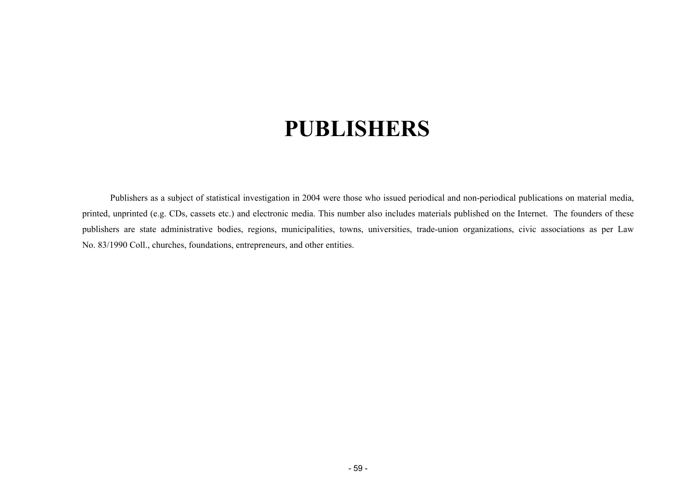# **PUBLISHERS**

<span id="page-58-0"></span>Publishers as a subject of statistical investigation in 2004 were those who issued periodical and non-periodical publications on material media, printed, unprinted (e.g. CDs, cassets etc.) and electronic media. This number also includes materials published on the Internet. The founders of these publishers are state administrative bodies, regions, municipalities, towns, universities, trade-union organizations, civic associations as per Law No. 83/1990 Coll., churches, foundations, entrepreneurs, and other entities.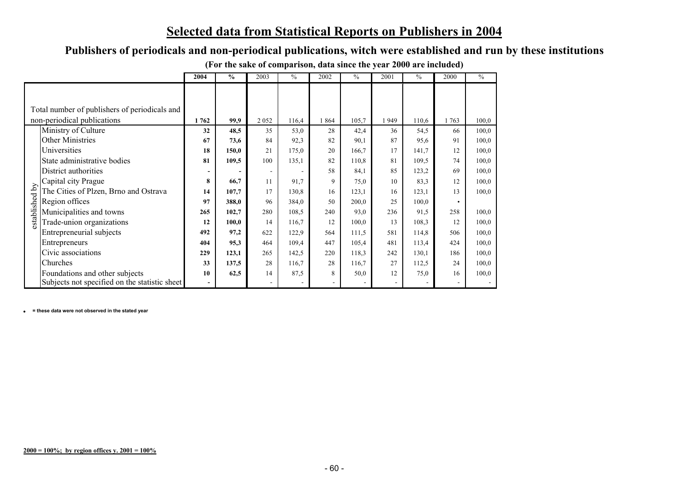# **Selected data from Statistical Reports on Publishers in 2004**

**Publishers of periodicals and non-periodical publications, witch were established and run by these institutions** 

|                |                                               | 2004                     | $\frac{6}{9}$ | 2003                     | $\%$  | 2002 | $\%$  | 2001 | $\%$  | 2000      | $\%$  |
|----------------|-----------------------------------------------|--------------------------|---------------|--------------------------|-------|------|-------|------|-------|-----------|-------|
|                |                                               |                          |               |                          |       |      |       |      |       |           |       |
|                |                                               |                          |               |                          |       |      |       |      |       |           |       |
|                | Total number of publishers of periodicals and |                          |               |                          |       |      |       |      |       |           |       |
|                | non-periodical publications                   | 1762                     | 99,9          | 2052                     | 116,4 | 864  | 105,7 | 1949 | 110.6 | 1763      | 100,0 |
|                | Ministry of Culture                           | 32                       | 48,5          | 35                       | 53,0  | 28   | 42,4  | 36   | 54,5  | 66        | 100,0 |
|                | <b>Other Ministries</b>                       | 67                       | 73,6          | 84                       | 92,3  | 82   | 90,1  | 87   | 95,6  | 91        | 100,0 |
|                | Universities                                  | 18                       | 150,0         | 21                       | 175,0 | 20   | 166,7 | 17   | 141,7 | 12        | 100,0 |
|                | State administrative bodies                   | 81                       | 109,5         | 100                      | 135,1 | 82   | 110,8 | 81   | 109,5 | 74        | 100,0 |
|                | District authorities                          | $\overline{\phantom{a}}$ |               | $\overline{\phantom{a}}$ |       | 58   | 84,1  | 85   | 123,2 | 69        | 100.0 |
|                | Capital city Prague                           | 8                        | 66,7          | 11                       | 91,7  | 9    | 75,0  | 10   | 83,3  | 12        | 100,0 |
|                | The Cities of Plzen, Brno and Ostrava         | 14                       | 107,7         | 17                       | 130,8 | 16   | 123,1 | 16   | 123,1 | 13        | 100,0 |
| established by | Region offices                                | 97                       | 388,0         | 96                       | 384,0 | 50   | 200,0 | 25   | 100,0 | $\bullet$ |       |
|                | Municipalities and towns                      | 265                      | 102,7         | 280                      | 108,5 | 240  | 93,0  | 236  | 91,5  | 258       | 100,0 |
|                | Trade-union organizations                     | 12                       | 100.0         | 14                       | 116,7 | 12   | 100,0 | 13   | 108.3 | 12        | 100,0 |
|                | Entrepreneurial subjects                      | 492                      | 97,2          | 622                      | 122,9 | 564  | 111,5 | 581  | 114,8 | 506       | 100,0 |
|                | Entrepreneurs                                 | 404                      | 95,3          | 464                      | 109,4 | 447  | 105,4 | 481  | 113,4 | 424       | 100,0 |
|                | Civic associations                            | 229                      | 123,1         | 265                      | 142,5 | 220  | 118,3 | 242  | 130.1 | 186       | 100,0 |
|                | Churches                                      | 33                       | 137,5         | 28                       | 116,7 | 28   | 116,7 | 27   | 112,5 | 24        | 100,0 |
|                | Foundations and other subjects                | 10                       | 62,5          | 14                       | 87,5  | 8    | 50,0  | 12   | 75,0  | 16        | 100,0 |
|                | Subjects not specified on the statistic sheet | $\overline{\phantom{a}}$ |               |                          |       |      |       |      |       |           |       |

**(For the sake of comparison, data since the year 2000 are included)** 

• **= these data were not observed in the stated year**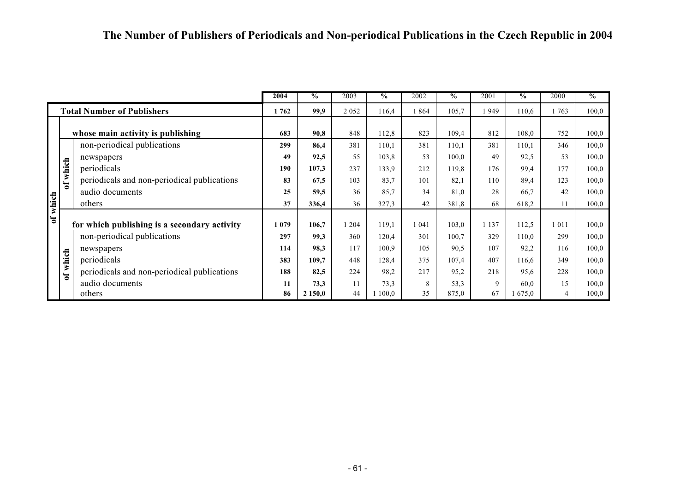|                                   |                                   |                                              | 2004 | $\frac{6}{9}$ | 2003    | $\%$  | 2002    | $\%$  | 2001    | $\%$    | 2000 | $\frac{0}{6}$ |
|-----------------------------------|-----------------------------------|----------------------------------------------|------|---------------|---------|-------|---------|-------|---------|---------|------|---------------|
|                                   | <b>Total Number of Publishers</b> |                                              | 1762 | 99,9          | 2 0 5 2 | 116,4 | 1864    | 105,7 | 949     | 110,6   | 763  | 100,0         |
|                                   |                                   |                                              |      |               |         |       |         |       |         |         |      |               |
| whose main activity is publishing |                                   |                                              |      | 90,8          | 848     | 112,8 | 823     | 109,4 | 812     | 108,0   | 752  | 100,0         |
|                                   |                                   | non-periodical publications                  | 299  | 86,4          | 381     | 110,1 | 381     | 110,1 | 381     | 110,1   | 346  | 100,0         |
|                                   |                                   | newspapers                                   | 49   | 92,5          | 55      | 103,8 | 53      | 100.0 | 49      | 92,5    | 53   | 100,0         |
|                                   |                                   | periodicals                                  | 190  | 107,3         | 237     | 133.9 | 212     | 119,8 | 176     | 99,4    | 177  | 100,0         |
|                                   | of which                          | periodicals and non-periodical publications  | 83   | 67,5          | 103     | 83,7  | 101     | 82,1  | 110     | 89,4    | 123  | 100,0         |
|                                   |                                   | audio documents                              | 25   | 59,5          | 36      | 85,7  | 34      | 81,0  | 28      | 66,7    | 42   | 100,0         |
| of which                          |                                   | others                                       | 37   | 336,4         | 36      | 327,3 | 42      | 381,8 | 68      | 618,2   | 11   | 100.0         |
|                                   |                                   |                                              |      |               |         |       |         |       |         |         |      |               |
|                                   |                                   | for which publishing is a secondary activity | 1079 | 106,7         | 1 204   | 119,1 | 1 0 4 1 | 103,0 | 1 1 3 7 | 112,5   | 1011 | 100,0         |
|                                   |                                   | non-periodical publications                  | 297  | 99,3          | 360     | 120,4 | 301     | 100,7 | 329     | 110,0   | 299  | 100,0         |
|                                   |                                   | newspapers                                   | 114  | 98,3          | 117     | 100.9 | 105     | 90.5  | 107     | 92,2    | 116  | 100,0         |
|                                   | which                             | periodicals                                  | 383  | 109,7         | 448     | 128,4 | 375     | 107,4 | 407     | 116,6   | 349  | 100.0         |
|                                   | $\mathbf{c}^{\mathbf{f}}$         | periodicals and non-periodical publications  | 188  | 82,5          | 224     | 98,2  | 217     | 95,2  | 218     | 95,6    | 228  | 100.0         |
|                                   |                                   | audio documents                              | 11   | 73,3          | 11      | 73,3  | 8       | 53,3  | 9       | 60,0    | 15   | 100,0         |
|                                   |                                   | others                                       | 86   | 2 150,0       | 44      | 100.0 | 35      | 875,0 | 67      | 1,675,0 |      | 100,0         |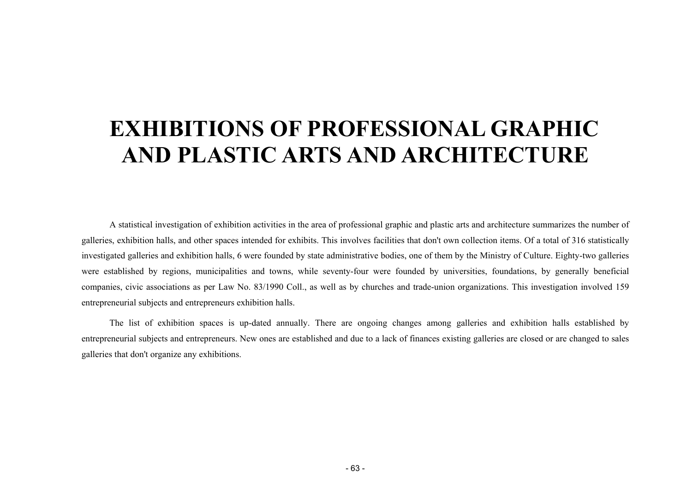# <span id="page-62-0"></span>**EXHIBITIONS OF PROFESSIONAL GRAPHIC AND PLASTIC ARTS AND ARCHITECTURE**

A statistical investigation of exhibition activities in the area of professional graphic and plastic arts and architecture summarizes the number of galleries, exhibition halls, and other spaces intended for exhibits. This involves facilities that don't own collection items. Of a total of 316 statistically investigated galleries and exhibition halls, 6 were founded by state administrative bodies, one of them by the Ministry of Culture. Eighty-two galleries were established by regions, municipalities and towns, while seventy-four were founded by universities, foundations, by generally beneficial companies, civic associations as per Law No. 83/1990 Coll., as well as by churches and trade-union organizations. This investigation involved 159 entrepreneurial subjects and entrepreneurs exhibition halls.

The list of exhibition spaces is up-dated annually. There are ongoing changes among galleries and exhibition halls established by entrepreneurial subjects and entrepreneurs. New ones are established and due to a lack of finances existing galleries are closed or are changed to sales galleries that don't organize any exhibitions.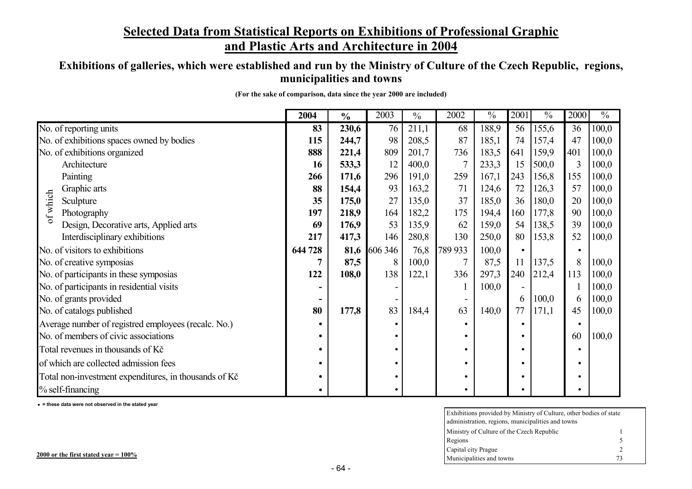### **Selected Data from Statistical Reports on Exhibitions of Professional Graphic and Plastic Arts and Architecture in 2004**

### **Exhibitions of galleries, which were established and run by the Ministry of Culture of the Czech Republic, regions, municipalities and towns**

| (For the sake of comparison, data since the year 2000 are included) |  |  |  |  |  |  |
|---------------------------------------------------------------------|--|--|--|--|--|--|
|---------------------------------------------------------------------|--|--|--|--|--|--|

|                                                       | 2004    | $\frac{0}{0}$ | 2003    | $\frac{0}{0}$ | 2002    | $\frac{0}{0}$ | 2001      | $\frac{0}{0}$ | 2000      | $\overline{\frac{0}{0}}$ |
|-------------------------------------------------------|---------|---------------|---------|---------------|---------|---------------|-----------|---------------|-----------|--------------------------|
| No. of reporting units                                | 83      | 230,6         | 76      | 211,1         | 68      | 188,9         | 56        | 155,6         | 36        | 100,0                    |
| No. of exhibitions spaces owned by bodies             | 115     | 244,7         | 98      | 208,5         | 87      | 185,1         | 74        | 157,4         | 47        | 100,0                    |
| No. of exhibitions organized                          | 888     | 221,4         | 809     | 201,7         | 736     | 183,5         | 641       | 159,9         | 401       | 100,0                    |
| Architecture                                          | 16      | 533,3         | 12      | 400,0         |         | 233,3         | 15        | 500,0         | 3         | 100,0                    |
| Painting                                              | 266     | 171,6         | 296     | 191,0         | 259     | 167,1         | 243       | 156,8         | 155       | 100,0                    |
| Graphic arts                                          | 88      | 154,4         | 93      | 163,2         | 71      | 124,6         | 72        | 126,3         | 57        | 100,0                    |
| of which<br>Sculpture                                 | 35      | 175,0         | 27      | 135,0         | 37      | 185,0         | 36        | 180,0         | 20        | 100,0                    |
| Photography                                           | 197     | 218,9         | 164     | 182,2         | 175     | 194,4         | 160       | 177,8         | 90        | 100,0                    |
| Design, Decorative arts, Applied arts                 | 69      | 176,9         | 53      | 135,9         | 62      | 159,0         | 54        | 138,5         | 39        | 100,0                    |
| Interdisciplinary exhibitions                         | 217     | 417,3         | 146     | 280,8         | 130     | 250,0         | 80        | 153,8         | 52        | 100,0                    |
| No. of visitors to exhibitions                        | 644 728 | 81,6          | 606 346 | 76,8          | 789 933 | 100,0         | $\bullet$ |               |           |                          |
| No. of creative symposias                             |         | 87,5          | 8       | 100,0         |         | 87,5          | 11        | 137,5         | 8         | 100,0                    |
| No. of participants in these symposias                | 122     | 108,0         | 138     | 122,1         | 336     | 297,3         | 240       | 212,4         | 113       | 100,0                    |
| No. of participants in residential visits             |         |               |         |               |         | 100,0         |           |               |           | 100,0                    |
| No. of grants provided                                |         |               |         |               |         |               | 6         | 100,0         | 6         | 100,0                    |
| No. of catalogs published                             | 80      | 177,8         | 83      | 184,4         | 63      | 140,0         | 77        | 171,1         | 45        | 100,0                    |
| Average number of registred employees (recalc. No.)   |         |               |         |               |         |               | $\bullet$ |               | $\bullet$ |                          |
| No. of members of civic associations                  |         |               |         |               |         |               | $\bullet$ |               | 60        | 100,0                    |
| Total revenues in thousands of Kč                     |         |               |         |               |         |               | $\bullet$ |               |           |                          |
| of which are collected admission fees                 |         |               |         |               |         |               | $\bullet$ |               | ٠         |                          |
| Total non-investment expenditures, in thousands of Kč |         |               |         |               |         |               | ٠         |               |           |                          |
| $%$ self-financing                                    |         |               |         |               |         |               |           |               |           |                          |

i **= these data were not observed in the stated year** 

| Exhibitions provided by Ministry of Culture, other bodies of state |               |  |  |  |  |  |  |  |
|--------------------------------------------------------------------|---------------|--|--|--|--|--|--|--|
| administration, regions, municipalities and towns                  |               |  |  |  |  |  |  |  |
| Ministry of Culture of the Czech Republic                          |               |  |  |  |  |  |  |  |
| Regions                                                            | 5             |  |  |  |  |  |  |  |
| Capital city Prague                                                | $\mathcal{L}$ |  |  |  |  |  |  |  |
| Municipalities and towns                                           | 73            |  |  |  |  |  |  |  |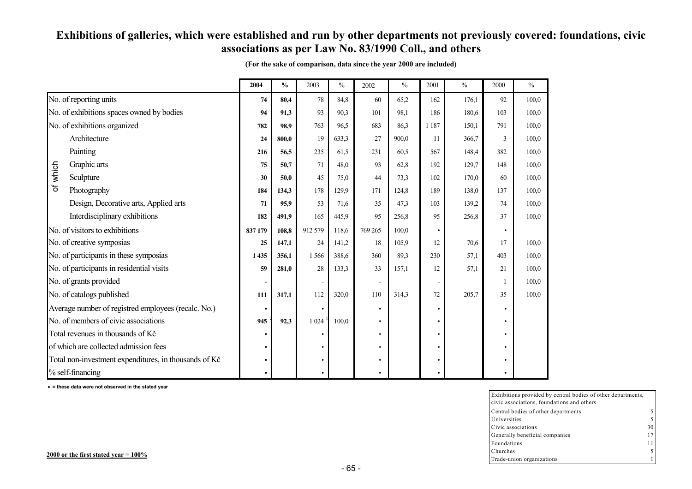#### **Exhibitions of galleries, which were established and run by other departments not previously covered: foundations, civic associations as per Law No. 83/1990 Coll., and others**

|                                           |                                                       | 2004    | $\frac{0}{0}$ | 2003    | $\%$  | 2002      | $\frac{0}{0}$ | 2001    | $\frac{0}{0}$ | 2000      | $\frac{0}{0}$ |
|-------------------------------------------|-------------------------------------------------------|---------|---------------|---------|-------|-----------|---------------|---------|---------------|-----------|---------------|
|                                           | No. of reporting units                                | 74      | 80,4          | 78      | 84,8  | 60        | 65,2          | 162     | 176,1         | 92        | 100,0         |
| No. of exhibitions spaces owned by bodies |                                                       | 94      | 91,3          | 93      | 90,3  | 101       | 98,1          | 186     | 180,6         | 103       | 100.0         |
|                                           | No. of exhibitions organized                          | 782     | 98,9          | 763     | 96,5  | 683       | 86,3          | 1 1 8 7 | 150,1         | 791       | 100,0         |
|                                           | Architecture                                          | 24      | 800.0         | 19      | 633.3 | 27        | 900,0         | 11      | 366,7         | 3         | 100.0         |
|                                           | Painting                                              | 216     | 56.5          | 235     | 61.5  | 231       | 60.5          | 567     | 148,4         | 382       | 100,0         |
|                                           | Graphic arts                                          | 75      | 50.7          | 71      | 48.0  | 93        | 62,8          | 192     | 129,7         | 148       | 100.0         |
| of which                                  | Sculpture                                             | 30      | 50,0          | 45      | 75,0  | 44        | 73,3          | 102     | 170,0         | 60        | 100,0         |
|                                           | Photography                                           | 184     | 134,3         | 178     | 129,9 | 171       | 124,8         | 189     | 138,0         | 137       | 100,0         |
|                                           | Design, Decorative arts, Applied arts                 | 71      | 95.9          | 53      | 71.6  | 35        | 47,3          | 103     | 139,2         | 74        | 100,0         |
|                                           | Interdisciplinary exhibitions                         | 182     | 491,9         | 165     | 445,9 | 95        | 256,8         | 95      | 256,8         | 37        | 100,0         |
| No. of visitors to exhibitions            |                                                       | 837 179 | 108,8         | 912 579 | 118,6 | 769 265   | 100,0         |         |               | $\bullet$ |               |
|                                           | No. of creative symposias                             | 25      | 147,1         | 24      | 141,2 | 18        | 105,9         | 12      | 70,6          | 17        | 100,0         |
|                                           | No. of participants in these symposias                | 1435    | 356.1         | 1566    | 388.6 | 360       | 89,3          | 230     | 57,1          | 403       | 100,0         |
|                                           | No. of participants in residential visits             | 59      | 281.0         | 28      | 133,3 | 33        | 157.1         | 12      | 57.1          | 21        | 100.0         |
|                                           | No. of grants provided                                |         |               |         |       |           |               |         |               | 1         | 100,0         |
|                                           | No. of catalogs published                             | 111     | 317,1         | 112     | 320,0 | 110       | 314,3         | 72      | 205,7         | 35        | 100,0         |
|                                           | Average number of registred employees (recalc. No.)   |         |               |         |       | $\bullet$ |               |         |               | $\bullet$ |               |
| No. of members of civic associations      |                                                       | 945     | 92,3          | 1 0 24  | 100,0 | $\bullet$ |               |         |               | $\bullet$ |               |
| Total revenues in thousands of Kč         |                                                       |         |               |         |       | $\bullet$ |               |         |               | $\bullet$ |               |
| of which are collected admission fees     |                                                       |         |               |         |       | $\bullet$ |               |         |               | $\bullet$ |               |
|                                           | Total non-investment expenditures, in thousands of Kč |         |               |         |       | $\bullet$ |               |         |               | $\bullet$ |               |
|                                           | % self-financing                                      |         |               |         |       | ٠         |               |         |               |           |               |

**(For the sake of comparison, data since the year 2000 are included)** 

i **= these data were not observed in the stated year** 

Central bodies of other departments 5 Universitiess  $5$  $\overline{5}$ Civic associations $\sim$  30 17 Generally beneficial companies Foundationss and  $11$  $11$ Churchess  $5$  $5$ Trade-union organizations 1 Exhibitions provided by central bodies of other departments, civic associations, foundations and others

**2000 or the first stated year = 100%**